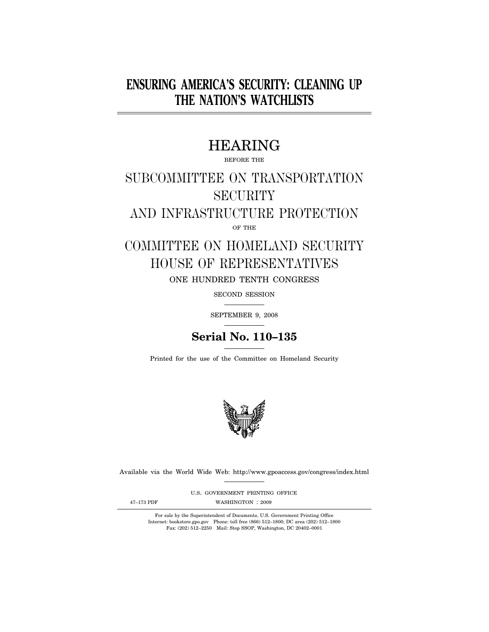## **ENSURING AMERICA'S SECURITY: CLEANING UP THE NATION'S WATCHLISTS**

## HEARING

BEFORE THE

# SUBCOMMITTEE ON TRANSPORTATION **SECURITY**

AND INFRASTRUCTURE PROTECTION

OF THE

## COMMITTEE ON HOMELAND SECURITY HOUSE OF REPRESENTATIVES ONE HUNDRED TENTH CONGRESS

SECOND SESSION

SEPTEMBER 9, 2008

## **Serial No. 110–135**

Printed for the use of the Committee on Homeland Security



Available via the World Wide Web: http://www.gpoaccess.gov/congress/index.html

U.S. GOVERNMENT PRINTING OFFICE

47-173 PDF WASHINGTON : 2009

For sale by the Superintendent of Documents, U.S. Government Printing Office Internet: bookstore.gpo.gov Phone: toll free (866) 512–1800; DC area (202) 512–1800 Fax: (202) 512–2250 Mail: Stop SSOP, Washington, DC 20402–0001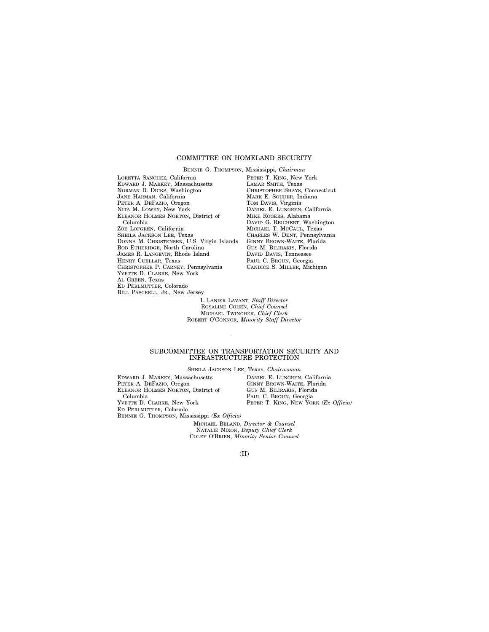#### COMMITTEE ON HOMELAND SECURITY

BENNIE G. THOMPSON, Mississippi, *Chairman* 

LORETTA SANCHEZ, California EDWARD J. MARKEY, Massachusetts NORMAN D. DICKS, Washington JANE HARMAN, California PETER A. DEFAZIO, Oregon NITA M. LOWEY, New York ELEANOR HOLMES NORTON, District of Columbia ZOE LOFGREN, California SHEILA JACKSON LEE, Texas DONNA M. CHRISTENSEN, U.S. Virgin Islands BOB ETHERIDGE, North Carolina JAMES R. LANGEVIN, Rhode Island HENRY CUELLAR, Texas CHRISTOPHER P. CARNEY, Pennsylvania YVETTE D. CLARKE, New York AL GREEN, Texas ED PERLMUTTER, Colorado BILL PASCRELL, JR., New Jersey

PETER T. KING, New York LAMAR SMITH, Texas CHRISTOPHER SHAYS, Connecticut MARK E. SOUDER, Indiana TOM DAVIS, Virginia DANIEL E. LUNGREN, California MIKE ROGERS, Alabama DAVID G. REICHERT, Washington MICHAEL T. MCCAUL, Texas CHARLES W. DENT, Pennsylvania GINNY BROWN-WAITE, Florida GUS M. BILIRAKIS, Florida DAVID DAVIS, Tennessee PAUL C. BROUN, Georgia CANDICE S. MILLER, Michigan

I. LANIER LAVANT, *Staff Director*  ROSALINE COHEN, *Chief Counsel*  MICHAEL TWINCHEK, *Chief Clerk*  ROBERT O'CONNOR, *Minority Staff Director* 

#### SUBCOMMITTEE ON TRANSPORTATION SECURITY AND INFRASTRUCTURE PROTECTION

SHEILA JACKSON LEE, Texas, *Chairwoman* 

EDWARD J. MARKEY, Massachusetts PETER A. DEFAZIO, Oregon ELEANOR HOLMES NORTON, District of Columbia YVETTE D. CLARKE, New York ED PERLMUTTER, Colorado BENNIE G. THOMPSON, Mississippi *(Ex Officio)*  DANIEL E. LUNGREN, California GINNY BROWN-WAITE, Florida GUS M. BILIRAKIS, Florida PAUL C. BROUN, Georgia PETER T. KING, NEW YORK *(Ex Officio)* 

MICHAEL BELAND, *Director & Counsel*  NATALIE NIXON, *Deputy Chief Clerk*  COLEY O'BRIEN, *Minority Senior Counsel* 

(II)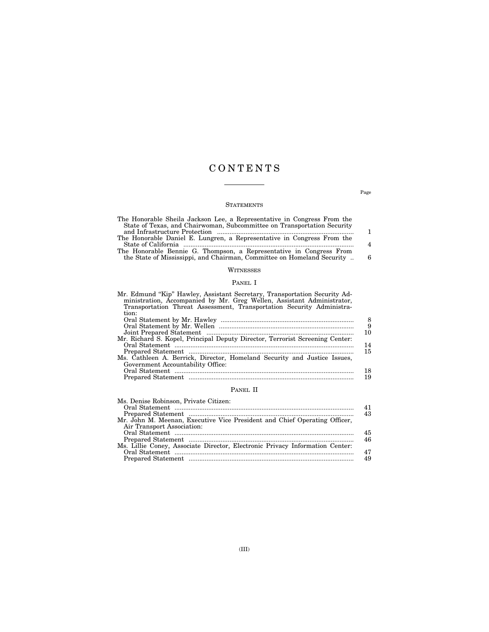## C O N T E N T S

### **STATEMENTS**

| The Honorable Sheila Jackson Lee, a Representative in Congress From the |                |
|-------------------------------------------------------------------------|----------------|
| State of Texas, and Chairwoman, Subcommittee on Transportation Security |                |
|                                                                         | 1.             |
| The Honorable Daniel E. Lungren, a Representative in Congress From the  |                |
|                                                                         | $\overline{4}$ |
| The Honorable Bennie G. Thompson, a Representative in Congress From     |                |
| the State of Mississippi, and Chairman, Committee on Homeland Security  | 6              |
|                                                                         |                |
|                                                                         |                |

## **WITNESSES**

## PANEL I

| Mr. Edmund "Kip" Hawley, Assistant Secretary, Transportation Security Ad-<br>ministration, Accompanied by Mr. Greg Wellen, Assistant Administrator, |    |
|-----------------------------------------------------------------------------------------------------------------------------------------------------|----|
| Transportation Threat Assessment, Transportation Security Administra-                                                                               |    |
| tion:                                                                                                                                               |    |
|                                                                                                                                                     | 8  |
|                                                                                                                                                     | 9  |
|                                                                                                                                                     | 10 |
| Mr. Richard S. Kopel, Principal Deputy Director, Terrorist Screening Center:                                                                        |    |
|                                                                                                                                                     | 14 |
|                                                                                                                                                     | 15 |
| Ms. Cathleen A. Berrick, Director, Homeland Security and Justice Issues,                                                                            |    |
| Government Accountability Office:                                                                                                                   |    |
|                                                                                                                                                     | 18 |
|                                                                                                                                                     | 19 |

## PANEL II

| Ms. Denise Robinson, Private Citizen:                                        |    |
|------------------------------------------------------------------------------|----|
|                                                                              | 41 |
|                                                                              | 43 |
| Mr. John M. Meenan, Executive Vice President and Chief Operating Officer,    |    |
| Air Transport Association:                                                   |    |
|                                                                              | 45 |
|                                                                              | 46 |
| Ms. Lillie Coney, Associate Director, Electronic Privacy Information Center: |    |
|                                                                              | 47 |
|                                                                              | 49 |

Page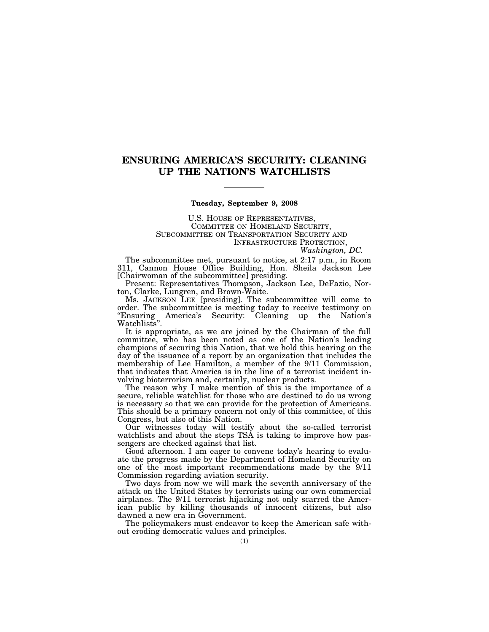## **ENSURING AMERICA'S SECURITY: CLEANING UP THE NATION'S WATCHLISTS**

#### **Tuesday, September 9, 2008**

U.S. HOUSE OF REPRESENTATIVES, COMMITTEE ON HOMELAND SECURITY, SUBCOMMITTEE ON TRANSPORTATION SECURITY AND INFRASTRUCTURE PROTECTION,

*Washington, DC.* 

The subcommittee met, pursuant to notice, at 2:17 p.m., in Room 311, Cannon House Office Building, Hon. Sheila Jackson Lee [Chairwoman of the subcommittee] presiding.

Present: Representatives Thompson, Jackson Lee, DeFazio, Norton, Clarke, Lungren, and Brown-Waite.

Ms. JACKSON LEE [presiding]. The subcommittee will come to order. The subcommittee is meeting today to receive testimony on ''Ensuring America's Security: Cleaning up the Nation's Watchlists''.

It is appropriate, as we are joined by the Chairman of the full committee, who has been noted as one of the Nation's leading champions of securing this Nation, that we hold this hearing on the day of the issuance of a report by an organization that includes the membership of Lee Hamilton, a member of the 9/11 Commission, that indicates that America is in the line of a terrorist incident involving bioterrorism and, certainly, nuclear products.

The reason why I make mention of this is the importance of a secure, reliable watchlist for those who are destined to do us wrong is necessary so that we can provide for the protection of Americans. This should be a primary concern not only of this committee, of this Congress, but also of this Nation.

Our witnesses today will testify about the so-called terrorist watchlists and about the steps TSA is taking to improve how passengers are checked against that list.

Good afternoon. I am eager to convene today's hearing to evaluate the progress made by the Department of Homeland Security on one of the most important recommendations made by the 9/11 Commission regarding aviation security.

Two days from now we will mark the seventh anniversary of the attack on the United States by terrorists using our own commercial airplanes. The 9/11 terrorist hijacking not only scarred the American public by killing thousands of innocent citizens, but also dawned a new era in Government.

The policymakers must endeavor to keep the American safe without eroding democratic values and principles.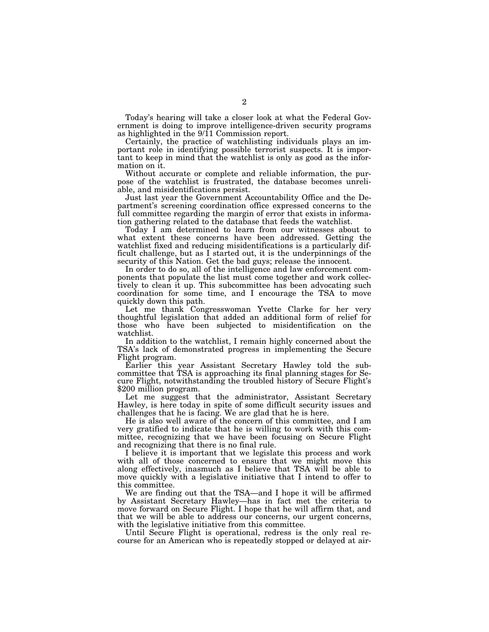Today's hearing will take a closer look at what the Federal Government is doing to improve intelligence-driven security programs as highlighted in the 9/11 Commission report.

Certainly, the practice of watchlisting individuals plays an important role in identifying possible terrorist suspects. It is important to keep in mind that the watchlist is only as good as the information on it.

Without accurate or complete and reliable information, the purpose of the watchlist is frustrated, the database becomes unreliable, and misidentifications persist.

Just last year the Government Accountability Office and the Department's screening coordination office expressed concerns to the full committee regarding the margin of error that exists in information gathering related to the database that feeds the watchlist.

Today I am determined to learn from our witnesses about to what extent these concerns have been addressed. Getting the watchlist fixed and reducing misidentifications is a particularly difficult challenge, but as I started out, it is the underpinnings of the security of this Nation. Get the bad guys; release the innocent.

In order to do so, all of the intelligence and law enforcement components that populate the list must come together and work collectively to clean it up. This subcommittee has been advocating such coordination for some time, and I encourage the TSA to move quickly down this path.

Let me thank Congresswoman Yvette Clarke for her very thoughtful legislation that added an additional form of relief for those who have been subjected to misidentification on the watchlist.

In addition to the watchlist, I remain highly concerned about the TSA's lack of demonstrated progress in implementing the Secure Flight program.

Earlier this year Assistant Secretary Hawley told the subcommittee that TSA is approaching its final planning stages for Secure Flight, notwithstanding the troubled history of Secure Flight's \$200 million program.

Let me suggest that the administrator, Assistant Secretary Hawley, is here today in spite of some difficult security issues and challenges that he is facing. We are glad that he is here.

He is also well aware of the concern of this committee, and I am very gratified to indicate that he is willing to work with this committee, recognizing that we have been focusing on Secure Flight and recognizing that there is no final rule.

I believe it is important that we legislate this process and work with all of those concerned to ensure that we might move this along effectively, inasmuch as I believe that TSA will be able to move quickly with a legislative initiative that I intend to offer to this committee.

We are finding out that the TSA—and I hope it will be affirmed by Assistant Secretary Hawley—has in fact met the criteria to move forward on Secure Flight. I hope that he will affirm that, and that we will be able to address our concerns, our urgent concerns, with the legislative initiative from this committee.

Until Secure Flight is operational, redress is the only real recourse for an American who is repeatedly stopped or delayed at air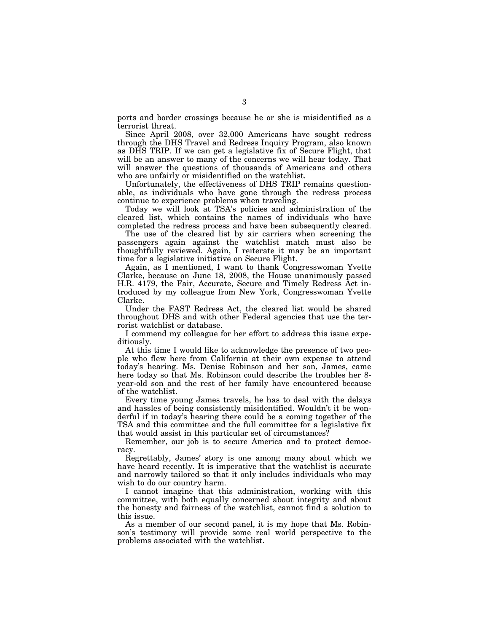ports and border crossings because he or she is misidentified as a terrorist threat.

Since April 2008, over 32,000 Americans have sought redress through the DHS Travel and Redress Inquiry Program, also known as DHS TRIP. If we can get a legislative fix of Secure Flight, that will be an answer to many of the concerns we will hear today. That will answer the questions of thousands of Americans and others who are unfairly or misidentified on the watchlist.

Unfortunately, the effectiveness of DHS TRIP remains questionable, as individuals who have gone through the redress process continue to experience problems when traveling.

Today we will look at TSA's policies and administration of the cleared list, which contains the names of individuals who have completed the redress process and have been subsequently cleared.

The use of the cleared list by air carriers when screening the passengers again against the watchlist match must also be thoughtfully reviewed. Again, I reiterate it may be an important time for a legislative initiative on Secure Flight.

Again, as I mentioned, I want to thank Congresswoman Yvette Clarke, because on June 18, 2008, the House unanimously passed H.R. 4179, the Fair, Accurate, Secure and Timely Redress Act introduced by my colleague from New York, Congresswoman Yvette Clarke.

Under the FAST Redress Act, the cleared list would be shared throughout DHS and with other Federal agencies that use the terrorist watchlist or database.

I commend my colleague for her effort to address this issue expeditiously.

At this time I would like to acknowledge the presence of two people who flew here from California at their own expense to attend today's hearing. Ms. Denise Robinson and her son, James, came here today so that Ms. Robinson could describe the troubles her 8 year-old son and the rest of her family have encountered because of the watchlist.

Every time young James travels, he has to deal with the delays and hassles of being consistently misidentified. Wouldn't it be wonderful if in today's hearing there could be a coming together of the TSA and this committee and the full committee for a legislative fix that would assist in this particular set of circumstances?

Remember, our job is to secure America and to protect democracy.

Regrettably, James' story is one among many about which we have heard recently. It is imperative that the watchlist is accurate and narrowly tailored so that it only includes individuals who may wish to do our country harm.

I cannot imagine that this administration, working with this committee, with both equally concerned about integrity and about the honesty and fairness of the watchlist, cannot find a solution to this issue.

As a member of our second panel, it is my hope that Ms. Robinson's testimony will provide some real world perspective to the problems associated with the watchlist.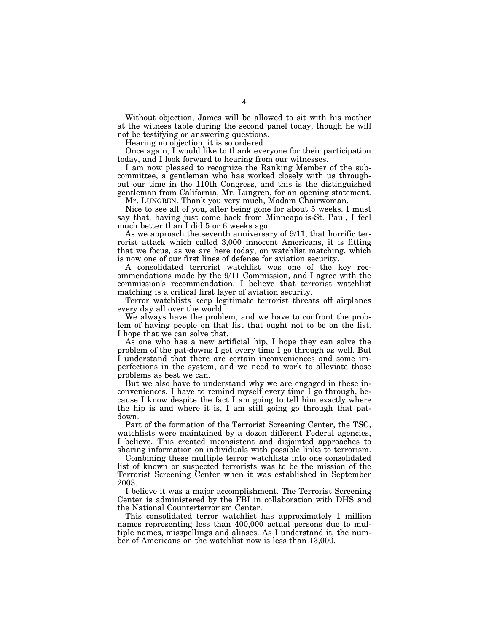Without objection, James will be allowed to sit with his mother at the witness table during the second panel today, though he will not be testifying or answering questions.

Hearing no objection, it is so ordered.

Once again, I would like to thank everyone for their participation today, and I look forward to hearing from our witnesses.

I am now pleased to recognize the Ranking Member of the subcommittee, a gentleman who has worked closely with us throughout our time in the 110th Congress, and this is the distinguished gentleman from California, Mr. Lungren, for an opening statement.

Mr. LUNGREN. Thank you very much, Madam Chairwoman.

Nice to see all of you, after being gone for about 5 weeks. I must say that, having just come back from Minneapolis-St. Paul, I feel much better than I did 5 or 6 weeks ago.

As we approach the seventh anniversary of 9/11, that horrific terrorist attack which called 3,000 innocent Americans, it is fitting that we focus, as we are here today, on watchlist matching, which is now one of our first lines of defense for aviation security.

A consolidated terrorist watchlist was one of the key recommendations made by the 9/11 Commission, and I agree with the commission's recommendation. I believe that terrorist watchlist matching is a critical first layer of aviation security.

Terror watchlists keep legitimate terrorist threats off airplanes every day all over the world.

We always have the problem, and we have to confront the problem of having people on that list that ought not to be on the list. I hope that we can solve that.

As one who has a new artificial hip, I hope they can solve the problem of the pat-downs I get every time I go through as well. But I understand that there are certain inconveniences and some imperfections in the system, and we need to work to alleviate those problems as best we can.

But we also have to understand why we are engaged in these inconveniences. I have to remind myself every time I go through, because I know despite the fact I am going to tell him exactly where the hip is and where it is, I am still going go through that patdown.

Part of the formation of the Terrorist Screening Center, the TSC, watchlists were maintained by a dozen different Federal agencies, I believe. This created inconsistent and disjointed approaches to sharing information on individuals with possible links to terrorism.

Combining these multiple terror watchlists into one consolidated list of known or suspected terrorists was to be the mission of the Terrorist Screening Center when it was established in September 2003.

I believe it was a major accomplishment. The Terrorist Screening Center is administered by the FBI in collaboration with DHS and the National Counterterrorism Center.

This consolidated terror watchlist has approximately 1 million names representing less than 400,000 actual persons due to multiple names, misspellings and aliases. As I understand it, the number of Americans on the watchlist now is less than 13,000.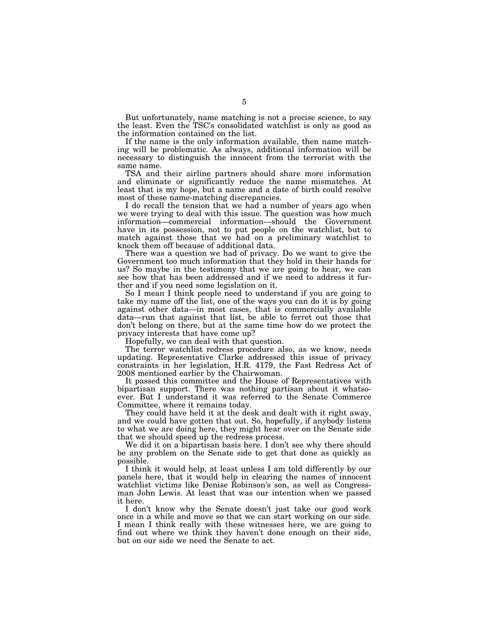But unfortunately, name matching is not a precise science, to say the least. Even the TSC's consolidated watchlist is only as good as the information contained on the list.

If the name is the only information available, then name matching will be problematic. As always, additional information will be necessary to distinguish the innocent from the terrorist with the same name.

TSA and their airline partners should share more information and eliminate or significantly reduce the name mismatches. At least that is my hope, but a name and a date of birth could resolve most of these name-matching discrepancies.

I do recall the tension that we had a number of years ago when we were trying to deal with this issue. The question was how much information—commercial information—should the Government have in its possession, not to put people on the watchlist, but to match against those that we had on a preliminary watchlist to knock them off because of additional data.

There was a question we had of privacy. Do we want to give the Government too much information that they hold in their hands for us? So maybe in the testimony that we are going to hear, we can see how that has been addressed and if we need to address it further and if you need some legislation on it.

So I mean I think people need to understand if you are going to take my name off the list, one of the ways you can do it is by going against other data—in most cases, that is commercially available data—run that against that list, be able to ferret out those that don't belong on there, but at the same time how do we protect the privacy interests that have come up?

Hopefully, we can deal with that question.

The terror watchlist redress procedure also, as we know, needs updating. Representative Clarke addressed this issue of privacy constraints in her legislation, H.R. 4179, the Fast Redress Act of 2008 mentioned earlier by the Chairwoman.

It passed this committee and the House of Representatives with bipartisan support. There was nothing partisan about it whatsoever. But I understand it was referred to the Senate Commerce Committee, where it remains today.

They could have held it at the desk and dealt with it right away, and we could have gotten that out. So, hopefully, if anybody listens to what we are doing here, they might hear over on the Senate side that we should speed up the redress process.

We did it on a bipartisan basis here. I don't see why there should be any problem on the Senate side to get that done as quickly as possible.

I think it would help, at least unless I am told differently by our panels here, that it would help in clearing the names of innocent watchlist victims like Denise Robinson's son, as well as Congressman John Lewis. At least that was our intention when we passed it here.

I don't know why the Senate doesn't just take our good work once in a while and move so that we can start working on our side. I mean I think really with these witnesses here, we are going to find out where we think they haven't done enough on their side, but on our side we need the Senate to act.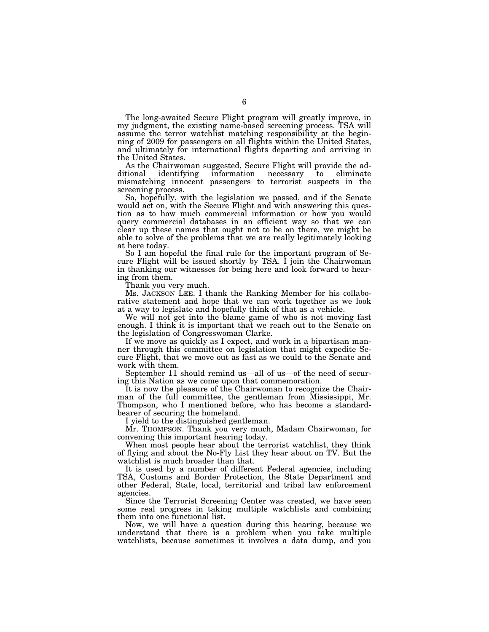The long-awaited Secure Flight program will greatly improve, in my judgment, the existing name-based screening process. TSA will assume the terror watchlist matching responsibility at the beginning of 2009 for passengers on all flights within the United States, and ultimately for international flights departing and arriving in the United States.

As the Chairwoman suggested, Secure Flight will provide the additional identifying information necessary to eliminate information necessary to eliminate mismatching innocent passengers to terrorist suspects in the screening process.

So, hopefully, with the legislation we passed, and if the Senate would act on, with the Secure Flight and with answering this question as to how much commercial information or how you would query commercial databases in an efficient way so that we can clear up these names that ought not to be on there, we might be able to solve of the problems that we are really legitimately looking at here today.

So I am hopeful the final rule for the important program of Secure Flight will be issued shortly by TSA. I join the Chairwoman in thanking our witnesses for being here and look forward to hearing from them.

Thank you very much.

Ms. JACKSON LEE. I thank the Ranking Member for his collaborative statement and hope that we can work together as we look at a way to legislate and hopefully think of that as a vehicle.

We will not get into the blame game of who is not moving fast enough. I think it is important that we reach out to the Senate on the legislation of Congresswoman Clarke.

If we move as quickly as I expect, and work in a bipartisan manner through this committee on legislation that might expedite Secure Flight, that we move out as fast as we could to the Senate and work with them.

September 11 should remind us—all of us—of the need of securing this Nation as we come upon that commemoration.

It is now the pleasure of the Chairwoman to recognize the Chairman of the full committee, the gentleman from Mississippi, Mr. Thompson, who I mentioned before, who has become a standardbearer of securing the homeland.

I yield to the distinguished gentleman.

Mr. THOMPSON. Thank you very much, Madam Chairwoman, for convening this important hearing today.

When most people hear about the terrorist watchlist, they think of flying and about the No-Fly List they hear about on TV. But the watchlist is much broader than that.

It is used by a number of different Federal agencies, including TSA, Customs and Border Protection, the State Department and other Federal, State, local, territorial and tribal law enforcement agencies.

Since the Terrorist Screening Center was created, we have seen some real progress in taking multiple watchlists and combining them into one functional list.

Now, we will have a question during this hearing, because we understand that there is a problem when you take multiple watchlists, because sometimes it involves a data dump, and you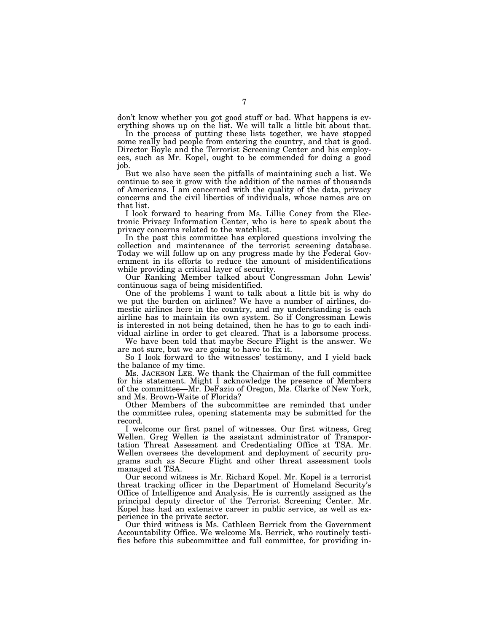don't know whether you got good stuff or bad. What happens is everything shows up on the list. We will talk a little bit about that.

In the process of putting these lists together, we have stopped some really bad people from entering the country, and that is good. Director Boyle and the Terrorist Screening Center and his employees, such as Mr. Kopel, ought to be commended for doing a good job.

But we also have seen the pitfalls of maintaining such a list. We continue to see it grow with the addition of the names of thousands of Americans. I am concerned with the quality of the data, privacy concerns and the civil liberties of individuals, whose names are on that list.

I look forward to hearing from Ms. Lillie Coney from the Electronic Privacy Information Center, who is here to speak about the privacy concerns related to the watchlist.

In the past this committee has explored questions involving the collection and maintenance of the terrorist screening database. Today we will follow up on any progress made by the Federal Government in its efforts to reduce the amount of misidentifications while providing a critical layer of security.

Our Ranking Member talked about Congressman John Lewis' continuous saga of being misidentified.

One of the problems I want to talk about a little bit is why do we put the burden on airlines? We have a number of airlines, domestic airlines here in the country, and my understanding is each airline has to maintain its own system. So if Congressman Lewis is interested in not being detained, then he has to go to each individual airline in order to get cleared. That is a laborsome process.

We have been told that maybe Secure Flight is the answer. We are not sure, but we are going to have to fix it.

So I look forward to the witnesses' testimony, and I yield back the balance of my time.

Ms. JACKSON LEE. We thank the Chairman of the full committee for his statement. Might I acknowledge the presence of Members of the committee—Mr. DeFazio of Oregon, Ms. Clarke of New York, and Ms. Brown-Waite of Florida?

Other Members of the subcommittee are reminded that under the committee rules, opening statements may be submitted for the record.

I welcome our first panel of witnesses. Our first witness, Greg Wellen. Greg Wellen is the assistant administrator of Transportation Threat Assessment and Credentialing Office at TSA. Mr. Wellen oversees the development and deployment of security programs such as Secure Flight and other threat assessment tools managed at TSA.

Our second witness is Mr. Richard Kopel. Mr. Kopel is a terrorist threat tracking officer in the Department of Homeland Security's Office of Intelligence and Analysis. He is currently assigned as the principal deputy director of the Terrorist Screening Center. Mr. Kopel has had an extensive career in public service, as well as experience in the private sector.

Our third witness is Ms. Cathleen Berrick from the Government Accountability Office. We welcome Ms. Berrick, who routinely testifies before this subcommittee and full committee, for providing in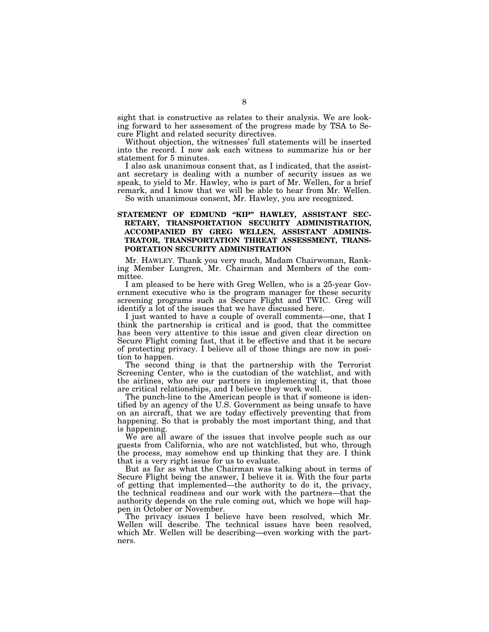sight that is constructive as relates to their analysis. We are looking forward to her assessment of the progress made by TSA to Secure Flight and related security directives.

Without objection, the witnesses' full statements will be inserted into the record. I now ask each witness to summarize his or her statement for 5 minutes.

I also ask unanimous consent that, as I indicated, that the assistant secretary is dealing with a number of security issues as we speak, to yield to Mr. Hawley, who is part of Mr. Wellen, for a brief remark, and I know that we will be able to hear from Mr. Wellen.

So with unanimous consent, Mr. Hawley, you are recognized.

### STATEMENT OF EDMUND "KIP" HAWLEY, ASSISTANT SEC-**RETARY, TRANSPORTATION SECURITY ADMINISTRATION, ACCOMPANIED BY GREG WELLEN, ASSISTANT ADMINIS-TRATOR, TRANSPORTATION THREAT ASSESSMENT, TRANS-PORTATION SECURITY ADMINISTRATION**

Mr. HAWLEY. Thank you very much, Madam Chairwoman, Ranking Member Lungren, Mr. Chairman and Members of the committee.

I am pleased to be here with Greg Wellen, who is a 25-year Government executive who is the program manager for these security screening programs such as Secure Flight and TWIC. Greg will identify a lot of the issues that we have discussed here.

I just wanted to have a couple of overall comments—one, that I think the partnership is critical and is good, that the committee has been very attentive to this issue and given clear direction on Secure Flight coming fast, that it be effective and that it be secure of protecting privacy. I believe all of those things are now in position to happen.

The second thing is that the partnership with the Terrorist Screening Center, who is the custodian of the watchlist, and with the airlines, who are our partners in implementing it, that those are critical relationships, and I believe they work well.

The punch-line to the American people is that if someone is identified by an agency of the U.S. Government as being unsafe to have on an aircraft, that we are today effectively preventing that from happening. So that is probably the most important thing, and that is happening.

We are all aware of the issues that involve people such as our guests from California, who are not watchlisted, but who, through the process, may somehow end up thinking that they are. I think that is a very right issue for us to evaluate.

But as far as what the Chairman was talking about in terms of Secure Flight being the answer, I believe it is. With the four parts of getting that implemented—the authority to do it, the privacy, the technical readiness and our work with the partners—that the authority depends on the rule coming out, which we hope will happen in October or November.

The privacy issues I believe have been resolved, which Mr. Wellen will describe. The technical issues have been resolved, which Mr. Wellen will be describing—even working with the partners.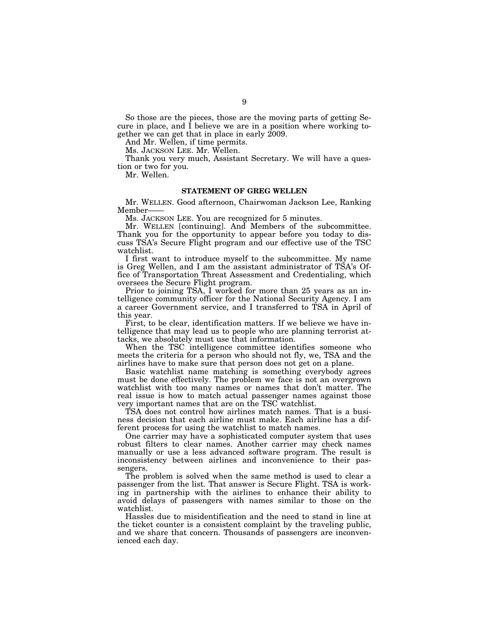So those are the pieces, those are the moving parts of getting Secure in place, and  $\overline{I}$  believe we are in a position where working together we can get that in place in early 2009.

And Mr. Wellen, if time permits.

Ms. JACKSON LEE. Mr. Wellen.

Thank you very much, Assistant Secretary. We will have a question or two for you.

Mr. Wellen.

#### **STATEMENT OF GREG WELLEN**

Mr. WELLEN. Good afternoon, Chairwoman Jackson Lee, Ranking Member——

Ms. JACKSON LEE. You are recognized for 5 minutes.

Mr. WELLEN [continuing]. And Members of the subcommittee. Thank you for the opportunity to appear before you today to discuss TSA's Secure Flight program and our effective use of the TSC watchlist.

I first want to introduce myself to the subcommittee. My name is Greg Wellen, and I am the assistant administrator of TSA's Office of Transportation Threat Assessment and Credentialing, which oversees the Secure Flight program.

Prior to joining TSA, I worked for more than 25 years as an intelligence community officer for the National Security Agency. I am a career Government service, and I transferred to TSA in April of this year.

First, to be clear, identification matters. If we believe we have intelligence that may lead us to people who are planning terrorist attacks, we absolutely must use that information.

When the TSC intelligence committee identifies someone who meets the criteria for a person who should not fly, we, TSA and the airlines have to make sure that person does not get on a plane.

Basic watchlist name matching is something everybody agrees must be done effectively. The problem we face is not an overgrown watchlist with too many names or names that don't matter. The real issue is how to match actual passenger names against those very important names that are on the TSC watchlist.

TSA does not control how airlines match names. That is a business decision that each airline must make. Each airline has a different process for using the watchlist to match names.

One carrier may have a sophisticated computer system that uses robust filters to clear names. Another carrier may check names manually or use a less advanced software program. The result is inconsistency between airlines and inconvenience to their passengers.

The problem is solved when the same method is used to clear a passenger from the list. That answer is Secure Flight. TSA is working in partnership with the airlines to enhance their ability to avoid delays of passengers with names similar to those on the watchlist.

Hassles due to misidentification and the need to stand in line at the ticket counter is a consistent complaint by the traveling public, and we share that concern. Thousands of passengers are inconvenienced each day.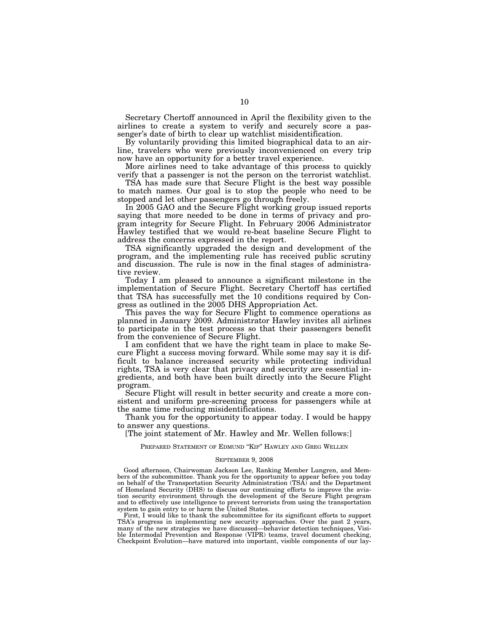Secretary Chertoff announced in April the flexibility given to the airlines to create a system to verify and securely score a passenger's date of birth to clear up watchlist misidentification.

By voluntarily providing this limited biographical data to an airline, travelers who were previously inconvenienced on every trip now have an opportunity for a better travel experience.

More airlines need to take advantage of this process to quickly verify that a passenger is not the person on the terrorist watchlist.

TSA has made sure that Secure Flight is the best way possible to match names. Our goal is to stop the people who need to be stopped and let other passengers go through freely.

In 2005 GAO and the Secure Flight working group issued reports saying that more needed to be done in terms of privacy and program integrity for Secure Flight. In February 2006 Administrator Hawley testified that we would re-beat baseline Secure Flight to address the concerns expressed in the report.

TSA significantly upgraded the design and development of the program, and the implementing rule has received public scrutiny and discussion. The rule is now in the final stages of administrative review.

Today I am pleased to announce a significant milestone in the implementation of Secure Flight. Secretary Chertoff has certified that TSA has successfully met the 10 conditions required by Congress as outlined in the 2005 DHS Appropriation Act.

This paves the way for Secure Flight to commence operations as planned in January 2009. Administrator Hawley invites all airlines to participate in the test process so that their passengers benefit from the convenience of Secure Flight.

I am confident that we have the right team in place to make Secure Flight a success moving forward. While some may say it is difficult to balance increased security while protecting individual rights, TSA is very clear that privacy and security are essential ingredients, and both have been built directly into the Secure Flight program.

Secure Flight will result in better security and create a more consistent and uniform pre-screening process for passengers while at the same time reducing misidentifications.

Thank you for the opportunity to appear today. I would be happy to answer any questions.

[The joint statement of Mr. Hawley and Mr. Wellen follows:]

PREPARED STATEMENT OF EDMUND ''KIP'' HAWLEY AND GREG WELLEN

#### SEPTEMBER 9, 2008

Good afternoon, Chairwoman Jackson Lee, Ranking Member Lungren, and Members of the subcommittee. Thank you for the opportunity to appear before you today on behalf of the Transportation Security Administration (TSA) and the Department of Homeland Security (DHS) to discuss our continuing efforts to improve the aviation security environment through the development of the Secure Flight program and to effectively use intelligence to prevent terrorists from using the transportation system to gain entry to or harm the United States.

First, I would like to thank the subcommittee for its significant efforts to support TSA's progress in implementing new security approaches. Over the past 2 years, many of the new strategies we have discussed—behavior detection techniques, Visible Intermodal Prevention and Response (VIPR) teams, travel document checking, Checkpoint Evolution—have matured into important, visible components of our lay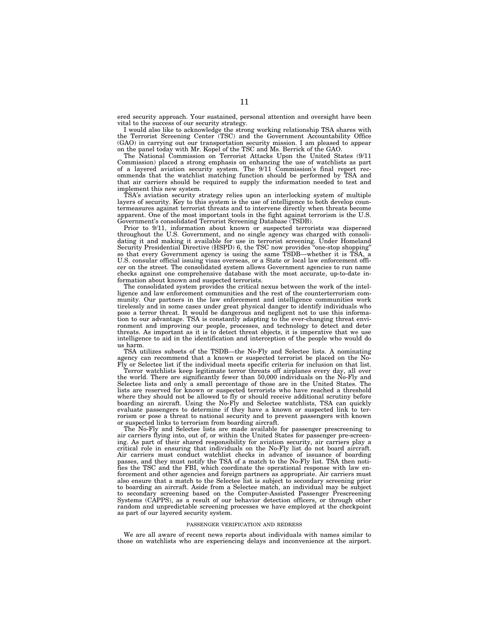ered security approach. Your sustained, personal attention and oversight have been vital to the success of our security strategy.

I would also like to acknowledge the strong working relationship TSA shares with the Terrorist Screening Center (TSC) and the Government Accountability Office (GAO) in carrying out our transportation security mission. I am pleased to appear on the panel today with Mr. Kopel of the TSC and Ms. Berrick of the GAO.

The National Commission on Terrorist Attacks Upon the United States (9/11 Commission) placed a strong emphasis on enhancing the use of watchlists as part of a layered aviation security system. The 9/11 Commission's final report recommends that the watchlist matching function should be performed by TSA and that air carriers should be required to supply the information needed to test and implement this new system.

TSA's aviation security strategy relies upon an interlocking system of multiple layers of security. Key to this system is the use of intelligence to both develop countermeasures against terrorist threats and to intervene directly when threats become apparent. One of the most important tools in the fight against terrorism is the U.S. Government's consolidated Terrorist Screening Database (TSDB).

Prior to 9/11, information about known or suspected terrorists was dispersed throughout the U.S. Government, and no single agency was charged with consolidating it and making it available for use in terrorist screening. Under Homeland Security Presidential Directive (HSPD) 6, the TSC now provides ''one-stop shopping'' so that every Government agency is using the same TSDB—whether it is TSA, a U.S. consular official issuing visas overseas, or a State or local law enforcement officer on the street. The consolidated system allows Government agencies to run name checks against one comprehensive database with the most accurate, up-to-date information about known and suspected terrorists.

The consolidated system provides the critical nexus between the work of the intelligence and law enforcement communities and the rest of the counterterrorism community. Our partners in the law enforcement and intelligence communities work tirelessly and in some cases under great physical danger to identify individuals who pose a terror threat. It would be dangerous and negligent not to use this information to our advantage. TSA is constantly adapting to the ever-changing threat environment and improving our people, processes, and technology to detect and deter threats. As important as it is to detect threat objects, it is imperative that we use intelligence to aid in the identification and interception of the people who would do us harm.

TSA utilizes subsets of the TSDB—the No-Fly and Selectee lists. A nominating agency can recommend that a known or suspected terrorist be placed on the No-Fly or Selectee list if the individual meets specific criteria for inclusion on that list.

Terror watchlists keep legitimate terror threats off airplanes every day, all over the world. There are significantly fewer than 50,000 individuals on the No-Fly and Selectee lists and only a small percentage of those are in the United States. The lists are reserved for known or suspected terrorists who have reached a threshold where they should not be allowed to fly or should receive additional scrutiny before boarding an aircraft. Using the No-Fly and Selectee watchlists, TSA can quickly evaluate passengers to determine if they have a known or suspected link to terrorism or pose a threat to national security and to prevent passengers with known or suspected links to terrorism from boarding aircraft.

The No-Fly and Selectee lists are made available for passenger prescreening to air carriers flying into, out of, or within the United States for passenger pre-screening. As part of their shared responsibility for aviation security, air carriers play a critical role in ensuring that individuals on the No-Fly list do not board aircraft. Air carriers must conduct watchlist checks in advance of issuance of boarding passes, and they must notify the TSA of a match to the No-Fly list. TSA then notifies the TSC and the FBI, which coordinate the operational response with law enforcement and other agencies and foreign partners as appropriate. Air carriers must also ensure that a match to the Selectee list is subject to secondary screening prior to boarding an aircraft. Aside from a Selectee match, an individual may be subject to secondary screening based on the Computer-Assisted Passenger Prescreening Systems (CAPPS), as a result of our behavior detection officers, or through other random and unpredictable screening processes we have employed at the checkpoint as part of our layered security system.

#### PASSENGER VERIFICATION AND REDRESS

We are all aware of recent news reports about individuals with names similar to those on watchlists who are experiencing delays and inconvenience at the airport.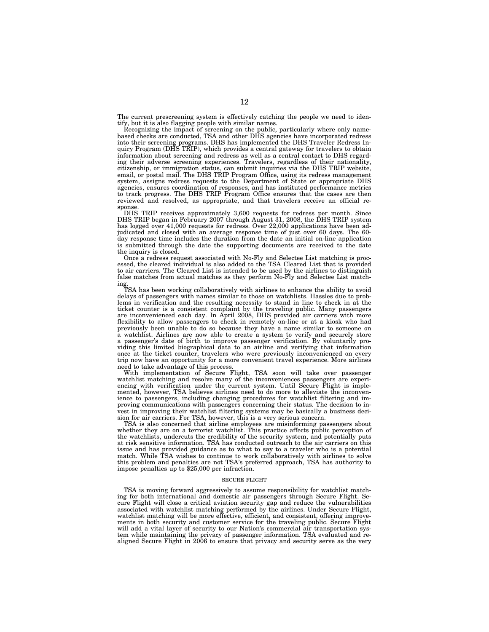The current prescreening system is effectively catching the people we need to identify, but it is also flagging people with similar names.

Recognizing the impact of screening on the public, particularly where only namebased checks are conducted, TSA and other DHS agencies have incorporated redress into their screening programs. DHS has implemented the DHS Traveler Redress Inquiry Program (DHS TRIP), which provides a central gateway for travelers to obtain information about screening and redress as well as a central contact to DHS regarding their adverse screening experiences. Travelers, regardless of their nationality, citizenship, or immigration status, can submit inquiries via the DHS TRIP website, email, or postal mail. The DHS TRIP Program Office, using its redress management system, assigns redress requests to the Department of State or appropriate DHS agencies, ensures coordination of responses, and has instituted performance metrics to track progress. The DHS TRIP Program Office ensures that the cases are then reviewed and resolved, as appropriate, and that travelers receive an official response.

DHS TRIP receives approximately 3,600 requests for redress per month. Since DHS TRIP began in February 2007 through August 31, 2008, the DHS TRIP system has logged over 41,000 requests for redress. Over 22,000 applications have been adjudicated and closed with an average response time of just over 60 days. The 60 day response time includes the duration from the date an initial on-line application is submitted through the date the supporting documents are received to the date the inquiry is closed.

Once a redress request associated with No-Fly and Selectee List matching is processed, the cleared individual is also added to the TSA Cleared List that is provided to air carriers. The Cleared List is intended to be used by the airlines to distinguish false matches from actual matches as they perform No-Fly and Selectee List matching.

TSA has been working collaboratively with airlines to enhance the ability to avoid delays of passengers with names similar to those on watchlists. Hassles due to problems in verification and the resulting necessity to stand in line to check in at the ticket counter is a consistent complaint by the traveling public. Many passengers are inconvenienced each day. In April 2008, DHS provided air carriers with more flexibility to allow passengers to check in remotely on-line or at a kiosk who had previously been unable to do so because they have a name similar to someone on a watchlist. Airlines are now able to create a system to verify and securely store a passenger's date of birth to improve passenger verification. By voluntarily providing this limited biographical data to an airline and verifying that information once at the ticket counter, travelers who were previously inconvenienced on every trip now have an opportunity for a more convenient travel experience. More airlines need to take advantage of this process.

With implementation of Secure Flight, TSA soon will take over passenger watchlist matching and resolve many of the inconveniences passengers are experiencing with verification under the current system. Until Secure Flight is implemented, however, TSA believes airlines need to do more to alleviate the inconvenience to passengers, including changing procedures for watchlist filtering and improving communications with passengers concerning their status. The decision to invest in improving their watchlist filtering systems may be basically a business decision for air carriers. For TSA, however, this is a very serious concern.

TSA is also concerned that airline employees are misinforming passengers about whether they are on a terrorist watchlist. This practice affects public perception of the watchlists, undercuts the credibility of the security system, and potentially puts at risk sensitive information. TSA has conducted outreach to the air carriers on this issue and has provided guidance as to what to say to a traveler who is a potential match. While TSA wishes to continue to work collaboratively with airlines to solve this problem and penalties are not TSA's preferred approach, TSA has authority to impose penalties up to \$25,000 per infraction.

#### SECURE FLIGHT

TSA is moving forward aggressively to assume responsibility for watchlist matching for both international and domestic air passengers through Secure Flight. Secure Flight will close a critical aviation security gap and reduce the vulnerabilities associated with watchlist matching performed by the airlines. Under Secure Flight, watchlist matching will be more effective, efficient, and consistent, offering improvements in both security and customer service for the traveling public. Secure Flight will add a vital layer of security to our Nation's commercial air transportation system while maintaining the privacy of passenger information. TSA evaluated and realigned Secure Flight in 2006 to ensure that privacy and security serve as the very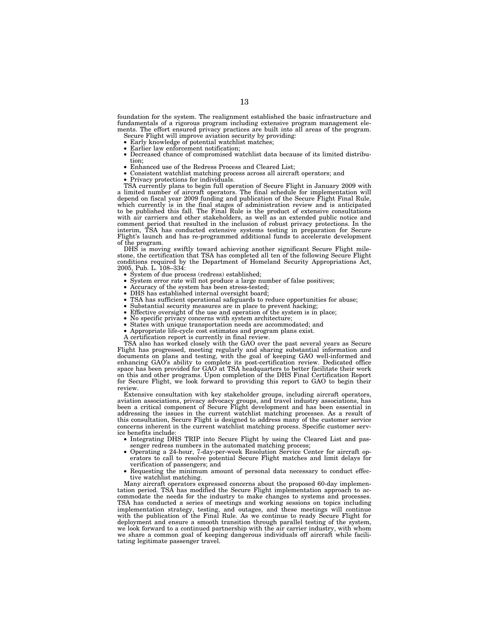foundation for the system. The realignment established the basic infrastructure and fundamentals of a rigorous program including extensive program management elements. The effort ensured privacy practices are built into all areas of the program.

- Secure Flight will improve aviation security by providing:<br>• Early knowledge of potential watchlist matches;
- 
- Earlier law enforcement notification;<br>• Decreased chance of compromised watchlist data because of its limited distribu-<br>tion:
- 
- tion; Enhanced use of the Redress Process and Cleared List; Consistent watchlist matching process across all aircraft operators; and Privacy protections for individuals.
- 

TSA currently plans to begin full operation of Secure Flight in January 2009 with a limited number of aircraft operators. The final schedule for implementation will depend on fiscal year 2009 funding and publication of the Secure Flight Final Rule,<br>which currently is in the final stages of administration review and is anticipated<br>to be published this fall. The Final Rule is the produc comment period that resulted in the inclusion of robust privacy protections. In the interim, TSA has conducted extensive systems testing in preparation for Secure Flight's launch and has re-programmed additional funds to accelerate development of the program.

DHS is moving swiftly toward achieving another significant Secure Flight mile-stone, the certification that TSA has completed all ten of the following Secure Flight conditions required by the Department of Homeland Security Appropriations Act, 2005, Pub. L. 108–334:

- 
- 
- 
- 
- System of due process (redress) established;<br>
 System error rate will not produce a large number of false positives;<br>
 Accuracy of the system has been stress-tested;<br>
 DHS has established internal oversight board;<br>
•
- 
- 
- 
- 
- 
- A certification report is currently in final review.

TSA also has worked closely with the GAO over the past several years as Secure Flight has progressed, meeting regularly and sharing substantial information and documents on plans and testing, with the goal of keeping GAO well-informed and enhancing GAO's ability to complete its post-certification review. Dedicated office space has been provided for GAO at TSA headquarters to better facilitate their work on this and other programs. Upon completion of the DHS Final Certification Report for Secure Flight, we look forward to providing this report to GAO to begin their review.

Extensive consultation with key stakeholder groups, including aircraft operators, aviation associations, privacy advocacy groups, and travel industry associations, has been a critical component of Secure Flight development and has been essential in addressing the issues in the current watchlist matching processes. As a result of this consultation, Secure Flight is designed to address many of the customer service concerns inherent in the current watchlist matching process. Specific customer service benefits include:

- Integrating DHS TRIP into Secure Flight by using the Cleared List and passenger redress numbers in the automated matching process;
- Operating a 24-hour, 7-day-per-week Resolution Service Center for aircraft operators to call to resolve potential Secure Flight matches and limit delays for verification of passengers; and
- Requesting the minimum amount of personal data necessary to conduct effective watchlist matching.

Many aircraft operators expressed concerns about the proposed 60-day implementation period. TSA has modified the Secure Flight implementation approach to accommodate the needs for the industry to make changes to systems and processes. TSA has conducted a series of meetings and working sessions on topics including implementation strategy, testing, and outages, and these meetings will continue with the publication of the Final Rule. As we continue to ready Secure Flight for deployment and ensure a smooth transition through parallel testing of the system, we look forward to a continued partnership with the air carrier industry, with whom we share a common goal of keeping dangerous individuals off aircraft while facilitating legitimate passenger travel.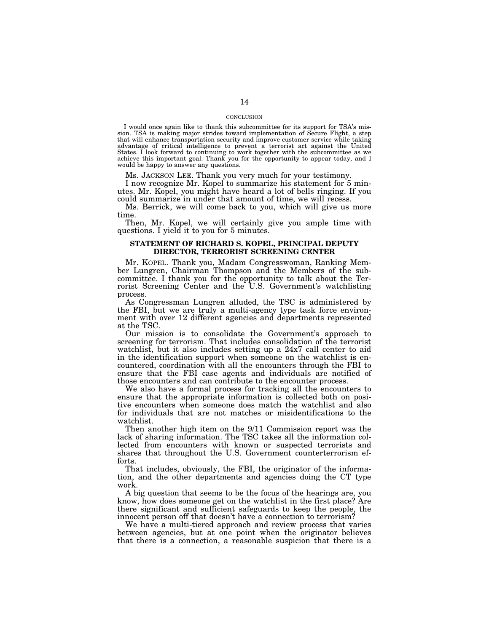#### **CONCLUSION**

I would once again like to thank this subcommittee for its support for TSA's mis-sion. TSA is making major strides toward implementation of Secure Flight, a step that will enhance transportation security and improve customer service while taking advantage of critical intelligence to prevent a terrorist act against the United States. I look forward to continuing to work together with the subcommittee as we achieve this important goal. Thank you for the opportunity to appear today, and I would be happy to answer any questions.

Ms. JACKSON LEE. Thank you very much for your testimony.

I now recognize Mr. Kopel to summarize his statement for 5 minutes. Mr. Kopel, you might have heard a lot of bells ringing. If you could summarize in under that amount of time, we will recess.

Ms. Berrick, we will come back to you, which will give us more time.

Then, Mr. Kopel, we will certainly give you ample time with questions. I yield it to you for 5 minutes.

#### **STATEMENT OF RICHARD S. KOPEL, PRINCIPAL DEPUTY DIRECTOR, TERRORIST SCREENING CENTER**

Mr. KOPEL. Thank you, Madam Congresswoman, Ranking Member Lungren, Chairman Thompson and the Members of the subcommittee. I thank you for the opportunity to talk about the Terrorist Screening Center and the U.S. Government's watchlisting process.

As Congressman Lungren alluded, the TSC is administered by the FBI, but we are truly a multi-agency type task force environment with over 12 different agencies and departments represented at the TSC.

Our mission is to consolidate the Government's approach to screening for terrorism. That includes consolidation of the terrorist watchlist, but it also includes setting up a 24x7 call center to aid in the identification support when someone on the watchlist is encountered, coordination with all the encounters through the FBI to ensure that the FBI case agents and individuals are notified of those encounters and can contribute to the encounter process.

We also have a formal process for tracking all the encounters to ensure that the appropriate information is collected both on positive encounters when someone does match the watchlist and also for individuals that are not matches or misidentifications to the watchlist.

Then another high item on the 9/11 Commission report was the lack of sharing information. The TSC takes all the information collected from encounters with known or suspected terrorists and shares that throughout the U.S. Government counterterrorism efforts.

That includes, obviously, the FBI, the originator of the information, and the other departments and agencies doing the CT type work.

A big question that seems to be the focus of the hearings are, you know, how does someone get on the watchlist in the first place? Are there significant and sufficient safeguards to keep the people, the innocent person off that doesn't have a connection to terrorism?

We have a multi-tiered approach and review process that varies between agencies, but at one point when the originator believes that there is a connection, a reasonable suspicion that there is a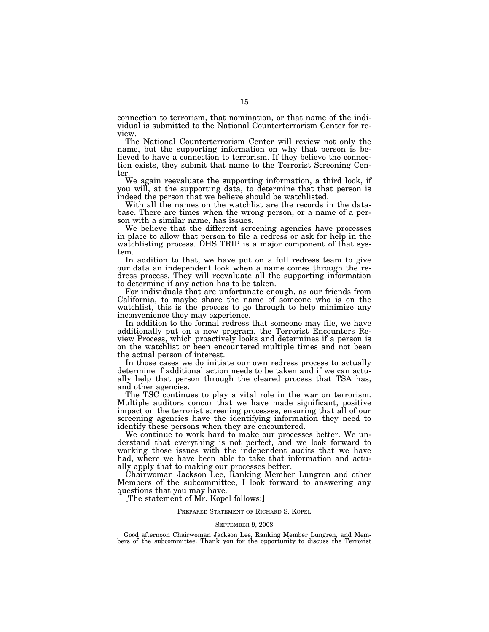connection to terrorism, that nomination, or that name of the individual is submitted to the National Counterterrorism Center for review.

The National Counterterrorism Center will review not only the name, but the supporting information on why that person is believed to have a connection to terrorism. If they believe the connection exists, they submit that name to the Terrorist Screening Center.

We again reevaluate the supporting information, a third look, if you will, at the supporting data, to determine that that person is indeed the person that we believe should be watchlisted.

With all the names on the watchlist are the records in the database. There are times when the wrong person, or a name of a person with a similar name, has issues.

We believe that the different screening agencies have processes in place to allow that person to file a redress or ask for help in the watchlisting process. DHS TRIP is a major component of that system.

In addition to that, we have put on a full redress team to give our data an independent look when a name comes through the redress process. They will reevaluate all the supporting information to determine if any action has to be taken.

For individuals that are unfortunate enough, as our friends from California, to maybe share the name of someone who is on the watchlist, this is the process to go through to help minimize any inconvenience they may experience.

In addition to the formal redress that someone may file, we have additionally put on a new program, the Terrorist Encounters Review Process, which proactively looks and determines if a person is on the watchlist or been encountered multiple times and not been the actual person of interest.

In those cases we do initiate our own redress process to actually determine if additional action needs to be taken and if we can actually help that person through the cleared process that TSA has, and other agencies.

The TSC continues to play a vital role in the war on terrorism. Multiple auditors concur that we have made significant, positive impact on the terrorist screening processes, ensuring that all of our screening agencies have the identifying information they need to identify these persons when they are encountered.

We continue to work hard to make our processes better. We understand that everything is not perfect, and we look forward to working those issues with the independent audits that we have had, where we have been able to take that information and actually apply that to making our processes better.

Chairwoman Jackson Lee, Ranking Member Lungren and other Members of the subcommittee, I look forward to answering any questions that you may have.

[The statement of Mr. Kopel follows:]

#### PREPARED STATEMENT OF RICHARD S. KOPEL

#### SEPTEMBER 9, 2008

Good afternoon Chairwoman Jackson Lee, Ranking Member Lungren, and Members of the subcommittee. Thank you for the opportunity to discuss the Terrorist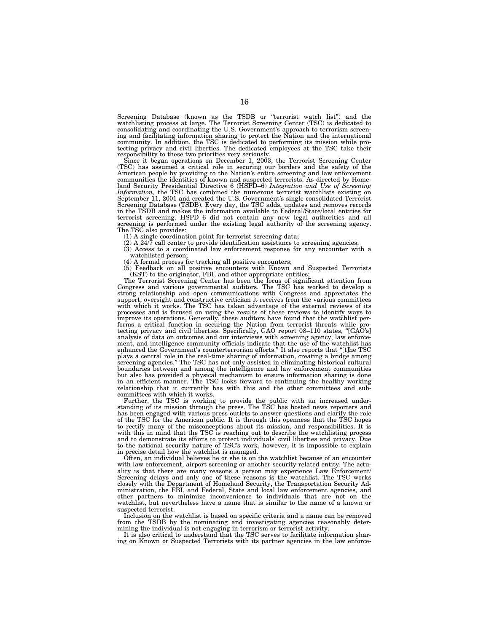Screening Database (known as the TSDB or ''terrorist watch list'') and the watchlisting process at large. The Terrorist Screening Center (TSC) is dedicated to consolidating and coordinating the U.S. Government's approach to terrorism screening and facilitating information sharing to protect the Nation and the international community. In addition, the TSC is dedicated to performing its mission while protecting privacy and civil liberties. The dedicated employ responsibility to these two priorities very seriously.

Since it began operations on December 1, 2003, the Terrorist Screening Center (TSC) has assumed a critical role in securing our borders and the safety of the American people by providing to the Nation's entire screening and law enforcement communities the identities of known and suspected terrorists. As directed by Homeland Security Presidential Directive 6 (HSPD–6) *Integration and Use of Screening Information,* the TSC has combined the numerous terrorist watchlists existing on September 11, 2001 and created the U.S. Government's single consolidated Terrorist Screening Database (TSDB). Every day, the TSC adds, updates and removes records in the TSDB and makes the information available to Federal/State/local entities for terrorist screening. HSPD–6 did not contain any new legal authorities and all screening is performed under the existing legal authority of the screening agency. The TSC also provides:

- (1) A single coordination point for terrorist screening data; (2) A 24/7 call center to provide identification assistance to screening agencies;
- (3) Access to a coordinated law enforcement response for any encounter with a watchlisted person;
- 
- (4) A formal process for tracking all positive encounters; (5) Feedback on all positive encounters with Known and Suspected Terrorists (KST) to the originator, FBI, and other appropriate entities;

The Terrorist Screening Center has been the focus of significant attention from<br>Congress and various governmental auditors. The TSC has worked to develop a<br>strong relationship and open communications with Congress and appr support, oversight and constructive criticism it receives from the various committees with which it works. The TSC has taken advantage of the external reviews of its processes and is focused on using the results of these reviews to identify ways to improve its operations. Generally, these auditors have found that the watchlist performs a critical function in securing the Nation from terrorist threats while protecting privacy and civil liberties. Specifically, GAO report 08–110 states, ''[GAO's] analysis of data on outcomes and our interviews with screening agency, law enforcement, and intelligence community officials indicate that the use of the watchlist has enhanced the Government's counterterrorism efforts.'' It also reports that ''[t]he TSC plays a central role in the real-time sharing of information, creating a bridge among<br>screening agencies." The TSC has not only assisted in eliminating historical cultural<br>boundaries between and among the intelligence and but also has provided a physical mechanism to ensure information sharing is done in an efficient manner. The TSC looks forward to continuing the healthy working relationship that it currently has with this and the other committees and subcommittees with which it works.

Further, the TSC is working to provide the public with an increased understanding of its mission through the press. The TSC has hosted news reporters and has been engaged with various press outlets to answer questions and clarify the role of the TSC for the American public. It is through this openness that the TSC hopes to rectify many of the misconceptions about its mission, and responsibilities. It is with this in mind that the TSC is reaching out to describe the watchlisting process and to demonstrate its efforts to protect individuals' civil liberties and privacy. Due to the national security nature of TSC's work, however, it is impossible to explain in precise detail how the watchlist is managed.

Often, an individual believes he or she is on the watchlist because of an encounter with law enforcement, airport screening or another security-related entity. The actuality is that there are many reasons a person may experience Law Enforcement/ Screening delays and only one of these reasons is the watchlist. The TSC works closely with the Department of Homeland Security, the Transportation Security Administration, the FBI, and Federal, State and local law enforcement agencies, and other partners to minimize inconvenience to individuals that are not on the watchlist, but nevertheless have a name that is similar to the name of a known or suspected terrorist.

Inclusion on the watchlist is based on specific criteria and a name can be removed from the TSDB by the nominating and investigating agencies reasonably determining the individual is not engaging in terrorism or terrorist activity.

It is also critical to understand that the TSC serves to facilitate information sharing on Known or Suspected Terrorists with its partner agencies in the law enforce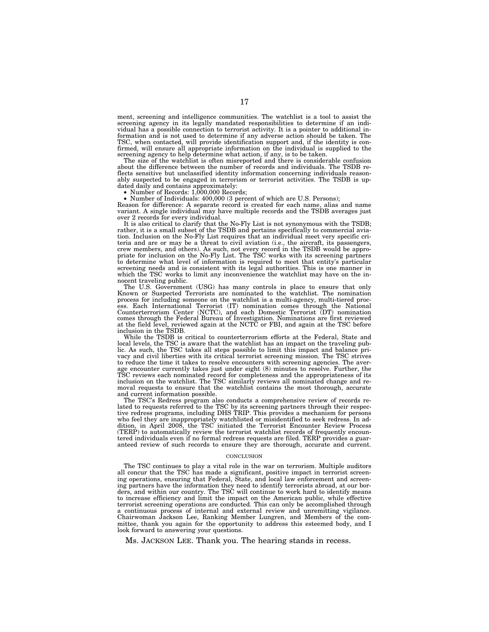ment, screening and intelligence communities. The watchlist is a tool to assist the screening agency in its legally mandated responsibilities to determine if an individual has a possible connection to terrorist activity. It is a pointer to additional information and is not used to determine if any adverse action should be taken. The TSC, when contacted, will provide identification support and, if the identity is confirmed, will ensure all appropriate information on the individual is supplied to the screening agency to help determine what action, if any, is to be taken.

The size of the watchlist is often misreported and there is considerable confusion about the difference between the number of records and individuals. The TSDB reflects sensitive but unclassified identity information concerning individuals reasonably suspected to be engaged in terrorism or terrorist activities. The TSDB is up-<br>dated daily and contains approximately:<br>• Number of Records: 1,000,000 Records;

• Number of Individuals: 400,000 (3 percent of which are U.S. Persons);

Reason for difference: A separate record is created for each name, alias and name variant. A single individual may have multiple records and the TSDB averages just over 2 records for every individual.

It is also critical to clarify that the No-Fly List is not synonymous with the TSDB; rather, it is a small subset of the TSDB and pertains specifically to commercial aviation. Inclusion on the No-Fly List requires that an individual meet very specific cri-teria and are or may be a threat to civil aviation (i.e., the aircraft, its passengers, crew members, and others). As such, not every record in the TSDB would be appro-priate for inclusion on the No-Fly List. The TSC works with its screening partners to determine what level of information is required to meet that entity's particular screening needs and is consistent with its legal authorities. This is one manner in which the TSC works to limit any inconvenience the watchlist may have on the innocent traveling public.

The U.S. Government (USG) has many controls in place to ensure that only Known or Suspected Terrorists are nominated to the watchlist. The nomination process for including someone on the watchlist is a multi-agency, multi-tiered process. Each International Terrorist (IT) nomination comes through the National Counterterrorism Center (NCTC), and each Domestic Terrorist (DT) nomination comes through the Federal Bureau of Investigation. Nominations are first reviewed at the field level, reviewed again at the NCTC or FBI, and again at the TSC before inclusion in the TSDB.

While the TSDB is critical to counterterrorism efforts at the Federal, State and local levels, the TSC is aware that the watchlist has an impact on the traveling public. As such, the TSC takes all steps possible to limit this impact and balance pri-vacy and civil liberties with its critical terrorist screening mission. The TSC strives to reduce the time it takes to resolve encounters with screening agencies. The average encounter currently takes just under eight (8) minutes to resolve. Further, the TSC reviews each nominated record for completeness and the appropriateness of its inclusion on the watchlist. The TSC similarly reviews all nominated change and removal requests to ensure that the watchlist contains the most thorough, accurate and current information possible.

The TSC's Redress program also conducts a comprehensive review of records re-lated to requests referred to the TSC by its screening partners through their respective redress programs, including DHS TRIP. This provides a mechanism for persons who feel they are inappropriately watchlisted or misidentified to seek redress. In addition, in April 2008, the TSC initiated the Terrorist Encounter Review Process<br>(TERP) to automatically review the terrorist watchlist re tered individuals even if no formal redress requests are filed. TERP provides a guaranteed review of such records to ensure they are thorough, accurate and current.

#### **CONCLUSION**

The TSC continues to play a vital role in the war on terrorism. Multiple auditors all concur that the TSC has made a significant, positive impact in terrorist screening operations, ensuring that Federal, State, and local law enforcement and screening partners have the information they need to identify terrorists abroad, at our borders, and within our country. The TSC will continue to work hard to identify means to increase efficiency and limit the impact on the American public, while effective terrorist screening operations are conducted. This can only be accomplished through a continuous process of internal and external review and unremitting vigilance. Chairwoman Jackson Lee, Ranking Member Lungren, and Members of the committee, thank you again for the opportunity to address this esteemed body, and I look forward to answering your questions.

Ms. JACKSON LEE. Thank you. The hearing stands in recess.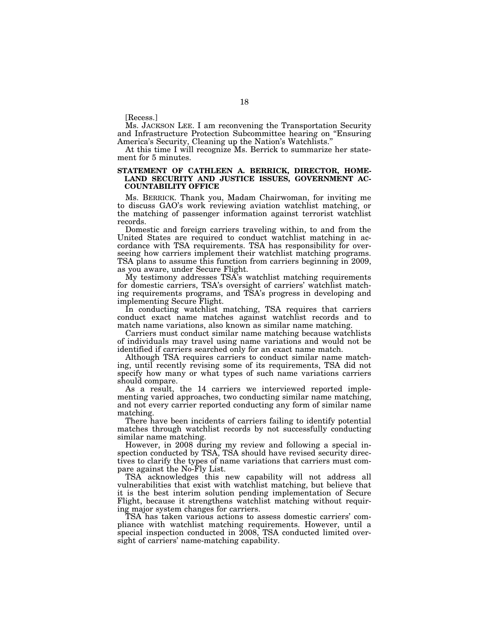[Recess.]

Ms. JACKSON LEE. I am reconvening the Transportation Security and Infrastructure Protection Subcommittee hearing on ''Ensuring America's Security, Cleaning up the Nation's Watchlists.''

At this time I will recognize Ms. Berrick to summarize her statement for 5 minutes.

### **STATEMENT OF CATHLEEN A. BERRICK, DIRECTOR, HOME-LAND SECURITY AND JUSTICE ISSUES, GOVERNMENT AC-COUNTABILITY OFFICE**

Ms. BERRICK. Thank you, Madam Chairwoman, for inviting me to discuss GAO's work reviewing aviation watchlist matching, or the matching of passenger information against terrorist watchlist records.

Domestic and foreign carriers traveling within, to and from the United States are required to conduct watchlist matching in accordance with TSA requirements. TSA has responsibility for overseeing how carriers implement their watchlist matching programs. TSA plans to assume this function from carriers beginning in 2009, as you aware, under Secure Flight.

My testimony addresses TSA's watchlist matching requirements for domestic carriers, TSA's oversight of carriers' watchlist matching requirements programs, and TSA's progress in developing and implementing Secure Flight.

In conducting watchlist matching, TSA requires that carriers conduct exact name matches against watchlist records and to match name variations, also known as similar name matching.

Carriers must conduct similar name matching because watchlists of individuals may travel using name variations and would not be identified if carriers searched only for an exact name match.

Although TSA requires carriers to conduct similar name matching, until recently revising some of its requirements, TSA did not specify how many or what types of such name variations carriers should compare.

As a result, the 14 carriers we interviewed reported implementing varied approaches, two conducting similar name matching, and not every carrier reported conducting any form of similar name matching.

There have been incidents of carriers failing to identify potential matches through watchlist records by not successfully conducting similar name matching.

However, in 2008 during my review and following a special inspection conducted by TSA, TSA should have revised security directives to clarify the types of name variations that carriers must compare against the No-Fly List.

TSA acknowledges this new capability will not address all vulnerabilities that exist with watchlist matching, but believe that it is the best interim solution pending implementation of Secure Flight, because it strengthens watchlist matching without requiring major system changes for carriers.

TSA has taken various actions to assess domestic carriers' compliance with watchlist matching requirements. However, until a special inspection conducted in 2008, TSA conducted limited oversight of carriers' name-matching capability.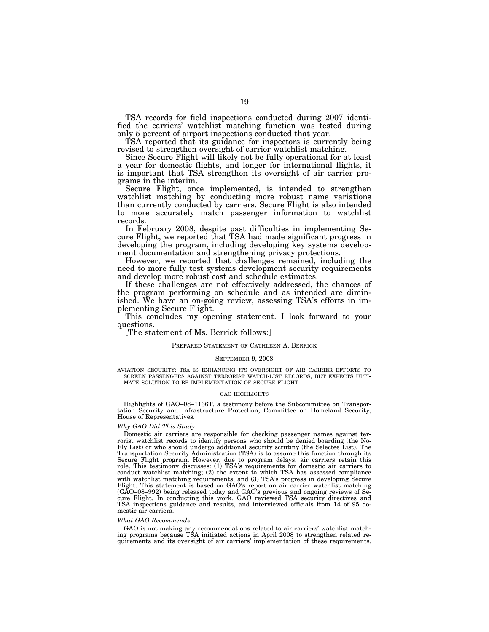TSA records for field inspections conducted during 2007 identified the carriers' watchlist matching function was tested during only 5 percent of airport inspections conducted that year.

TSA reported that its guidance for inspectors is currently being revised to strengthen oversight of carrier watchlist matching.

Since Secure Flight will likely not be fully operational for at least a year for domestic flights, and longer for international flights, it is important that TSA strengthen its oversight of air carrier programs in the interim.

Secure Flight, once implemented, is intended to strengthen watchlist matching by conducting more robust name variations than currently conducted by carriers. Secure Flight is also intended to more accurately match passenger information to watchlist records.

In February 2008, despite past difficulties in implementing Secure Flight, we reported that TSA had made significant progress in developing the program, including developing key systems development documentation and strengthening privacy protections.

However, we reported that challenges remained, including the need to more fully test systems development security requirements and develop more robust cost and schedule estimates.

If these challenges are not effectively addressed, the chances of the program performing on schedule and as intended are diminished. We have an on-going review, assessing TSA's efforts in implementing Secure Flight.

This concludes my opening statement. I look forward to your questions.

[The statement of Ms. Berrick follows:]

#### PREPARED STATEMENT OF CATHLEEN A. BERRICK

#### SEPTEMBER 9, 2008

AVIATION SECURITY: TSA IS ENHANCING ITS OVERSIGHT OF AIR CARRIER EFFORTS TO SCREEN PASSENGERS AGAINST TERRORIST WATCH-LIST RECORDS, BUT EXPECTS ULTI-MATE SOLUTION TO BE IMPLEMENTATION OF SECURE FLIGHT

#### GAO HIGHLIGHTS

Highlights of GAO–08–1136T, a testimony before the Subcommittee on Transportation Security and Infrastructure Protection, Committee on Homeland Security, House of Representatives.

#### *Why GAO Did This Study*

Domestic air carriers are responsible for checking passenger names against terrorist watchlist records to identify persons who should be denied boarding (the No-Fly List) or who should undergo additional security scrutiny (the Selectee List). The Transportation Security Administration (TSA) is to assume this function through its Secure Flight program. However, due to program delays, air carriers retain this role. This testimony discusses: (1) TSA's requirements for domestic air carriers to conduct watchlist matching; (2) the extent to which TSA has assessed compliance with watchlist matching requirements; and (3) TSA's progress in developing Secure Flight. This statement is based on GAO's report on air carrier watchlist matching (GAO–08–992) being released today and GAO's previous and ongoing reviews of Secure Flight. In conducting this work, GAO reviewed TSA security directives and TSA inspections guidance and results, and interviewed officials from 14 of 95 domestic air carriers.

#### *What GAO Recommends*

GAO is not making any recommendations related to air carriers' watchlist match-ing programs because TSA initiated actions in April 2008 to strengthen related requirements and its oversight of air carriers' implementation of these requirements.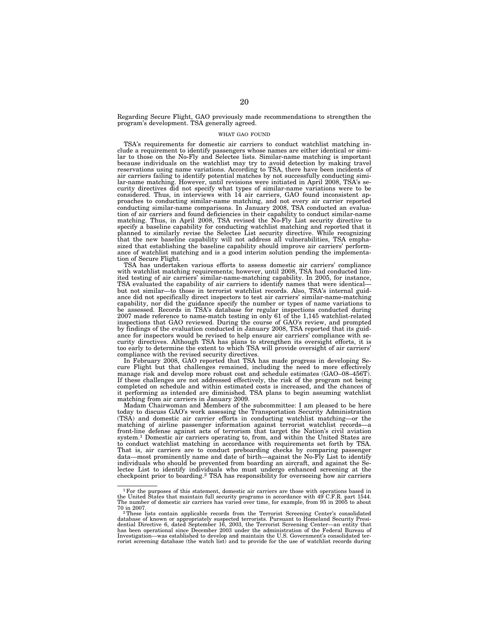Regarding Secure Flight, GAO previously made recommendations to strengthen the program's development. TSA generally agreed.

#### WHAT GAO FOUND

TSA's requirements for domestic air carriers to conduct watchlist matching include a requirement to identify passengers whose names are either identical or similar to those on the No-Fly and Selectee lists. Similar-name matching is important because individuals on the watchlist may try to avoid detection by making travel reservations using name variations. According to TSA, there have been incidents of air carriers failing to identify potential matches by not successfully conducting similar-name matching. However, until revisions were initiated in April 2008, TSA's security directives did not specify what types of similar-name variations were to be considered. Thus, in interviews with 14 air carriers, GAO found inconsistent approaches to conducting similar-name matching, and not every air carrier reported conducting similar-name comparisons. In January 2008, TSA conducted an evaluation of air carriers and found deficiencies in their capability to conduct similar-name matching. Thus, in April 2008, TSA revised the No-Fly List security directive to specify a baseline capability for conducting watchlist matching and reported that it planned to similarly revise the Selectee List security directive. While recognizing that the new baseline capability will not address all vulnerabilities, TSA emphasized that establishing the baseline capability should improve air carriers' performance of watchlist matching and is a good interim solution pending the implementation of Secure Flight.

TSA has undertaken various efforts to assess domestic air carriers' compliance with watchlist matching requirements; however, until 2008, TSA had conducted limited testing of air carriers' similar-name-matching capability. In 2005, for instance, TSA evaluated the capability of air carriers to identify names that were identical but not similar—to those in terrorist watchlist records. Also, TSA's internal guidance did not specifically direct inspectors to test air carriers' similar-name-matching capability, nor did the guidance specify the number or types of name variations to be assessed. Records in TSA's database for regular inspections conducted during 2007 made reference to name-match testing in only 61 of the 1,145 watchlist-related inspections that GAO reviewed. During the course of GAO's review, and prompted by findings of the evaluation conducted in January 2008, TSA reported that its guidance for inspectors would be revised to help ensure air carriers' compliance with security directives. Although TSA has plans to strengthen its oversight efforts, it is too early to determine the extent to which TSA will provide oversight of air carriers' compliance with the revised security directives.

In February 2008, GAO reported that TSA has made progress in developing Secure Flight but that challenges remained, including the need to more effectively manage risk and develop more robust cost and schedule estimates (GAO–08–456T). If these challenges are not addressed effectively, the risk of the program not being completed on schedule and within estimated costs is increased, and the chances of it performing as intended are diminished. TSA plans to begin assuming watchlist matching from air carriers in January 2009.

Madam Chairwoman and Members of the subcommittee: I am pleased to be here today to discuss GAO's work assessing the Transportation Security Administration (TSA) and domestic air carrier efforts in conducting watchlist matching—or the matching of airline passenger information against terrorist watchlist records—a front-line defense against acts of terrorism that target the Nation's civil aviation system.1 Domestic air carriers operating to, from, and within the United States are to conduct watchlist matching in accordance with requirements set forth by TSA. That is, air carriers are to conduct preboarding checks by comparing passenger data—most prominently name and date of birth—against the No-Fly List to identify individuals who should be prevented from boarding an aircraft, and against the Selectee List to identify individuals who must undergo enhanced screening at the checkpoint prior to boarding.2 TSA has responsibility for overseeing how air carriers

<sup>1</sup>For the purposes of this statement, domestic air carriers are those with operations based in the United States that maintain full security programs in accordance with 49 C.F.R. part 1544. The number of domestic air carriers has varied over time, for example, from 95 in 2005 to about

<sup>&</sup>lt;sup>2</sup>These lists contain applicable records from the Terrorist Screening Center's consolidated database of known or appropriately suspected terrorists. Pursuant to Homeland Security Presi-dential Directive 6, dated September 16, 2003, the Terrorist Screening Center—an entity that has been operational since December 2003 under the administration of the Federal Bureau of Investigation—was established to develop and maintain the U.S. Government's consolidated ter-rorist screening database (the watch list) and to provide for the use of watchlist records during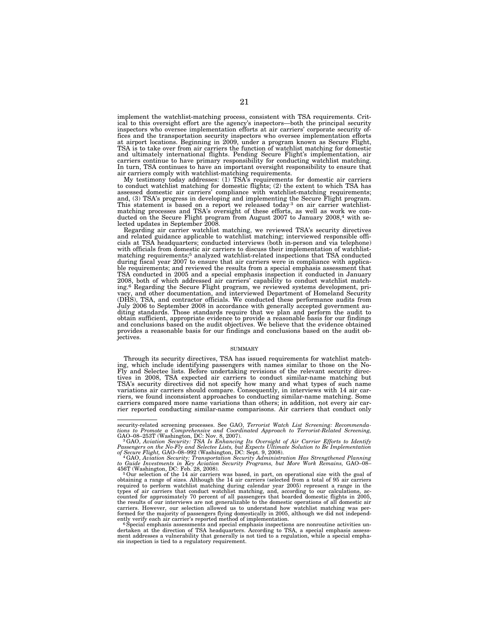implement the watchlist-matching process, consistent with TSA requirements. Critical to this oversight effort are the agency's inspectors—both the principal security inspectors who oversee implementation efforts at air carriers' corporate security offices and the transportation security inspectors who oversee implementation efforts at airport locations. Beginning in 2009, under a program known as Secure Flight, TSA is to take over from air carriers the function of watchlist matching for domestic and ultimately international flights. Pending Secure Flight's implementation, air carriers continue to have primary responsibility for conducting watchlist matching. In turn, TSA continues to have an important oversight responsibility to ensure that air carriers comply with watchlist-matching requirements.

My testimony today addresses: (1) TSA's requirements for domestic air carriers to conduct watchlist matching for domestic flights; (2) the extent to which TSA has assessed domestic air carriers' compliance with watchlist-matching requirements; and, (3) TSA's progress in developing and implementing the Secure Flight program.<br>This statement is based on a report we released today<sup>3</sup> on air carrier watchlistmatching processes and TSA's oversight of these efforts, as well as work we con-ducted on the Secure Flight program from August 2007 to January 2008,4 with selected updates in September 2008.

Regarding air carrier watchlist matching, we reviewed TSA's security directives and related guidance applicable to watchlist matching; interviewed responsible offi-cials at TSA headquarters; conducted interviews (both in-person and via telephone) with officials from domestic air carriers to discuss their implementation of watchlist-<br>matching requirements;<sup>5</sup> analyzed watchlist-related inspections that TSA conducted during fiscal year 2007 to ensure that air carriers were in compliance with applicable requirements; and reviewed the results from a special emphasis assessment that TSA conducted in 2005 and a special emphasis inspection it conducted in January 2008, both of which addressed air carriers' capability to conduct watchlist matching.<sup>6</sup> Regarding the Secure Flight program, we reviewed systems development, privacy, and other documentation, and interviewed Department of Homeland Security (DHS), TSA, and contractor officials. We conducted these perfo diting standards. Those standards require that we plan and perform the audit to obtain sufficient, appropriate evidence to provide a reasonable basis for our findings and conclusions based on the audit objectives. We believe that the evidence obtained provides a reasonable basis for our findings and conclusions based on the audit ob $i$ <sub>ectives</sub>.

#### SUMMARY

Through its security directives, TSA has issued requirements for watchlist matching, which include identifying passengers with names similar to those on the No-Fly and Selectee lists. Before undertaking revisions of the relevant security directives in 2008, TSA expected air carriers to conduct similar-name matching but<br>TSA's security directives did not specify how many and what types of such name<br>variations air carriers should compare. Consequently, in intervie riers, we found inconsistent approaches to conducting similar-name matching. Some carriers compared more name variations than others; in addition, not every air carrier reported conducting similar-name comparisons. Air carriers that conduct only

security-related screening processes. See GAO, *Terrorist Watch List Screening: Recommenda-tions to Promote a Comprehensive and Coordinated Approach to Terrorist-Related Screening,* 

GAO–08–253T (Washington, DC: Nov. 8, 2007).<br><sup>3</sup> GAO, Aviation Security: TSA Is Enhancing Its Oversight of Air Carrier Efforts to Identify<br>Passengers on the No-Fly and Selectee Lists, but Expects Ultimate Solution to Be Imp

to Guide Investments in Key Aviation Security Programs, but More Work Remains, GAO–08–456T (Washington, DC: Feb. 28, 2008).<br><sup>5</sup> Our selection of the 14 air carriers was based, in part, on operational size with the goal of<br> required to perform watchlist matching during calendar year 2005) represent a range in the<br>types of air carriers that conduct watchlist matching, and, according to our calculations, ac-<br>counted for approximately 70 percent the results of our interviews are not generalizable to the domestic operations of all domestic air carriers. However, our selection allowed us to understand how watchlist matching was performed for the majority of passengers flying domestically in 2005, although we did not independ-

ently verify each air carrier's reported method of implementation.<br>" Special emphasis assessments and special emphasis inspections are nonroutine activities un-<br>dertaken at the direction of TSA headquarters. According to T ment addresses a vulnerability that generally is not tied to a regulation, while a special empha-sis inspection is tied to a regulatory requirement.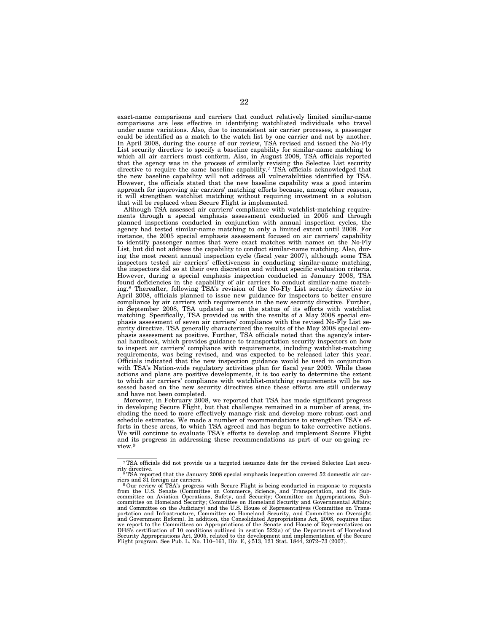exact-name comparisons and carriers that conduct relatively limited similar-name comparisons are less effective in identifying watchlisted individuals who travel under name variations. Also, due to inconsistent air carrier processes, a passenger could be identified as a match to the watch list by one carrier and not by another. In April 2008, during the course of our review, TSA revised and issued the No-Fly List security directive to specify a baseline capability for similar-name matching to which all air carriers must conform. Also, in August 2008, TSA officials reported that the agency was in the process of similarly revising the Selectee List security directive to require the same baseline capability.7 TSA officials acknowledged that the new baseline capability will not address all vulnerabilities identified by TSA. However, the officials stated that the new baseline capability was a good interim approach for improving air carriers' matching efforts because, among other reasons, it will strengthen watchlist matching without requiring investment in a solution that will be replaced when Secure Flight is implemented.

Although TSA assessed air carriers' compliance with watchlist-matching requirements through a special emphasis assessment conducted in 2005 and through planned inspections conducted in conjunction with annual inspection cycles, the agency had tested similar-name matching to only a limited extent until 2008. For instance, the 2005 special emphasis assessment focused on air carriers' capability to identify passenger names that were exact matches with names on the No-Fly List, but did not address the capability to conduct similar-name matching. Also, during the most recent annual inspection cycle (fiscal year 2007), although some TSA inspectors tested air carriers' effectiveness in conducting similar-name matching, the inspectors did so at their own discretion and without specific evaluation criteria. However, during a special emphasis inspection conducted in January 2008, TSA found deficiencies in the capability of air carriers to conduct similar-name matching.8 Thereafter, following TSA's revision of the No-Fly List security directive in April 2008, officials planned to issue new guidance for inspectors to better ensure compliance by air carriers with requirements in the new security directive. Further, in September 2008, TSA updated us on the status of its efforts with watchlist matching. Specifically, TSA provided us with the results of a May 2008 special emphasis assessment of seven air carriers' compliance with the revised No-Fly List security directive. TSA generally characterized the results of the May 2008 special emphasis assessment as positive. Further, TSA officials noted that the agency's internal handbook, which provides guidance to transportation security inspectors on how to inspect air carriers' compliance with requirements, including watchlist-matching requirements, was being revised, and was expected to be released later this year. Officials indicated that the new inspection guidance would be used in conjunction with TSA's Nation-wide regulatory activities plan for fiscal year 2009. While these actions and plans are positive developments, it is too early to determine the extent to which air carriers' compliance with watchlist-matching requirements will be assessed based on the new security directives since these efforts are still underway and have not been completed.

Moreover, in February 2008, we reported that TSA has made significant progress in developing Secure Flight, but that challenges remained in a number of areas, including the need to more effectively manage risk and develop more robust cost and schedule estimates. We made a number of recommendations to strengthen TSA's efforts in these areas, to which TSA agreed and has begun to take corrective actions. We will continue to evaluate TSA's efforts to develop and implement Secure Flight and its progress in addressing these recommendations as part of our on-going review.9

<sup>7</sup>TSA officials did not provide us a targeted issuance date for the revised Selectee List secu-

rity directive. 8TSA reported that the January 2008 special emphasis inspection covered 52 domestic air car-

riers and 31 foreign air carriers.<br><sup>9</sup> Our review of TSA's progress with Secure Flight is being conducted in response to requests<br>from the U.S. Senate (Committee on Commerce, Science, and Transportation, and its Sub-<br>commi committee on Homeland Security; Committee on Homeland Security and Governmental Affairs;<br>and Committee on the Judiciary) and the U.S. House of Representatives (Committee on Trans-<br>portation and Infrastructure, Committee on and Government Reform). In addition, the Consolidated Appropriations Act, 2008, requires that we report to the Committees on Appropriations of the Senate and House of Representatives on DHS's certification of 10 conditions outlined in section 522(a) of the Department of Homeland Security Appropriations Act, 2005, related to the development and implementation of the Secure Flight program. See Pub. L. No. 110–161, Div. E, § 513, 121 Stat. 1844, 2072–73 (2007).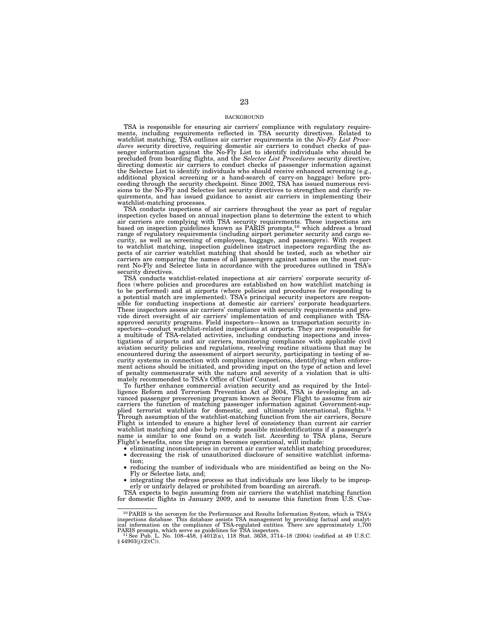#### BACKGROUND

TSA is responsible for ensuring air carriers' compliance with regulatory require-ments, including requirements reflected in TSA security directives. Related to watchlist matching, TSA outlines air carrier requirements in the *No-Fly List Proce-dures* security directive, requiring domestic air carriers to conduct checks of passenger information against the No-Fly List to identify individuals who should be precluded from boarding flights, and the *Selectee List Procedures* security directive, directing domestic air carriers to conduct checks of passenger information against the Selectee List to identify individuals who should receive enhanced screening (e.g., additional physical screening or a hand-search of carry-on baggage) before pro-ceeding through the security checkpoint. Since 2002, TSA has issued numerous revisions to the No-Fly and Selectee list security directives to strengthen and clarify requirements, and has issued guidance to assist air carriers in implementing their watchlist-matching processes.

TSA conducts inspections of air carriers throughout the year as part of regular inspection cycles based on annual inspection plans to determine the extent to which air carriers are complying with TSA security requirements. These inspections are based on inspection guidelines known as PARIS prompts,10 which address a broad range of regulatory requirements (including airport perimeter security and cargo security, as well as screening of employees, baggage, and passengers). With respect to watchlist matching, inspection guidelines instruct inspectors regarding the aspects of air carrier watchlist matching that should be tested, such as whether air carriers are comparing the names of all passengers against names on the most current No-Fly and Selectee lists in accordance with the procedures outlined in TSA's security directives.

TSA conducts watchlist-related inspections at air carriers' corporate security offices (where policies and procedures are established on how watchlist matching is to be performed) and at airports (where policies and procedures for responding to a potential match are implemented). TSA's principal security inspectors are responsible for conducting inspections at domestic air carriers' corporate headquarters. These inspectors assess air carriers' compliance with security requirements and provide direct oversight of air carriers' implementation of and compliance with TSAapproved security programs. Field inspectors—known as transportation security inspectors—conduct watchlist-related inspections at airports. They are responsible for a multitude of TSA-related activities, including conducting inspections and investigations of airports and air carriers, monitoring compliance with applicable civil aviation security policies and regulations, resolving routine situations that may be encountered during the assessment of airport security, participating in testing of security systems in connection with compliance inspections, identifying when enforcement actions should be initiated, and providing input on the type of action and level of penalty commensurate with the nature and severity of a violation that is ultimately recommended to TSA's Office of Chief Counsel.

To further enhance commercial aviation security and as required by the Intel-ligence Reform and Terrorism Prevention Act of 2004, TSA is developing an advanced passenger prescreening program known as Secure Flight to assume from air carriers the function of matching passenger information against Government-supplied terrorist watchlists for domestic, and ultimately international, flights.<sup>11</sup> Through assumption of the watchlist-matching function from the air carriers, Secure Flight is intended to ensure a higher level of consistency than current air carrier watchlist matching and also help remedy possible misidentifications if a passenger's name is similar to one found on a watch list. According to TSA plans, Secure Flight's benefits, once the program becomes operational, will include:

- eliminating inconsistencies in current air carrier watchlist matching procedures;<br>• decreasing the risk of unauthorized disclosure of sensitive watchlist information:
- tion; reducing the number of individuals who are misidentified as being on the No-
- Fly or Selectee lists, and; integrating the redress process so that individuals are less likely to be improperly or unfairly delayed or prohibited from boarding an aircraft.

TSA expects to begin assuming from air carriers the watchlist matching function for domestic flights in January 2009, and to assume this function from U.S. Cus-

<sup>10</sup>PARIS is the acronym for the Performance and Results Information System, which is TSA's inspections database. This database assists TSA management by providing factual and analytical information on the compliance of TSA-regulated entities. There are approximately 1,700 PARIS prompts, which serve as guideline

<sup>&</sup>lt;sup>11</sup>See Pub. L. No. 108–458,  $\frac{2012(a)}{18}$ , 118 Stat. 3638, 3714–18 (2004) (codified at 49 U.S.C.  $\frac{204903(j)(2)(C)}{18}$ .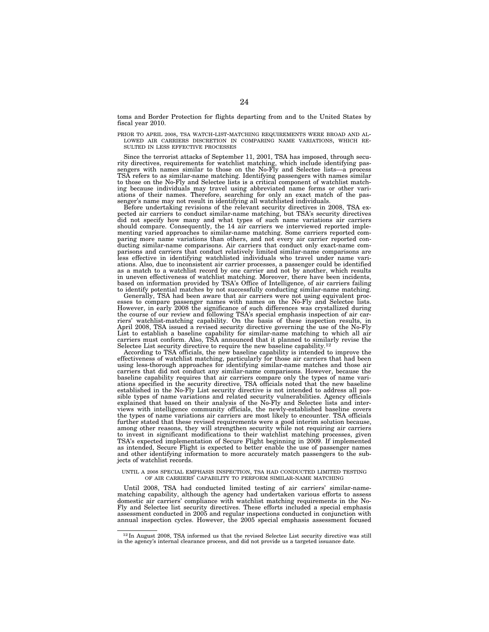toms and Border Protection for flights departing from and to the United States by fiscal year 2010.

PRIOR TO APRIL 2008, TSA WATCH-LIST-MATCHING REQUIREMENTS WERE BROAD AND AL- LOWED AIR CARRIERS DISCRETION IN COMPARING NAME VARIATIONS, WHICH RE- SULTED IN LESS EFFECTIVE PROCESSES

Since the terrorist attacks of September 11, 2001, TSA has imposed, through security directives, requirements for watchlist matching, which include identifying pas-sengers with names similar to those on the No-Fly and Selectee lists—a process TSA refers to as similar-name matching. Identifying passengers with names similar to those on the No-Fly and Selectee lists is a critical component of watchlist matching because individuals may travel using abbreviated name forms or other vari-ations of their names. Therefore, searching for only an exact match of the passenger's name may not result in identifying all watchlisted individuals.

Before undertaking revisions of the relevant security directives in 2008, TSA expected air carriers to conduct similar-name matching, but TSA's security directives did not specify how many and what types of such name variations air carriers should compare. Consequently, the 14 air carriers we interviewed reported implementing varied approaches to similar-name matching. Some carriers reported comparing more name variations than others, and not every air carrier reported conducting similar-name comparisons. Air carriers that conduct only exact-name comparisons and carriers that conduct relatively limited similar-name comparisons are less effective in identifying watchlisted individuals who travel under name variations. Also, due to inconsistent air carrier processes, a passenger could be identified as a match to a watchlist record by one carrier and not by another, which results in uneven effectiveness of watchlist matching. Moreover, there have been incidents, based on information provided by TSA's Office of Intelligence, of air carriers failing to identify potential matches by not successfully conducting similar-name matching.

Generally, TSA had been aware that air carriers were not using equivalent processes to compare passenger names with names on the No-Fly and Selectee lists. However, in early 2008 the significance of such differences was crystallized during the course of our review and following TSA's special emphasis inspection of air carriers' watchlist-matching capability. On the basis of these inspection results, in April 2008, TSA issued a revised security directive governing the use of the No-Fly List to establish a baseline capability for similar-name matching to which all air carriers must conform. Also, TSA announced that it planned to similarly revise the Selectee List security directive to require the new baseline capability.<sup>12</sup>

According to TSA officials, the new baseline capability is intended to improve the effectiveness of watchlist matching, particularly for those air carriers that had been using less-thorough approaches for identifying similar-name matches and those air carriers that did not conduct any similar-name comparisons. However, because the baseline capability requires that air carriers compare only the types of name variations specified in the security directive, TSA officials noted that the new baseline established in the No-Fly List security directive is n sible types of name variations and related security vulnerabilities. Agency officials explained that based on their analysis of the No-Fly and Selectee lists and interviews with intelligence community officials, the newly-established baseline covers the types of name variations air carriers are most likely to encounter. TSA officials further stated that these revised requirements were a good interim solution because, among other reasons, they will strengthen security while not requiring air carriers to invest in significant modifications to their watchlist matching processes, given TSA's expected implementation of Secure Flight beginning in 2009. If implemented as intended, Secure Flight is expected to better enable the use of passenger names and other identifying information to more accurately match passengers to the subjects of watchlist records.

#### UNTIL A 2008 SPECIAL EMPHASIS INSPECTION, TSA HAD CONDUCTED LIMITED TESTING OF AIR CARRIERS' CAPABILITY TO PERFORM SIMILAR-NAME MATCHING

Until 2008, TSA had conducted limited testing of air carriers' similar-namematching capability, although the agency had undertaken various efforts to assess domestic air carriers' compliance with watchlist matching requirements in the No-Fly and Selectee list security directives. These efforts included a special emphasis assessment conducted in 2005 and regular inspections conducted in conjunction with annual inspection cycles. However, the 2005 special emphasis assessment focused

 $12 \text{ In August 2008, TSA informed us that the revised Selectee List security directive was still in the agency's internal clearance process, and did not provide us a targeted issuance date.$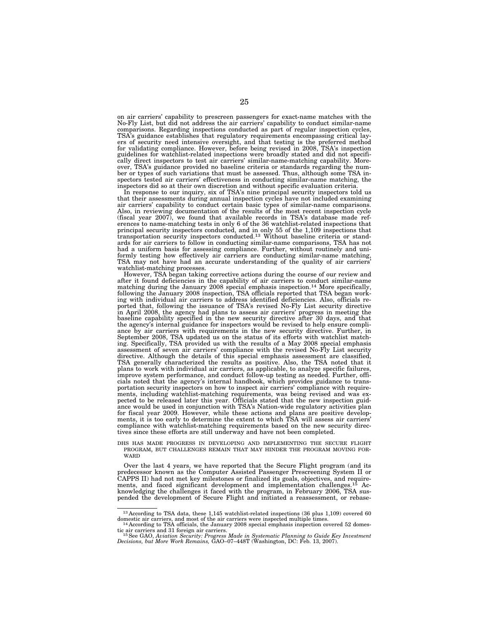on air carriers' capability to prescreen passengers for exact-name matches with the No-Fly List, but did not address the air carriers' capability to conduct similar-name comparisons. Regarding inspections conducted as part of regular inspection cycles, TSA's guidance establishes that regulatory requirements encompassing critical layers of security need intensive oversight, and that testing is the preferred method for validating compliance. However, before being revised in 2008, TSA's inspection guidelines for watchlist-related inspections were broadly stated and did not specifically direct inspectors to test air carriers' similar-name-matching capability. Moreover, TSA's guidance provided no baseline criteria or standards regarding the number or types of such variations that must be assessed. Thus, although some TSA inspectors tested air carriers' effectiveness in conducting similar-name matching, the

inspectors did so at their own discretion and without specific evaluation criteria. In response to our inquiry, six of TSA's nine principal security inspectors told us that their assessments during annual inspection cycles have not included examining air carriers' capability to conduct certain basic types of similar-name comparisons. Also, in reviewing documentation of the results of the most recent inspection cycle (fiscal year 2007), we found that available records in TSA's database made references to name-matching tests in only 6 of the 36 watchlist-related inspections that principal security inspectors conducted, and in only 55 of the 1,109 inspections that transportation security inspectors conducted.13 Without baseline criteria or stand-ards for air carriers to follow in conducting similar-name comparisons, TSA has not had a uniform basis for assessing compliance. Further, without routinely and uni-formly testing how effectively air carriers are conducting similar-name matching, TSA may not have had an accurate understanding of the quality of air carriers' watchlist-matching processes.

However, TSA began taking corrective actions during the course of our review and after it found deficiencies in the capability of air carriers to conduct similar-name matching during the January 2008 special emphasis inspection.<sup>14</sup> More specifically, following the January 2008 inspection, TSA officials reported that TSA began working with individual air carriers to address identified deficiencies. Also, officials reported that, following the issuance of TSA's revised No-Fly List security directive in April 2008, the agency had plans to assess air carriers' progress in meeting the baseline capability specified in the new security directive after 30 days, and that the agency's internal guidance for inspectors would be revised to help ensure compliance by air carriers with requirements in the new security directive. Further, in September 2008, TSA updated us on the status of its efforts with watchlist match-ing. Specifically, TSA provided us with the results of a May 2008 special emphasis assessment of seven air carriers' compliance with the revised No-Fly List security directive. Although the details of this special emphasis assessment are classified, TSA generally characterized the results as positive. Also, the TSA noted that it plans to work with individual air carriers, as applicable, to analyze specific failures, improve system performance, and conduct follow-up testing as needed. Further, offi-cials noted that the agency's internal handbook, which provides guidance to transportation security inspectors on how to inspect air carriers' compliance with require-ments, including watchlist-matching requirements, was being revised and was expected to be released later this year. Officials stated that the new inspection guidance would be used in conjunction with TSA's Nation-wide regulatory activities plan for fiscal year 2009. However, while these actions and plans are positive develop-ments, it is too early to determine the extent to which TSA will assess air carriers' compliance with watchlist-matching requirements based on the new security direc-tives since these efforts are still underway and have not been completed.

DHS HAS MADE PROGRESS IN DEVELOPING AND IMPLEMENTING THE SECURE FLIGHT PROGRAM, BUT CHALLENGES REMAIN THAT MAY HINDER THE PROGRAM MOVING FOR- **WARD** 

Over the last 4 years, we have reported that the Secure Flight program (and its predecessor known as the Computer Assisted Passenger Prescreening System II or predecessive had not met key milestones or finalized its goals, objectives, and require-<br>CAPPS II) had not met key milestones or finalized its goals, objectives, and require-<br>ments. and faced significant development and im ments, and faced significant development and implementation challenges.<sup>15</sup> knowledging the challenges it faced with the program, in February 2006, TSA suspended the development of Secure Flight and initiated a reassessment, or rebase-

<sup>13</sup> According to TSA data, these 1,145 watchlist-related inspections (36 plus 1,109) covered 60

domestic air carriers, and most of the air carriers were inspected multiple times.<br><sup>14</sup> According to TSA officials, the January 2008 special emphasis inspection covered 52 domes-<br>tic air carriers and 31 foreign air carrier

tic air carriers and 31 foreign air carriers.<br><sup>15</sup>See GAO, Aviation Security: Progress Made in Systematic Planning to Guide Key Investment<br>Decisions, but More Work Remains, GAO–07–448T (Washington, DC: Feb. 13, 2007).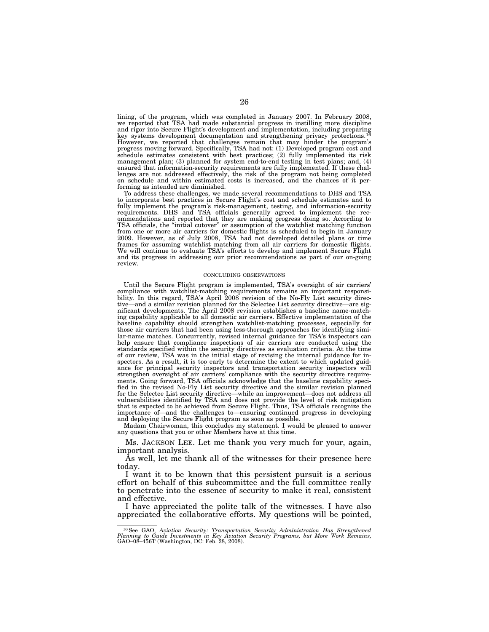lining, of the program, which was completed in January 2007. In February 2008, we reported that TSA had made substantial progress in instilling more discipline and rigor into Secure Flight's development and implementation, including preparing key systems development documentation and strengthening privacy protections.16 However, we reported that challenges remain that may hinder the program's progress moving forward. Specifically, TSA had not: (1) Developed program cost and schedule estimates consistent with best practices; (2) fully implemented its risk management plan; (3) planned for system end-to-end testing in test plans; and, (4) ensured that information-security requirements are fully implemented. If these challenges are not addressed effectively, the risk of the program not being completed on schedule and within estimated costs is increased, and the chances of it performing as intended are diminished.

To address these challenges, we made several recommendations to DHS and TSA to incorporate best practices in Secure Flight's cost and schedule estimates and to fully implement the program's risk-management, testing, and information-security requirements. DHS and TSA officials generally agreed to implement the recommendations and reported that they are making progress doing so. According to TSA officials, the ''initial cutover'' or assumption of the watchlist matching function from one or more air carriers for domestic flights is scheduled to begin in January 2009. However, as of July 2008, TSA had not developed detailed plans or time frames for assuming watchlist matching from all air carriers for domestic flights. We will continue to evaluate TSA's efforts to develop and implement Secure Flight and its progress in addressing our prior recommendations as part of our on-going review.

#### CONCLUDING OBSERVATIONS

Until the Secure Flight program is implemented, TSA's oversight of air carriers' compliance with watchlist-matching requirements remains an important responsibility. In this regard, TSA's April 2008 revision of the No-Fly List security directive—and a similar revision planned for the Selectee List security directive—are significant developments. The April 2008 revision establishes a baseline name-matching capability applicable to all domestic air carriers. Effective implementation of the baseline capability should strengthen watchlist-matching processes, especially for those air carriers that had been using less-thorough approaches for identifying similar-name matches. Concurrently, revised internal guidance for TSA's inspectors can help ensure that compliance inspections of air carriers are conducted using the standards specified within the security directives as evaluation criteria. At the time of our review, TSA was in the initial stage of revising the internal guidance for inspectors. As a result, it is too early to determine the extent to which updated guidance for principal security inspectors and transportation security inspectors will strengthen oversight of air carriers' compliance with the security directive requirements. Going forward, TSA officials acknowledge that the baseline capability specified in the revised No-Fly List security directive and the similar revision planned for the Selectee List security directive—while an improvement—does not address all vulnerabilities identified by TSA and does not provide the level of risk mitigation that is expected to be achieved from Secure Flight. Thus, TSA officials recognize the importance of—and the challenges to—ensuring continued progress in developing and deploying the Secure Flight program as soon as possible.

Madam Chairwoman, this concludes my statement. I would be pleased to answer any questions that you or other Members have at this time.

Ms. JACKSON LEE. Let me thank you very much for your, again, important analysis.

As well, let me thank all of the witnesses for their presence here today.

I want it to be known that this persistent pursuit is a serious effort on behalf of this subcommittee and the full committee really to penetrate into the essence of security to make it real, consistent and effective.

I have appreciated the polite talk of the witnesses. I have also appreciated the collaborative efforts. My questions will be pointed,

<sup>16</sup>See GAO, *Aviation Security: Transportation Security Administration Has Strengthened Planning to Guide Investments in Key Aviation Security Programs, but More Work Remains,*  GAO–08–456T (Washington, DC: Feb. 28, 2008).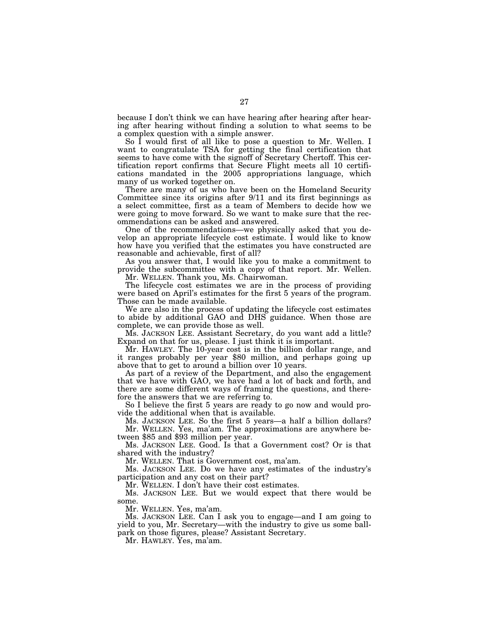because I don't think we can have hearing after hearing after hearing after hearing without finding a solution to what seems to be a complex question with a simple answer.

So I would first of all like to pose a question to Mr. Wellen. I want to congratulate TSA for getting the final certification that seems to have come with the signoff of Secretary Chertoff. This certification report confirms that Secure Flight meets all 10 certifications mandated in the 2005 appropriations language, which many of us worked together on.

There are many of us who have been on the Homeland Security Committee since its origins after 9/11 and its first beginnings as a select committee, first as a team of Members to decide how we were going to move forward. So we want to make sure that the recommendations can be asked and answered.

One of the recommendations—we physically asked that you develop an appropriate lifecycle cost estimate. I would like to know how have you verified that the estimates you have constructed are reasonable and achievable, first of all?

As you answer that, I would like you to make a commitment to provide the subcommittee with a copy of that report. Mr. Wellen.

Mr. WELLEN. Thank you, Ms. Chairwoman.

The lifecycle cost estimates we are in the process of providing were based on April's estimates for the first 5 years of the program. Those can be made available.

We are also in the process of updating the lifecycle cost estimates to abide by additional GAO and DHS guidance. When those are complete, we can provide those as well.

Ms. JACKSON LEE. Assistant Secretary, do you want add a little? Expand on that for us, please. I just think it is important.

Mr. HAWLEY. The 10-year cost is in the billion dollar range, and it ranges probably per year \$80 million, and perhaps going up above that to get to around a billion over 10 years.

As part of a review of the Department, and also the engagement that we have with GAO, we have had a lot of back and forth, and there are some different ways of framing the questions, and therefore the answers that we are referring to.

So I believe the first 5 years are ready to go now and would provide the additional when that is available.

Ms. JACKSON LEE. So the first 5 years—a half a billion dollars? Mr. WELLEN. Yes, ma'am. The approximations are anywhere between \$85 and \$93 million per year.

Ms. JACKSON LEE. Good. Is that a Government cost? Or is that shared with the industry?

Mr. WELLEN. That is Government cost, ma'am.

Ms. JACKSON LEE. Do we have any estimates of the industry's participation and any cost on their part?

Mr. WELLEN. I don't have their cost estimates.

Ms. JACKSON LEE. But we would expect that there would be some.

Mr. WELLEN. Yes, ma'am.

Ms. JACKSON LEE. Can I ask you to engage—and I am going to yield to you, Mr. Secretary—with the industry to give us some ballpark on those figures, please? Assistant Secretary.

Mr. HAWLEY. Yes, ma'am.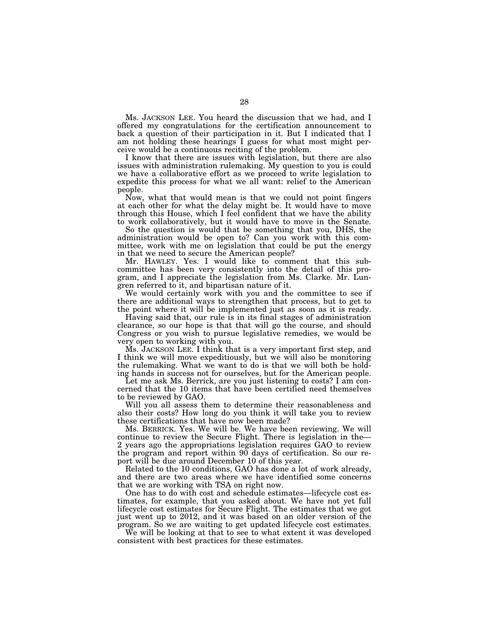Ms. JACKSON LEE. You heard the discussion that we had, and I offered my congratulations for the certification announcement to back a question of their participation in it. But I indicated that I am not holding these hearings I guess for what most might perceive would be a continuous reciting of the problem.

I know that there are issues with legislation, but there are also issues with administration rulemaking. My question to you is could we have a collaborative effort as we proceed to write legislation to expedite this process for what we all want: relief to the American people.

Now, what that would mean is that we could not point fingers at each other for what the delay might be. It would have to move through this House, which I feel confident that we have the ability to work collaboratively, but it would have to move in the Senate.

So the question is would that be something that you, DHS, the administration would be open to? Can you work with this committee, work with me on legislation that could be put the energy in that we need to secure the American people?

Mr. HAWLEY. Yes. I would like to comment that this subcommittee has been very consistently into the detail of this program, and I appreciate the legislation from Ms. Clarke. Mr. Lungren referred to it, and bipartisan nature of it.

We would certainly work with you and the committee to see if there are additional ways to strengthen that process, but to get to the point where it will be implemented just as soon as it is ready.

Having said that, our rule is in its final stages of administration clearance, so our hope is that that will go the course, and should Congress or you wish to pursue legislative remedies, we would be very open to working with you.

Ms. JACKSON LEE. I think that is a very important first step, and I think we will move expeditiously, but we will also be monitoring the rulemaking. What we want to do is that we will both be holding hands in success not for ourselves, but for the American people.

Let me ask Ms. Berrick, are you just listening to costs? I am concerned that the 10 items that have been certified need themselves to be reviewed by GAO.

Will you all assess them to determine their reasonableness and also their costs? How long do you think it will take you to review these certifications that have now been made?

Ms. BERRICK. Yes. We will be. We have been reviewing. We will continue to review the Secure Flight. There is legislation in the— 2 years ago the appropriations legislation requires GAO to review the program and report within 90 days of certification. So our report will be due around December 10 of this year.

Related to the 10 conditions, GAO has done a lot of work already, and there are two areas where we have identified some concerns that we are working with TSA on right now.

One has to do with cost and schedule estimates—lifecycle cost estimates, for example, that you asked about. We have not yet full lifecycle cost estimates for Secure Flight. The estimates that we got just went up to 2012, and it was based on an older version of the program. So we are waiting to get updated lifecycle cost estimates.

We will be looking at that to see to what extent it was developed consistent with best practices for these estimates.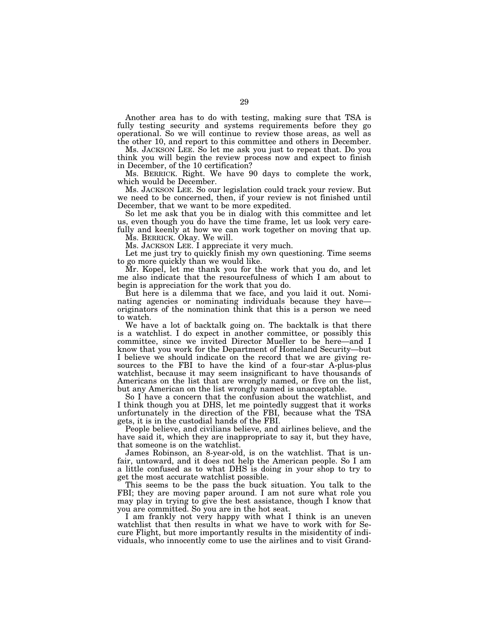Another area has to do with testing, making sure that TSA is fully testing security and systems requirements before they go operational. So we will continue to review those areas, as well as the other 10, and report to this committee and others in December.

Ms. JACKSON LEE. So let me ask you just to repeat that. Do you think you will begin the review process now and expect to finish in December, of the 10 certification?

Ms. BERRICK. Right. We have 90 days to complete the work, which would be December.

Ms. JACKSON LEE. So our legislation could track your review. But we need to be concerned, then, if your review is not finished until December, that we want to be more expedited.

So let me ask that you be in dialog with this committee and let us, even though you do have the time frame, let us look very carefully and keenly at how we can work together on moving that up.

Ms. BERRICK. Okay. We will.

Ms. JACKSON LEE. I appreciate it very much.

Let me just try to quickly finish my own questioning. Time seems to go more quickly than we would like.

Mr. Kopel, let me thank you for the work that you do, and let me also indicate that the resourcefulness of which I am about to begin is appreciation for the work that you do.

But here is a dilemma that we face, and you laid it out. Nominating agencies or nominating individuals because they haveoriginators of the nomination think that this is a person we need to watch.

We have a lot of backtalk going on. The backtalk is that there is a watchlist. I do expect in another committee, or possibly this committee, since we invited Director Mueller to be here—and I know that you work for the Department of Homeland Security—but I believe we should indicate on the record that we are giving resources to the FBI to have the kind of a four-star A-plus-plus watchlist, because it may seem insignificant to have thousands of Americans on the list that are wrongly named, or five on the list, but any American on the list wrongly named is unacceptable.

So I have a concern that the confusion about the watchlist, and I think though you at DHS, let me pointedly suggest that it works unfortunately in the direction of the FBI, because what the TSA gets, it is in the custodial hands of the FBI.

People believe, and civilians believe, and airlines believe, and the have said it, which they are inappropriate to say it, but they have, that someone is on the watchlist.

James Robinson, an 8-year-old, is on the watchlist. That is unfair, untoward, and it does not help the American people. So I am a little confused as to what DHS is doing in your shop to try to get the most accurate watchlist possible.

This seems to be the pass the buck situation. You talk to the FBI; they are moving paper around. I am not sure what role you may play in trying to give the best assistance, though I know that you are committed. So you are in the hot seat.

I am frankly not very happy with what I think is an uneven watchlist that then results in what we have to work with for Secure Flight, but more importantly results in the misidentity of individuals, who innocently come to use the airlines and to visit Grand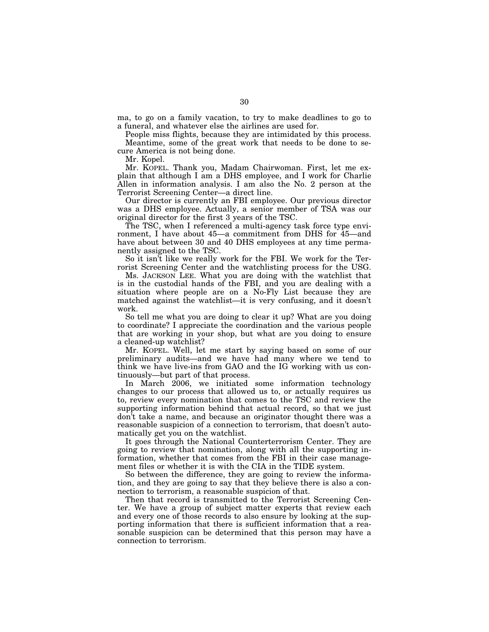ma, to go on a family vacation, to try to make deadlines to go to a funeral, and whatever else the airlines are used for.

People miss flights, because they are intimidated by this process.

Meantime, some of the great work that needs to be done to secure America is not being done.

Mr. Kopel.

Mr. KOPEL. Thank you, Madam Chairwoman. First, let me explain that although I am a DHS employee, and I work for Charlie Allen in information analysis. I am also the No. 2 person at the Terrorist Screening Center—a direct line.

Our director is currently an FBI employee. Our previous director was a DHS employee. Actually, a senior member of TSA was our original director for the first 3 years of the TSC.

The TSC, when I referenced a multi-agency task force type environment, I have about 45—a commitment from DHS for 45—and have about between 30 and 40 DHS employees at any time permanently assigned to the TSC.

So it isn't like we really work for the FBI. We work for the Terrorist Screening Center and the watchlisting process for the USG.

Ms. JACKSON LEE. What you are doing with the watchlist that is in the custodial hands of the FBI, and you are dealing with a situation where people are on a No-Fly List because they are matched against the watchlist—it is very confusing, and it doesn't work.

So tell me what you are doing to clear it up? What are you doing to coordinate? I appreciate the coordination and the various people that are working in your shop, but what are you doing to ensure a cleaned-up watchlist?

Mr. KOPEL. Well, let me start by saying based on some of our preliminary audits—and we have had many where we tend to think we have live-ins from GAO and the IG working with us continuously—but part of that process.

In March 2006, we initiated some information technology changes to our process that allowed us to, or actually requires us to, review every nomination that comes to the TSC and review the supporting information behind that actual record, so that we just don't take a name, and because an originator thought there was a reasonable suspicion of a connection to terrorism, that doesn't automatically get you on the watchlist.

It goes through the National Counterterrorism Center. They are going to review that nomination, along with all the supporting information, whether that comes from the FBI in their case management files or whether it is with the CIA in the TIDE system.

So between the difference, they are going to review the information, and they are going to say that they believe there is also a connection to terrorism, a reasonable suspicion of that.

Then that record is transmitted to the Terrorist Screening Center. We have a group of subject matter experts that review each and every one of those records to also ensure by looking at the supporting information that there is sufficient information that a reasonable suspicion can be determined that this person may have a connection to terrorism.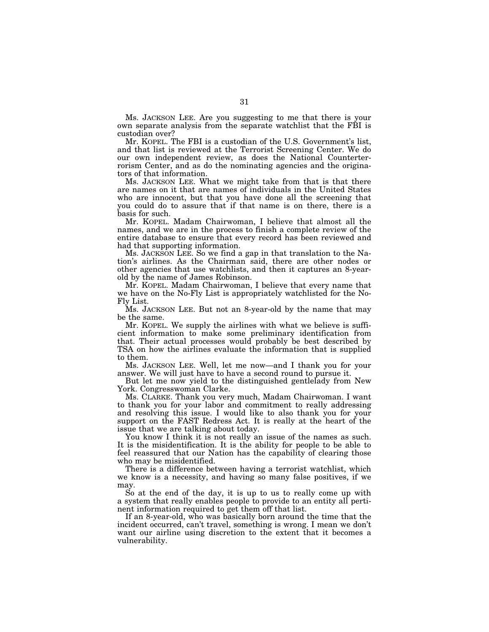Ms. JACKSON LEE. Are you suggesting to me that there is your own separate analysis from the separate watchlist that the FBI is custodian over?

Mr. KOPEL. The FBI is a custodian of the U.S. Government's list, and that list is reviewed at the Terrorist Screening Center. We do our own independent review, as does the National Counterterrorism Center, and as do the nominating agencies and the originators of that information.

Ms. JACKSON LEE. What we might take from that is that there are names on it that are names of individuals in the United States who are innocent, but that you have done all the screening that you could do to assure that if that name is on there, there is a basis for such.

Mr. KOPEL. Madam Chairwoman, I believe that almost all the names, and we are in the process to finish a complete review of the entire database to ensure that every record has been reviewed and had that supporting information.

Ms. JACKSON LEE. So we find a gap in that translation to the Nation's airlines. As the Chairman said, there are other nodes or other agencies that use watchlists, and then it captures an 8-yearold by the name of James Robinson.

Mr. KOPEL. Madam Chairwoman, I believe that every name that we have on the No-Fly List is appropriately watchlisted for the No-Fly List.

Ms. JACKSON LEE. But not an 8-year-old by the name that may be the same.

Mr. KOPEL. We supply the airlines with what we believe is sufficient information to make some preliminary identification from that. Their actual processes would probably be best described by TSA on how the airlines evaluate the information that is supplied to them.

Ms. JACKSON LEE. Well, let me now—and I thank you for your answer. We will just have to have a second round to pursue it.

But let me now yield to the distinguished gentlelady from New York. Congresswoman Clarke.

Ms. CLARKE. Thank you very much, Madam Chairwoman. I want to thank you for your labor and commitment to really addressing and resolving this issue. I would like to also thank you for your support on the FAST Redress Act. It is really at the heart of the issue that we are talking about today.

You know I think it is not really an issue of the names as such. It is the misidentification. It is the ability for people to be able to feel reassured that our Nation has the capability of clearing those who may be misidentified.

There is a difference between having a terrorist watchlist, which we know is a necessity, and having so many false positives, if we may.

So at the end of the day, it is up to us to really come up with a system that really enables people to provide to an entity all pertinent information required to get them off that list.

If an 8-year-old, who was basically born around the time that the incident occurred, can't travel, something is wrong. I mean we don't want our airline using discretion to the extent that it becomes a vulnerability.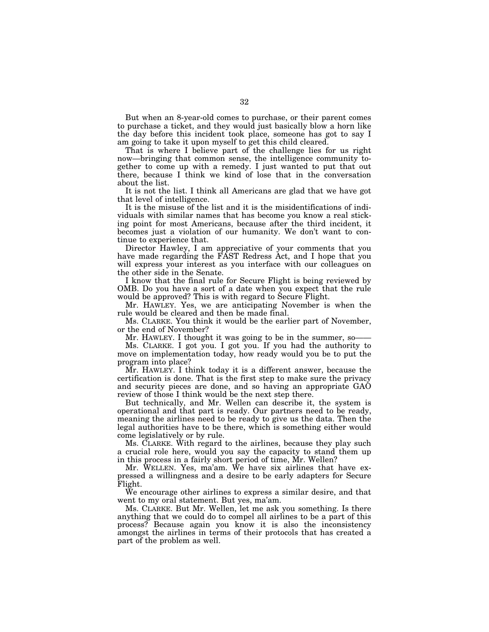But when an 8-year-old comes to purchase, or their parent comes to purchase a ticket, and they would just basically blow a horn like the day before this incident took place, someone has got to say I am going to take it upon myself to get this child cleared.

That is where I believe part of the challenge lies for us right now—bringing that common sense, the intelligence community together to come up with a remedy. I just wanted to put that out there, because I think we kind of lose that in the conversation about the list.

It is not the list. I think all Americans are glad that we have got that level of intelligence.

It is the misuse of the list and it is the misidentifications of individuals with similar names that has become you know a real sticking point for most Americans, because after the third incident, it becomes just a violation of our humanity. We don't want to continue to experience that.

Director Hawley, I am appreciative of your comments that you have made regarding the FAST Redress Act, and I hope that you will express your interest as you interface with our colleagues on the other side in the Senate.

I know that the final rule for Secure Flight is being reviewed by OMB. Do you have a sort of a date when you expect that the rule would be approved? This is with regard to Secure Flight.

Mr. HAWLEY. Yes, we are anticipating November is when the rule would be cleared and then be made final.

Ms. CLARKE. You think it would be the earlier part of November, or the end of November?

Mr. HAWLEY. I thought it was going to be in the summer, so-

Ms. CLARKE. I got you. I got you. If you had the authority to move on implementation today, how ready would you be to put the program into place?

Mr. HAWLEY. I think today it is a different answer, because the certification is done. That is the first step to make sure the privacy and security pieces are done, and so having an appropriate GAO review of those I think would be the next step there.

But technically, and Mr. Wellen can describe it, the system is operational and that part is ready. Our partners need to be ready, meaning the airlines need to be ready to give us the data. Then the legal authorities have to be there, which is something either would come legislatively or by rule.

Ms. CLARKE. With regard to the airlines, because they play such a crucial role here, would you say the capacity to stand them up in this process in a fairly short period of time, Mr. Wellen?

Mr. WELLEN. Yes, ma'am. We have six airlines that have expressed a willingness and a desire to be early adapters for Secure Flight.

We encourage other airlines to express a similar desire, and that went to my oral statement. But yes, ma'am.

Ms. CLARKE. But Mr. Wellen, let me ask you something. Is there anything that we could do to compel all airlines to be a part of this process? Because again you know it is also the inconsistency amongst the airlines in terms of their protocols that has created a part of the problem as well.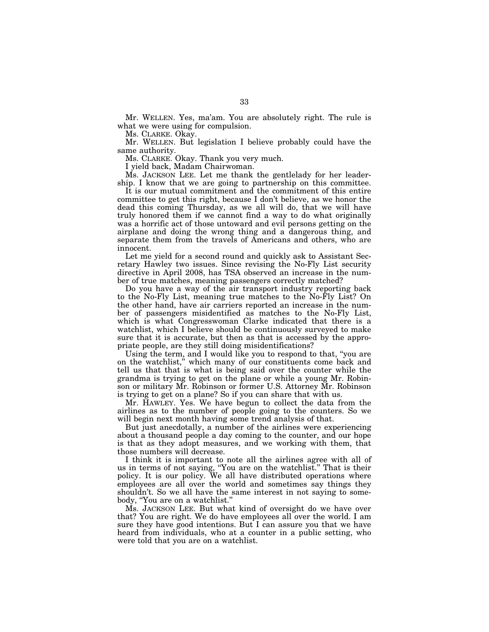Mr. WELLEN. Yes, ma'am. You are absolutely right. The rule is what we were using for compulsion.

Ms. CLARKE. Okay.

Mr. WELLEN. But legislation I believe probably could have the same authority.

Ms. CLARKE. Okay. Thank you very much.

I yield back, Madam Chairwoman.

Ms. JACKSON LEE. Let me thank the gentlelady for her leadership. I know that we are going to partnership on this committee.

It is our mutual commitment and the commitment of this entire committee to get this right, because I don't believe, as we honor the dead this coming Thursday, as we all will do, that we will have truly honored them if we cannot find a way to do what originally was a horrific act of those untoward and evil persons getting on the airplane and doing the wrong thing and a dangerous thing, and separate them from the travels of Americans and others, who are innocent.

Let me yield for a second round and quickly ask to Assistant Secretary Hawley two issues. Since revising the No-Fly List security directive in April 2008, has TSA observed an increase in the number of true matches, meaning passengers correctly matched?

Do you have a way of the air transport industry reporting back to the No-Fly List, meaning true matches to the No-Fly List? On the other hand, have air carriers reported an increase in the number of passengers misidentified as matches to the No-Fly List, which is what Congresswoman Clarke indicated that there is a watchlist, which I believe should be continuously surveyed to make sure that it is accurate, but then as that is accessed by the appropriate people, are they still doing misidentifications?

Using the term, and I would like you to respond to that, ''you are on the watchlist,'' which many of our constituents come back and tell us that that is what is being said over the counter while the grandma is trying to get on the plane or while a young Mr. Robinson or military Mr. Robinson or former U.S. Attorney Mr. Robinson is trying to get on a plane? So if you can share that with us.

Mr. HAWLEY. Yes. We have begun to collect the data from the airlines as to the number of people going to the counters. So we will begin next month having some trend analysis of that.

But just anecdotally, a number of the airlines were experiencing about a thousand people a day coming to the counter, and our hope is that as they adopt measures, and we working with them, that those numbers will decrease.

I think it is important to note all the airlines agree with all of us in terms of not saying, ''You are on the watchlist.'' That is their policy. It is our policy. We all have distributed operations where employees are all over the world and sometimes say things they shouldn't. So we all have the same interest in not saying to somebody, "You are on a watchlist."

Ms. JACKSON LEE. But what kind of oversight do we have over that? You are right. We do have employees all over the world. I am sure they have good intentions. But I can assure you that we have heard from individuals, who at a counter in a public setting, who were told that you are on a watchlist.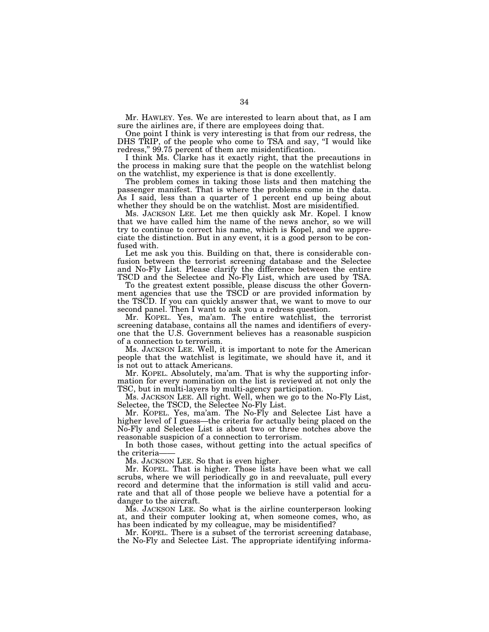Mr. HAWLEY. Yes. We are interested to learn about that, as I am sure the airlines are, if there are employees doing that.

One point I think is very interesting is that from our redress, the DHS TRIP, of the people who come to TSA and say, "I would like redress," 99.75 percent of them are misidentification.

I think Ms. Clarke has it exactly right, that the precautions in the process in making sure that the people on the watchlist belong on the watchlist, my experience is that is done excellently.

The problem comes in taking those lists and then matching the passenger manifest. That is where the problems come in the data. As I said, less than a quarter of 1 percent end up being about whether they should be on the watchlist. Most are misidentified.

Ms. JACKSON LEE. Let me then quickly ask Mr. Kopel. I know that we have called him the name of the news anchor, so we will try to continue to correct his name, which is Kopel, and we appreciate the distinction. But in any event, it is a good person to be confused with.

Let me ask you this. Building on that, there is considerable confusion between the terrorist screening database and the Selectee and No-Fly List. Please clarify the difference between the entire TSCD and the Selectee and No-Fly List, which are used by TSA.

To the greatest extent possible, please discuss the other Government agencies that use the TSCD or are provided information by the TSCD. If you can quickly answer that, we want to move to our second panel. Then I want to ask you a redress question.

Mr. KOPEL. Yes, ma'am. The entire watchlist, the terrorist screening database, contains all the names and identifiers of everyone that the U.S. Government believes has a reasonable suspicion of a connection to terrorism.

Ms. JACKSON LEE. Well, it is important to note for the American people that the watchlist is legitimate, we should have it, and it is not out to attack Americans.

Mr. KOPEL. Absolutely, ma'am. That is why the supporting information for every nomination on the list is reviewed at not only the TSC, but in multi-layers by multi-agency participation.

Ms. JACKSON LEE. All right. Well, when we go to the No-Fly List, Selectee, the TSCD, the Selectee No-Fly List.

Mr. KOPEL. Yes, ma'am. The No-Fly and Selectee List have a higher level of I guess—the criteria for actually being placed on the No-Fly and Selectee List is about two or three notches above the reasonable suspicion of a connection to terrorism.

In both those cases, without getting into the actual specifics of the criteria

Ms. JACKSON LEE. So that is even higher.

Mr. KOPEL. That is higher. Those lists have been what we call scrubs, where we will periodically go in and reevaluate, pull every record and determine that the information is still valid and accurate and that all of those people we believe have a potential for a danger to the aircraft.

Ms. JACKSON LEE. So what is the airline counterperson looking at, and their computer looking at, when someone comes, who, as has been indicated by my colleague, may be misidentified?

Mr. KOPEL. There is a subset of the terrorist screening database, the No-Fly and Selectee List. The appropriate identifying informa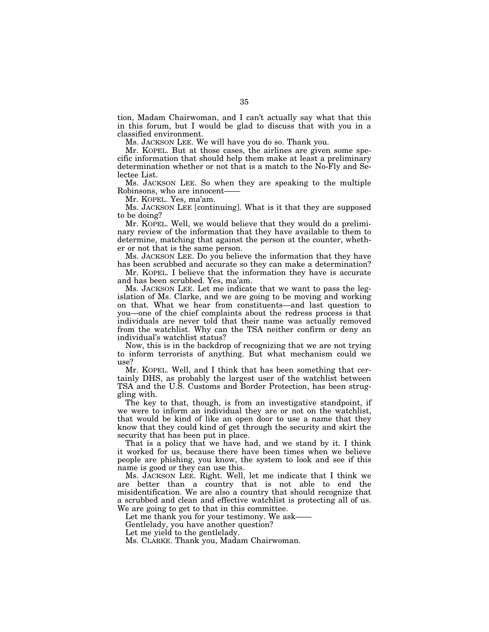tion, Madam Chairwoman, and I can't actually say what that this in this forum, but I would be glad to discuss that with you in a classified environment.

Ms. JACKSON LEE. We will have you do so. Thank you.

Mr. KOPEL. But at those cases, the airlines are given some specific information that should help them make at least a preliminary determination whether or not that is a match to the No-Fly and Selectee List.

Ms. JACKSON LEE. So when they are speaking to the multiple Robinsons, who are innocent——

Mr. KOPEL. Yes, ma'am.

Ms. JACKSON LEE [continuing]. What is it that they are supposed to be doing?

Mr. KOPEL. Well, we would believe that they would do a preliminary review of the information that they have available to them to determine, matching that against the person at the counter, whether or not that is the same person.

Ms. JACKSON LEE. Do you believe the information that they have has been scrubbed and accurate so they can make a determination?

Mr. KOPEL. I believe that the information they have is accurate and has been scrubbed. Yes, ma'am.

Ms. JACKSON LEE. Let me indicate that we want to pass the legislation of Ms. Clarke, and we are going to be moving and working on that. What we hear from constituents—and last question to you—one of the chief complaints about the redress process is that individuals are never told that their name was actually removed from the watchlist. Why can the TSA neither confirm or deny an individual's watchlist status?

Now, this is in the backdrop of recognizing that we are not trying to inform terrorists of anything. But what mechanism could we use?

Mr. KOPEL. Well, and I think that has been something that certainly DHS, as probably the largest user of the watchlist between TSA and the U.S. Customs and Border Protection, has been struggling with.

The key to that, though, is from an investigative standpoint, if we were to inform an individual they are or not on the watchlist, that would be kind of like an open door to use a name that they know that they could kind of get through the security and skirt the security that has been put in place.

That is a policy that we have had, and we stand by it. I think it worked for us, because there have been times when we believe people are phishing, you know, the system to look and see if this name is good or they can use this.

Ms. JACKSON LEE. Right. Well, let me indicate that I think we are better than a country that is not able to end the misidentification. We are also a country that should recognize that a scrubbed and clean and effective watchlist is protecting all of us. We are going to get to that in this committee.

Let me thank you for your testimony. We ask-

Gentlelady, you have another question?

Let me yield to the gentlelady.

Ms. CLARKE. Thank you, Madam Chairwoman.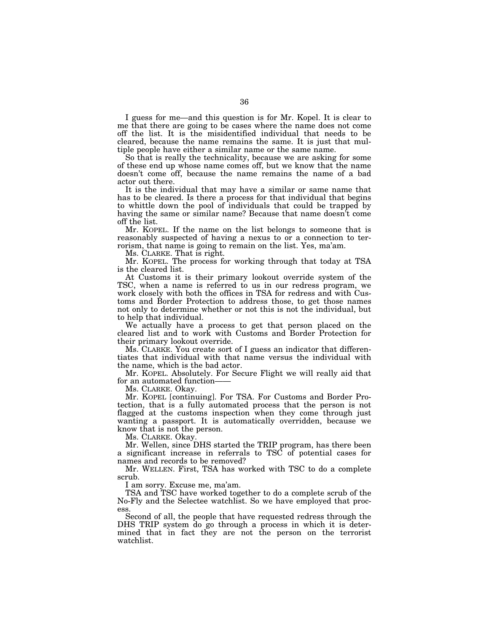I guess for me—and this question is for Mr. Kopel. It is clear to me that there are going to be cases where the name does not come off the list. It is the misidentified individual that needs to be cleared, because the name remains the same. It is just that multiple people have either a similar name or the same name.

So that is really the technicality, because we are asking for some of these end up whose name comes off, but we know that the name doesn't come off, because the name remains the name of a bad actor out there.

It is the individual that may have a similar or same name that has to be cleared. Is there a process for that individual that begins to whittle down the pool of individuals that could be trapped by having the same or similar name? Because that name doesn<sup>†</sup>t come off the list.

Mr. KOPEL. If the name on the list belongs to someone that is reasonably suspected of having a nexus to or a connection to terrorism, that name is going to remain on the list. Yes, ma'am.

Ms. CLARKE. That is right.

Mr. KOPEL. The process for working through that today at TSA is the cleared list.

At Customs it is their primary lookout override system of the TSC, when a name is referred to us in our redress program, we work closely with both the offices in TSA for redress and with Customs and Border Protection to address those, to get those names not only to determine whether or not this is not the individual, but to help that individual.

We actually have a process to get that person placed on the cleared list and to work with Customs and Border Protection for their primary lookout override.

Ms. CLARKE. You create sort of I guess an indicator that differentiates that individual with that name versus the individual with the name, which is the bad actor.

Mr. KOPEL. Absolutely. For Secure Flight we will really aid that for an automated function-

Ms. CLARKE. Okay.

Mr. KOPEL [continuing]. For TSA. For Customs and Border Protection, that is a fully automated process that the person is not flagged at the customs inspection when they come through just wanting a passport. It is automatically overridden, because we know that is not the person.

Ms. CLARKE. Okay.

Mr. Wellen, since DHS started the TRIP program, has there been a significant increase in referrals to TSC of potential cases for names and records to be removed?

Mr. WELLEN. First, TSA has worked with TSC to do a complete scrub.

I am sorry. Excuse me, ma'am.

TSA and TSC have worked together to do a complete scrub of the No-Fly and the Selectee watchlist. So we have employed that process.

Second of all, the people that have requested redress through the DHS TRIP system do go through a process in which it is determined that in fact they are not the person on the terrorist watchlist.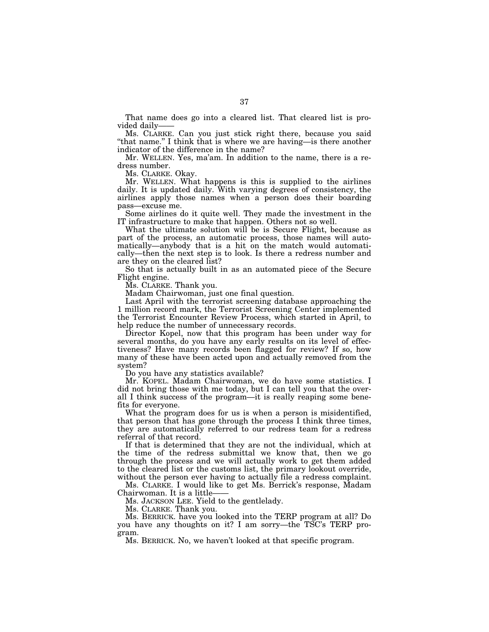That name does go into a cleared list. That cleared list is provided daily-

Ms. CLARKE. Can you just stick right there, because you said ''that name.'' I think that is where we are having—is there another indicator of the difference in the name?

Mr. WELLEN. Yes, ma'am. In addition to the name, there is a redress number.

Ms. CLARKE. Okay.

Mr. WELLEN. What happens is this is supplied to the airlines daily. It is updated daily. With varying degrees of consistency, the airlines apply those names when a person does their boarding pass—excuse me.

Some airlines do it quite well. They made the investment in the IT infrastructure to make that happen. Others not so well.

What the ultimate solution will be is Secure Flight, because as part of the process, an automatic process, those names will automatically—anybody that is a hit on the match would automatically—then the next step is to look. Is there a redress number and are they on the cleared list?

So that is actually built in as an automated piece of the Secure Flight engine.

Ms. CLARKE. Thank you.

Madam Chairwoman, just one final question.

Last April with the terrorist screening database approaching the 1 million record mark, the Terrorist Screening Center implemented the Terrorist Encounter Review Process, which started in April, to help reduce the number of unnecessary records.

Director Kopel, now that this program has been under way for several months, do you have any early results on its level of effectiveness? Have many records been flagged for review? If so, how many of these have been acted upon and actually removed from the system?

Do you have any statistics available?

Mr. KOPEL. Madam Chairwoman, we do have some statistics. I did not bring those with me today, but I can tell you that the overall I think success of the program—it is really reaping some benefits for everyone.

What the program does for us is when a person is misidentified, that person that has gone through the process I think three times, they are automatically referred to our redress team for a redress referral of that record.

If that is determined that they are not the individual, which at the time of the redress submittal we know that, then we go through the process and we will actually work to get them added to the cleared list or the customs list, the primary lookout override, without the person ever having to actually file a redress complaint.

Ms. CLARKE. I would like to get Ms. Berrick's response, Madam Chairwoman. It is a little-

Ms. JACKSON LEE. Yield to the gentlelady.

Ms. CLARKE. Thank you.

Ms. BERRICK. have you looked into the TERP program at all? Do you have any thoughts on it? I am sorry—the TSC's TERP program.

Ms. BERRICK. No, we haven't looked at that specific program.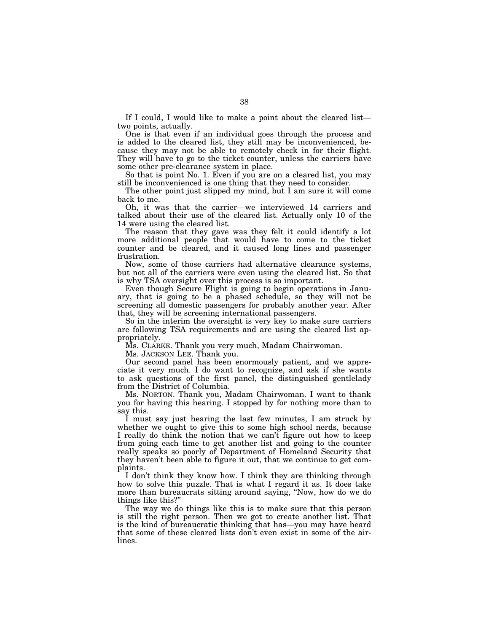If I could, I would like to make a point about the cleared list two points, actually.

One is that even if an individual goes through the process and is added to the cleared list, they still may be inconvenienced, because they may not be able to remotely check in for their flight. They will have to go to the ticket counter, unless the carriers have some other pre-clearance system in place.

So that is point No. 1. Even if you are on a cleared list, you may still be inconvenienced is one thing that they need to consider.

The other point just slipped my mind, but I am sure it will come back to me.

Oh, it was that the carrier—we interviewed 14 carriers and talked about their use of the cleared list. Actually only 10 of the 14 were using the cleared list.

The reason that they gave was they felt it could identify a lot more additional people that would have to come to the ticket counter and be cleared, and it caused long lines and passenger frustration.

Now, some of those carriers had alternative clearance systems, but not all of the carriers were even using the cleared list. So that is why TSA oversight over this process is so important.

Even though Secure Flight is going to begin operations in January, that is going to be a phased schedule, so they will not be screening all domestic passengers for probably another year. After that, they will be screening international passengers.

So in the interim the oversight is very key to make sure carriers are following TSA requirements and are using the cleared list appropriately.

Ms. CLARKE. Thank you very much, Madam Chairwoman.

Ms. JACKSON LEE. Thank you.

Our second panel has been enormously patient, and we appreciate it very much. I do want to recognize, and ask if she wants to ask questions of the first panel, the distinguished gentlelady from the District of Columbia.

Ms. NORTON. Thank you, Madam Chairwoman. I want to thank you for having this hearing. I stopped by for nothing more than to say this.

I must say just hearing the last few minutes, I am struck by whether we ought to give this to some high school nerds, because I really do think the notion that we can't figure out how to keep from going each time to get another list and going to the counter really speaks so poorly of Department of Homeland Security that they haven't been able to figure it out, that we continue to get complaints.

I don't think they know how. I think they are thinking through how to solve this puzzle. That is what I regard it as. It does take more than bureaucrats sitting around saying, ''Now, how do we do things like this?''

The way we do things like this is to make sure that this person is still the right person. Then we got to create another list. That is the kind of bureaucratic thinking that has—you may have heard that some of these cleared lists don't even exist in some of the airlines.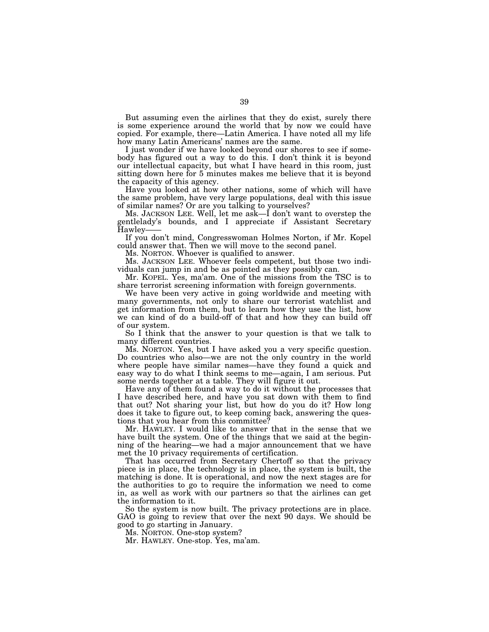But assuming even the airlines that they do exist, surely there is some experience around the world that by now we could have copied. For example, there—Latin America. I have noted all my life how many Latin Americans' names are the same.

I just wonder if we have looked beyond our shores to see if somebody has figured out a way to do this. I don't think it is beyond our intellectual capacity, but what I have heard in this room, just sitting down here for 5 minutes makes me believe that it is beyond the capacity of this agency.

Have you looked at how other nations, some of which will have the same problem, have very large populations, deal with this issue of similar names? Or are you talking to yourselves?

Ms. JACKSON LEE. Well, let me ask—I don't want to overstep the gentlelady's bounds, and I appreciate if Assistant Secretary Hawley——

If you don't mind, Congresswoman Holmes Norton, if Mr. Kopel could answer that. Then we will move to the second panel.

Ms. NORTON. Whoever is qualified to answer.

Ms. JACKSON LEE. Whoever feels competent, but those two individuals can jump in and be as pointed as they possibly can.

Mr. KOPEL. Yes, ma'am. One of the missions from the TSC is to share terrorist screening information with foreign governments.

We have been very active in going worldwide and meeting with many governments, not only to share our terrorist watchlist and get information from them, but to learn how they use the list, how we can kind of do a build-off of that and how they can build off of our system.

So I think that the answer to your question is that we talk to many different countries.

Ms. NORTON. Yes, but I have asked you a very specific question. Do countries who also—we are not the only country in the world where people have similar names—have they found a quick and easy way to do what I think seems to me—again, I am serious. Put some nerds together at a table. They will figure it out.

Have any of them found a way to do it without the processes that I have described here, and have you sat down with them to find that out? Not sharing your list, but how do you do it? How long does it take to figure out, to keep coming back, answering the questions that you hear from this committee?

Mr. HAWLEY. I would like to answer that in the sense that we have built the system. One of the things that we said at the beginning of the hearing—we had a major announcement that we have met the 10 privacy requirements of certification.

That has occurred from Secretary Chertoff so that the privacy piece is in place, the technology is in place, the system is built, the matching is done. It is operational, and now the next stages are for the authorities to go to require the information we need to come in, as well as work with our partners so that the airlines can get the information to it.

So the system is now built. The privacy protections are in place. GAO is going to review that over the next 90 days. We should be good to go starting in January.

Ms. NORTON. One-stop system?

Mr. HAWLEY. One-stop. Yes, ma'am.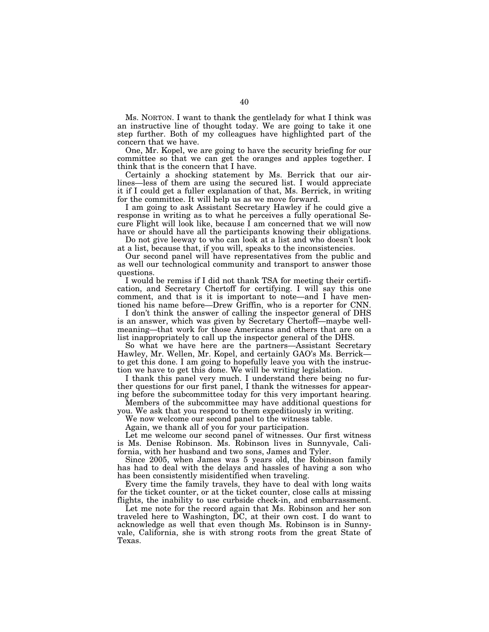Ms. NORTON. I want to thank the gentlelady for what I think was an instructive line of thought today. We are going to take it one step further. Both of my colleagues have highlighted part of the concern that we have.

One, Mr. Kopel, we are going to have the security briefing for our committee so that we can get the oranges and apples together. I think that is the concern that I have.

Certainly a shocking statement by Ms. Berrick that our airlines—less of them are using the secured list. I would appreciate it if I could get a fuller explanation of that, Ms. Berrick, in writing for the committee. It will help us as we move forward.

I am going to ask Assistant Secretary Hawley if he could give a response in writing as to what he perceives a fully operational Secure Flight will look like, because I am concerned that we will now have or should have all the participants knowing their obligations.

Do not give leeway to who can look at a list and who doesn't look at a list, because that, if you will, speaks to the inconsistencies.

Our second panel will have representatives from the public and as well our technological community and transport to answer those questions.

I would be remiss if I did not thank TSA for meeting their certification, and Secretary Chertoff for certifying. I will say this one comment, and that is it is important to note—and I have mentioned his name before—Drew Griffin, who is a reporter for CNN.

I don't think the answer of calling the inspector general of DHS is an answer, which was given by Secretary Chertoff—maybe wellmeaning—that work for those Americans and others that are on a list inappropriately to call up the inspector general of the DHS.

So what we have here are the partners—Assistant Secretary Hawley, Mr. Wellen, Mr. Kopel, and certainly GAO's Ms. Berrick to get this done. I am going to hopefully leave you with the instruction we have to get this done. We will be writing legislation.

I thank this panel very much. I understand there being no further questions for our first panel, I thank the witnesses for appearing before the subcommittee today for this very important hearing.

Members of the subcommittee may have additional questions for you. We ask that you respond to them expeditiously in writing.

We now welcome our second panel to the witness table.

Again, we thank all of you for your participation.

Let me welcome our second panel of witnesses. Our first witness is Ms. Denise Robinson. Ms. Robinson lives in Sunnyvale, California, with her husband and two sons, James and Tyler.

Since 2005, when James was 5 years old, the Robinson family has had to deal with the delays and hassles of having a son who has been consistently misidentified when traveling.

Every time the family travels, they have to deal with long waits for the ticket counter, or at the ticket counter, close calls at missing flights, the inability to use curbside check-in, and embarrassment.

Let me note for the record again that Ms. Robinson and her son traveled here to Washington, DC, at their own cost. I do want to acknowledge as well that even though Ms. Robinson is in Sunnyvale, California, she is with strong roots from the great State of Texas.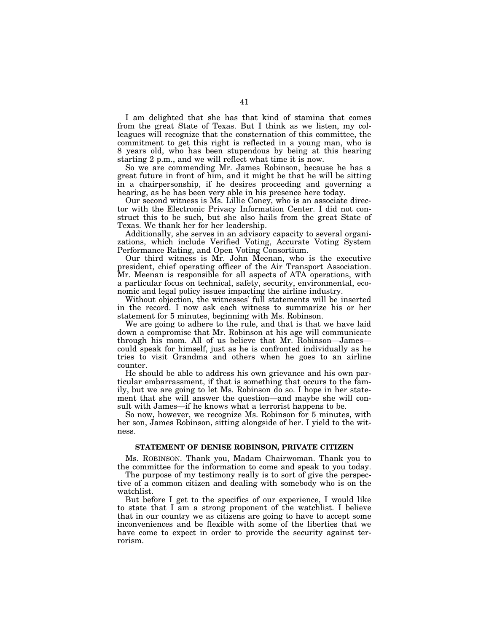I am delighted that she has that kind of stamina that comes from the great State of Texas. But I think as we listen, my colleagues will recognize that the consternation of this committee, the commitment to get this right is reflected in a young man, who is 8 years old, who has been stupendous by being at this hearing starting 2 p.m., and we will reflect what time it is now.

So we are commending Mr. James Robinson, because he has a great future in front of him, and it might be that he will be sitting in a chairpersonship, if he desires proceeding and governing a hearing, as he has been very able in his presence here today.

Our second witness is Ms. Lillie Coney, who is an associate director with the Electronic Privacy Information Center. I did not construct this to be such, but she also hails from the great State of Texas. We thank her for her leadership.

Additionally, she serves in an advisory capacity to several organizations, which include Verified Voting, Accurate Voting System Performance Rating, and Open Voting Consortium.

Our third witness is Mr. John Meenan, who is the executive president, chief operating officer of the Air Transport Association. Mr. Meenan is responsible for all aspects of ATA operations, with a particular focus on technical, safety, security, environmental, economic and legal policy issues impacting the airline industry.

Without objection, the witnesses' full statements will be inserted in the record. I now ask each witness to summarize his or her statement for 5 minutes, beginning with Ms. Robinson.

We are going to adhere to the rule, and that is that we have laid down a compromise that Mr. Robinson at his age will communicate through his mom. All of us believe that Mr. Robinson—James could speak for himself, just as he is confronted individually as he tries to visit Grandma and others when he goes to an airline counter.

He should be able to address his own grievance and his own particular embarrassment, if that is something that occurs to the family, but we are going to let Ms. Robinson do so. I hope in her statement that she will answer the question—and maybe she will consult with James—if he knows what a terrorist happens to be.

So now, however, we recognize Ms. Robinson for 5 minutes, with her son, James Robinson, sitting alongside of her. I yield to the witness.

#### **STATEMENT OF DENISE ROBINSON, PRIVATE CITIZEN**

Ms. ROBINSON. Thank you, Madam Chairwoman. Thank you to the committee for the information to come and speak to you today.

The purpose of my testimony really is to sort of give the perspective of a common citizen and dealing with somebody who is on the watchlist.

But before I get to the specifics of our experience, I would like to state that I am a strong proponent of the watchlist. I believe that in our country we as citizens are going to have to accept some inconveniences and be flexible with some of the liberties that we have come to expect in order to provide the security against terrorism.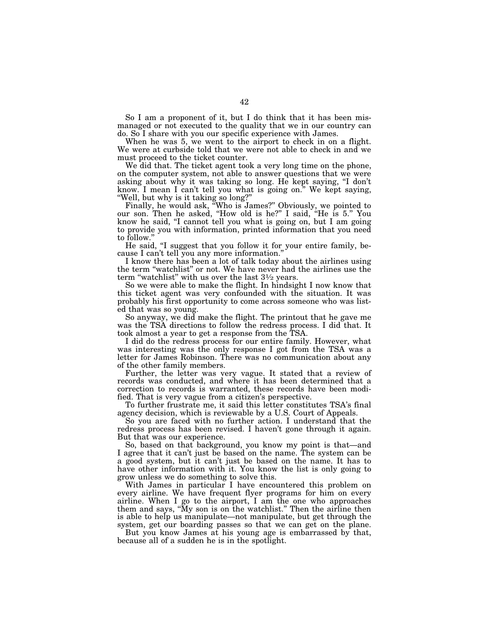So I am a proponent of it, but I do think that it has been mismanaged or not executed to the quality that we in our country can do. So I share with you our specific experience with James.

When he was 5, we went to the airport to check in on a flight. We were at curbside told that we were not able to check in and we must proceed to the ticket counter.

We did that. The ticket agent took a very long time on the phone, on the computer system, not able to answer questions that we were asking about why it was taking so long. He kept saying, ''I don't know. I mean I can't tell you what is going on.'' We kept saying, ''Well, but why is it taking so long?''

Finally, he would ask, ''Who is James?'' Obviously, we pointed to our son. Then he asked, ''How old is he?'' I said, ''He is 5.'' You know he said, "I cannot tell you what is going on, but I am going to provide you with information, printed information that you need to follow.''

He said, "I suggest that you follow it for your entire family, because I can't tell you any more information.''

I know there has been a lot of talk today about the airlines using the term ''watchlist'' or not. We have never had the airlines use the term "watchlist" with us over the last  $3\frac{1}{2}$  years.

So we were able to make the flight. In hindsight I now know that this ticket agent was very confounded with the situation. It was probably his first opportunity to come across someone who was listed that was so young.

So anyway, we did make the flight. The printout that he gave me was the TSA directions to follow the redress process. I did that. It took almost a year to get a response from the TSA.

I did do the redress process for our entire family. However, what was interesting was the only response I got from the TSA was a letter for James Robinson. There was no communication about any of the other family members.

Further, the letter was very vague. It stated that a review of records was conducted, and where it has been determined that a correction to records is warranted, these records have been modified. That is very vague from a citizen's perspective.

To further frustrate me, it said this letter constitutes TSA's final agency decision, which is reviewable by a U.S. Court of Appeals.

So you are faced with no further action. I understand that the redress process has been revised. I haven't gone through it again. But that was our experience.

So, based on that background, you know my point is that—and I agree that it can't just be based on the name. The system can be a good system, but it can't just be based on the name. It has to have other information with it. You know the list is only going to grow unless we do something to solve this.

With James in particular I have encountered this problem on every airline. We have frequent flyer programs for him on every airline. When I go to the airport, I am the one who approaches them and says, "My son is on the watchlist." Then the airline then is able to help us manipulate—not manipulate, but get through the system, get our boarding passes so that we can get on the plane.

But you know James at his young age is embarrassed by that, because all of a sudden he is in the spotlight.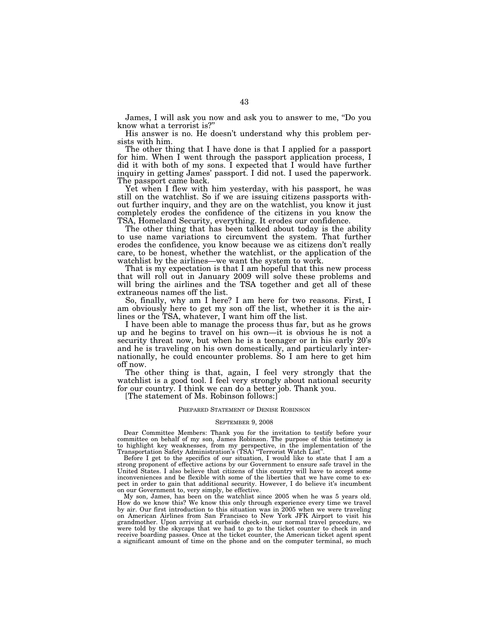James, I will ask you now and ask you to answer to me, ''Do you know what a terrorist is?''

His answer is no. He doesn't understand why this problem persists with him.

The other thing that I have done is that I applied for a passport for him. When I went through the passport application process, I did it with both of my sons. I expected that I would have further inquiry in getting James' passport. I did not. I used the paperwork. The passport came back.

Yet when I flew with him yesterday, with his passport, he was still on the watchlist. So if we are issuing citizens passports without further inquiry, and they are on the watchlist, you know it just completely erodes the confidence of the citizens in you know the TSA, Homeland Security, everything. It erodes our confidence.

The other thing that has been talked about today is the ability to use name variations to circumvent the system. That further erodes the confidence, you know because we as citizens don't really care, to be honest, whether the watchlist, or the application of the watchlist by the airlines—we want the system to work.

That is my expectation is that I am hopeful that this new process that will roll out in January 2009 will solve these problems and will bring the airlines and the TSA together and get all of these extraneous names off the list.

So, finally, why am I here? I am here for two reasons. First, I am obviously here to get my son off the list, whether it is the airlines or the TSA, whatever, I want him off the list.

I have been able to manage the process thus far, but as he grows up and he begins to travel on his own—it is obvious he is not a security threat now, but when he is a teenager or in his early 20's and he is traveling on his own domestically, and particularly internationally, he could encounter problems. So I am here to get him off now.

The other thing is that, again, I feel very strongly that the watchlist is a good tool. I feel very strongly about national security for our country. I think we can do a better job. Thank you.

[The statement of Ms. Robinson follows:]

#### PREPARED STATEMENT OF DENISE ROBINSON

#### SEPTEMBER 9, 2008

Dear Committee Members: Thank you for the invitation to testify before your committee on behalf of my son, James Robinson. The purpose of this testimony is to highlight key weaknesses, from my perspective, in the implementation of the Transportation Safety Administration's (TSA) ''Terrorist Watch List''.

Before I get to the specifics of our situation, I would like to state that I am a strong proponent of effective actions by our Government to ensure safe travel in the United States. I also believe that citizens of this country will have to accept some inconveniences and be flexible with some of the liberties that we have come to expect in order to gain that additional security. However, I do believe it's incumbent on our Government to, very simply, be effective.

My son, James, has been on the watchlist since 2005 when he was 5 years old. How do we know this? We know this only through experience every time we travel by air. Our first introduction to this situation was in 2005 when we were traveling on American Airlines from San Francisco to New York JFK Airport to visit his grandmother. Upon arriving at curbside check-in, our normal travel procedure, we were told by the skycaps that we had to go to the ticket counter to check in and receive boarding passes. Once at the ticket counter, the American ticket agent spent a significant amount of time on the phone and on the computer terminal, so much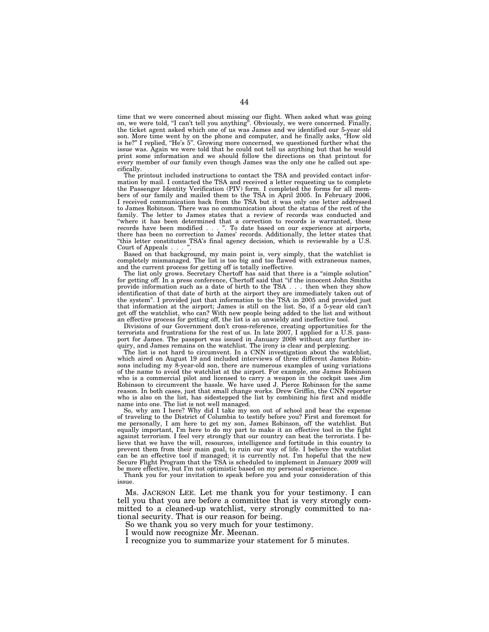time that we were concerned about missing our flight. When asked what was going on, we were told, "I can't tell you anything". Obviously, we were concerned. Finally, the ticket agent asked which one of us was James and we identified our 5-year old son. More time went by on the phone and computer, and he finally asks, ''How old is he?'' I replied, ''He's 5''. Growing more concerned, we questioned further what the issue was. Again we were told that he could not tell us anything but that he would print some information and we should follow the directions on that printout for every member of our family even though James was the only one he called out specifically.

The printout included instructions to contact the TSA and provided contact information by mail. I contacted the TSA and received a letter requesting us to complete the Passenger Identity Verification (PIV) form. I completed the forms for all members of our family and mailed them to the TSA in April 2005. In February 2006, I received communication back from the TSA but it was only one letter addressed to James Robinson. There was no communication about the status of the rest of the family. The letter to James states that a review of records was conducted and "where it has been determined that a correction to records is warranted, these records have been modified... ''. To date based on our experience at airports, there has been no correction to James' records. Additionally, the letter states that ''this letter constitutes TSA's final agency decision, which is reviewable by a U.S. Court of Appeals.

Based on that background, my main point is, very simply, that the watchlist is completely mismanaged. The list is too big and too flawed with extraneous names, and the current process for getting off is totally ineffective.

The list only grows. Secretary Chertoff has said that there is a ''simple solution'' for getting off. In a press conference, Chertoff said that ''if the innocent John Smiths provide information such as a date of birth to the TSA . . . then when they show identification of that date of birth at the airport they are immediately taken out of the system''. I provided just that information to the TSA in 2005 and provided just that information at the airport; James is still on the list. So, if a 5-year old can't get off the watchlist, who can? With new people being added to the list and without an effective process for getting off, the list is an unwieldy and ineffective tool.

Divisions of our Government don't cross-reference, creating opportunities for the terrorists and frustrations for the rest of us. In late 2007, I applied for a U.S. passport for James. The passport was issued in January 2008 without any further inquiry, and James remains on the watchlist. The irony is clear and perplexing.

The list is not hard to circumvent. In a CNN investigation about the watchlist, which aired on August 19 and included interviews of three different James Robinsons including my 8-year-old son, there are numerous examples of using variations of the name to avoid the watchlist at the airport. For example, one James Robinson who is a commercial pilot and licensed to carry a weapon in the cockpit uses Jim Robinson to circumvent the hassle. We have used J. Pierce Robinson for the same reason. In both cases, just that small change works. Drew Griffin, the CNN reporter who is also on the list, has sidestepped the list by combining his first and middle name into one. The list is not well managed.

So, why am I here? Why did I take my son out of school and bear the expense of traveling to the District of Columbia to testify before you? First and foremost for me personally, I am here to get my son, James Robinson, off the watchlist. But equally important, I'm here to do my part to make it an effective tool in the fight against terrorism. I feel very strongly that our country can beat the terrorists. I believe that we have the will, resources, intelligence and fortitude in this country to prevent them from their main goal, to ruin our way of life. I believe the watchlist can be an effective tool if managed; it is currently not. I'm hopeful that the new Secure Flight Program that the TSA is scheduled to implement in January 2009 will be more effective, but I'm not optimistic based on my personal experience.

Thank you for your invitation to speak before you and your consideration of this issue.

Ms. JACKSON LEE. Let me thank you for your testimony. I can tell you that you are before a committee that is very strongly committed to a cleaned-up watchlist, very strongly committed to national security. That is our reason for being.

So we thank you so very much for your testimony.

I would now recognize Mr. Meenan.

I recognize you to summarize your statement for 5 minutes.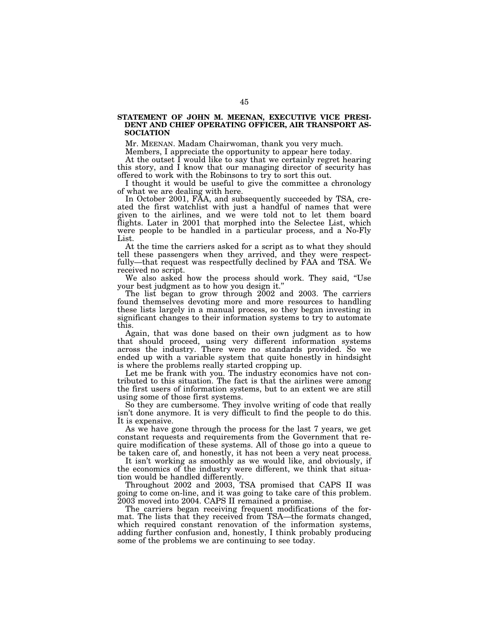### **STATEMENT OF JOHN M. MEENAN, EXECUTIVE VICE PRESI-DENT AND CHIEF OPERATING OFFICER, AIR TRANSPORT AS-SOCIATION**

Mr. MEENAN. Madam Chairwoman, thank you very much.

Members, I appreciate the opportunity to appear here today.

At the outset I would like to say that we certainly regret hearing this story, and I know that our managing director of security has offered to work with the Robinsons to try to sort this out.

I thought it would be useful to give the committee a chronology of what we are dealing with here.

In October 2001, FAA, and subsequently succeeded by TSA, created the first watchlist with just a handful of names that were given to the airlines, and we were told not to let them board flights. Later in 2001 that morphed into the Selectee List, which were people to be handled in a particular process, and a No-Fly List.

At the time the carriers asked for a script as to what they should tell these passengers when they arrived, and they were respectfully—that request was respectfully declined by FAA and TSA. We received no script.

We also asked how the process should work. They said, ''Use your best judgment as to how you design it.''

The list began to grow through 2002 and 2003. The carriers found themselves devoting more and more resources to handling these lists largely in a manual process, so they began investing in significant changes to their information systems to try to automate this.

Again, that was done based on their own judgment as to how that should proceed, using very different information systems across the industry. There were no standards provided. So we ended up with a variable system that quite honestly in hindsight is where the problems really started cropping up.

Let me be frank with you. The industry economics have not contributed to this situation. The fact is that the airlines were among the first users of information systems, but to an extent we are still using some of those first systems.

So they are cumbersome. They involve writing of code that really isn't done anymore. It is very difficult to find the people to do this. It is expensive.

As we have gone through the process for the last 7 years, we get constant requests and requirements from the Government that require modification of these systems. All of those go into a queue to be taken care of, and honestly, it has not been a very neat process.

It isn't working as smoothly as we would like, and obviously, if the economics of the industry were different, we think that situation would be handled differently.

Throughout 2002 and 2003, TSA promised that CAPS II was going to come on-line, and it was going to take care of this problem. 2003 moved into 2004. CAPS II remained a promise.

The carriers began receiving frequent modifications of the format. The lists that they received from TSA—the formats changed, which required constant renovation of the information systems, adding further confusion and, honestly, I think probably producing some of the problems we are continuing to see today.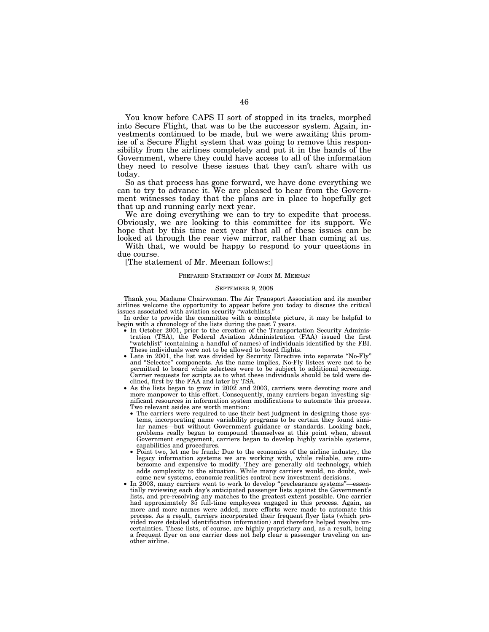You know before CAPS II sort of stopped in its tracks, morphed into Secure Flight, that was to be the successor system. Again, investments continued to be made, but we were awaiting this promise of a Secure Flight system that was going to remove this responsibility from the airlines completely and put it in the hands of the Government, where they could have access to all of the information they need to resolve these issues that they can't share with us today.

So as that process has gone forward, we have done everything we can to try to advance it. We are pleased to hear from the Government witnesses today that the plans are in place to hopefully get that up and running early next year.

We are doing everything we can to try to expedite that process. Obviously, we are looking to this committee for its support. We hope that by this time next year that all of these issues can be looked at through the rear view mirror, rather than coming at us.

With that, we would be happy to respond to your questions in due course.

[The statement of Mr. Meenan follows:]

#### PREPARED STATEMENT OF JOHN M. MEENAN

#### SEPTEMBER 9, 2008

Thank you, Madame Chairwoman. The Air Transport Association and its member airlines welcome the opportunity to appear before you today to discuss the critical issues associated with aviation security ''watchlists.''

In order to provide the committee with a complete picture, it may be helpful to begin with a chronology of the lists during the past 7 years.

- $\bullet$  In October 2001, prior to the creation of the Transportation Security Administration (TSA), the Federal Aviation Administration (FAA) issued the first ''watchlist'' (containing a handful of names) of individuals identified by the FBI. These individuals were not to be allowed to board flights.
- Late in 2001, the list was divided by Security Directive into separate ''No-Fly'' and ''Selectee'' components. As the name implies, No-Fly listees were not to be permitted to board while selectees were to be subject to additional screening. Carrier requests for scripts as to what these individuals should be told were declined, first by the FAA and later by TSA.
- As the lists began to grow in 2002 and 2003, carriers were devoting more and more manpower to this effort. Consequently, many carriers began investing significant resources in information system modifications to automate this process. Two relevant asides are worth mention:
	- The carriers were required to use their best judgment in designing those sys-tems, incorporating name variability programs to be certain they found similar names—but without Government guidance or standards. Looking back, problems really began to compound themselves at this point when, absent Government engagement, carriers began to develop highly variable systems, capabilities and procedures.
	- Point two, let me be frank: Due to the economics of the airline industry, the legacy information systems we are working with, while reliable, are cumbersome and expensive to modify. They are generally old technology, which adds complexity to the situation. While many carriers would, no doubt, welcome new systems, economic realities control new investment decisions.
- In 2003, many carriers went to work to develop ''preclearance systems''—essen-tially reviewing each day's anticipated passenger lists against the Government's lists, and pre-resolving any matches to the greatest extent possible. One carrier had approximately 35 full-time employees engaged in this process. Again, as more and more names were added, more efforts were made to automate this process. As a result, carriers incorporated their frequent flyer lists (which provided more detailed identification information) and therefore helped resolve uncertainties. These lists, of course, are highly proprietary and, as a result, being a frequent flyer on one carrier does not help clear a passenger traveling on another airline.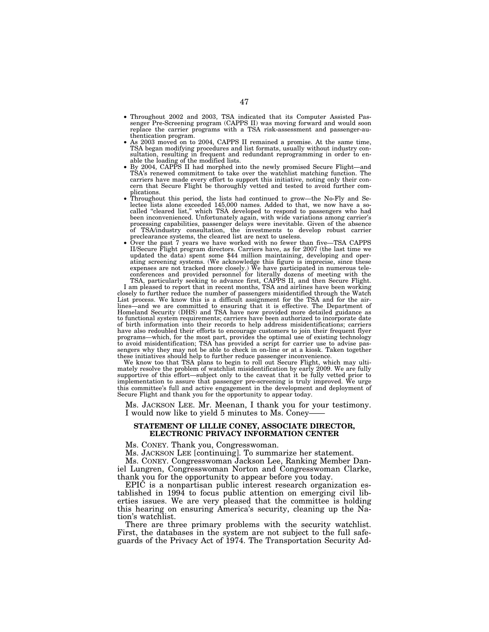- Throughout 2002 and 2003, TSA indicated that its Computer Assisted Pas-senger Pre-Screening program (CAPPS II) was moving forward and would soon replace the carrier programs with a TSA risk-assessment and passenger-au-
- thentication program. As 2003 moved on to 2004, CAPPS II remained a promise. At the same time, TSA began modifying procedures and list formats, usually without industry consultation, resulting in frequent and redundant reprogramming in order to enable the loading of the modified lists.<br>By 2004, CAPPS II had morphed into the newly promised Secure Flight—and
- TSA's renewed commitment to take over the watchlist matching function. The carriers have made every effort to support this initiative, noting only their concern that Secure Flight be thoroughly vetted and tested to avoid further com-
- plications. Throughout this period, the lists had continued to grow—the No-Fly and Se-lectee lists alone exceeded 145,000 names. Added to that, we now have a socalled ''cleared list,'' which TSA developed to respond to passengers who had been inconvenienced. Unfortunately again, with wide variations among carrier's processing capabilities, passenger delays were inevitable. Given of the absence of TSA/industry consultation, the investments to develop robust carrier preclearance systems, the cleared list are next to useless. • Over the past 7 years we have worked with no fewer than five—TSA CAPPS
- II/Secure Flight program directors. Carriers have, as for 2007 (the last time we updated the data) spent some \$44 million maintaining, developing and operating screening systems. (We acknowledge this figure is imprecise, since these expenses are not tracked more closely.) We have participated in numerous teleconferences and provided personnel for literally dozens of meeting with the

TSA, particularly seeking to advance first, CAPPS II, and then Secure Flight. I am pleased to report that in recent months, TSA and airlines have been working closely to further reduce the number of passengers misidentified through the Watch List process. We know this is a difficult assignment for the TSA and for the airlines—and we are committed to ensuring that it is effective. The Department of Homeland Security (DHS) and TSA have now provided more detailed guidance as to functional system requirements; carriers have been authorized to incorporate date of birth information into their records to help address misidentifications; carriers have also redoubled their efforts to encourage customers to join their frequent flyer programs—which, for the most part, provides the optimal use of existing technology<br>to avoid misidentification; TSA has provided a script for carrier use to advise pas-<br>sengers why they may not be able to check in on-line o these initiatives should help to further reduce passenger inconvenience.

We know too that TSA plans to begin to roll out Secure Flight, which may ultimately resolve the problem of watchlist misidentification by early 2009. We are fully supportive of this effort—subject only to the caveat that it be fully vetted prior to implementation to assure that passenger pre-screening is truly improved. We urge this committee's full and active engagement in the development and deployment of Secure Flight and thank you for the opportunity to appear today.

Ms. JACKSON LEE. Mr. Meenan, I thank you for your testimony. I would now like to yield 5 minutes to Ms. Coney-

#### **STATEMENT OF LILLIE CONEY, ASSOCIATE DIRECTOR, ELECTRONIC PRIVACY INFORMATION CENTER**

Ms. CONEY. Thank you, Congresswoman.

Ms. JACKSON LEE [continuing]. To summarize her statement.

Ms. CONEY. Congresswoman Jackson Lee, Ranking Member Daniel Lungren, Congresswoman Norton and Congresswoman Clarke, thank you for the opportunity to appear before you today.

EPIC is a nonpartisan public interest research organization established in 1994 to focus public attention on emerging civil liberties issues. We are very pleased that the committee is holding this hearing on ensuring America's security, cleaning up the Nation's watchlist.

There are three primary problems with the security watchlist. First, the databases in the system are not subject to the full safeguards of the Privacy Act of 1974. The Transportation Security Ad-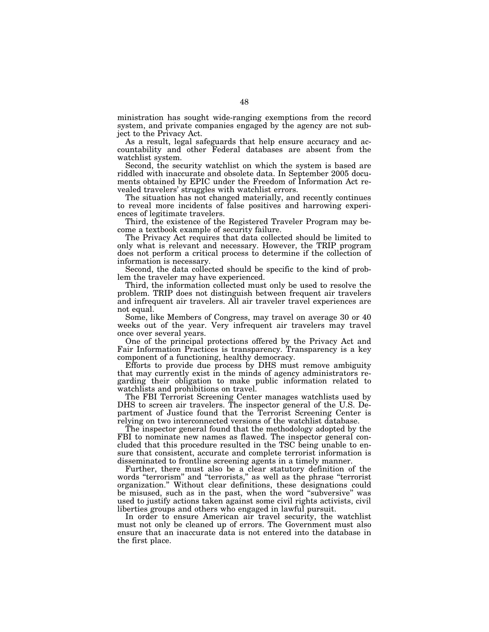ministration has sought wide-ranging exemptions from the record system, and private companies engaged by the agency are not subject to the Privacy Act.

As a result, legal safeguards that help ensure accuracy and accountability and other Federal databases are absent from the watchlist system.

Second, the security watchlist on which the system is based are riddled with inaccurate and obsolete data. In September 2005 documents obtained by EPIC under the Freedom of Information Act revealed travelers' struggles with watchlist errors.

The situation has not changed materially, and recently continues to reveal more incidents of false positives and harrowing experiences of legitimate travelers.

Third, the existence of the Registered Traveler Program may become a textbook example of security failure.

The Privacy Act requires that data collected should be limited to only what is relevant and necessary. However, the TRIP program does not perform a critical process to determine if the collection of information is necessary.

Second, the data collected should be specific to the kind of problem the traveler may have experienced.

Third, the information collected must only be used to resolve the problem. TRIP does not distinguish between frequent air travelers and infrequent air travelers. All air traveler travel experiences are not equal.

Some, like Members of Congress, may travel on average 30 or 40 weeks out of the year. Very infrequent air travelers may travel once over several years.

One of the principal protections offered by the Privacy Act and Fair Information Practices is transparency. Transparency is a key component of a functioning, healthy democracy.

Efforts to provide due process by DHS must remove ambiguity that may currently exist in the minds of agency administrators regarding their obligation to make public information related to watchlists and prohibitions on travel.

The FBI Terrorist Screening Center manages watchlists used by DHS to screen air travelers. The inspector general of the U.S. Department of Justice found that the Terrorist Screening Center is relying on two interconnected versions of the watchlist database.

The inspector general found that the methodology adopted by the FBI to nominate new names as flawed. The inspector general concluded that this procedure resulted in the TSC being unable to ensure that consistent, accurate and complete terrorist information is disseminated to frontline screening agents in a timely manner.

Further, there must also be a clear statutory definition of the words "terrorism" and "terrorists," as well as the phrase "terrorist organization.'' Without clear definitions, these designations could be misused, such as in the past, when the word ''subversive'' was used to justify actions taken against some civil rights activists, civil liberties groups and others who engaged in lawful pursuit.

In order to ensure American air travel security, the watchlist must not only be cleaned up of errors. The Government must also ensure that an inaccurate data is not entered into the database in the first place.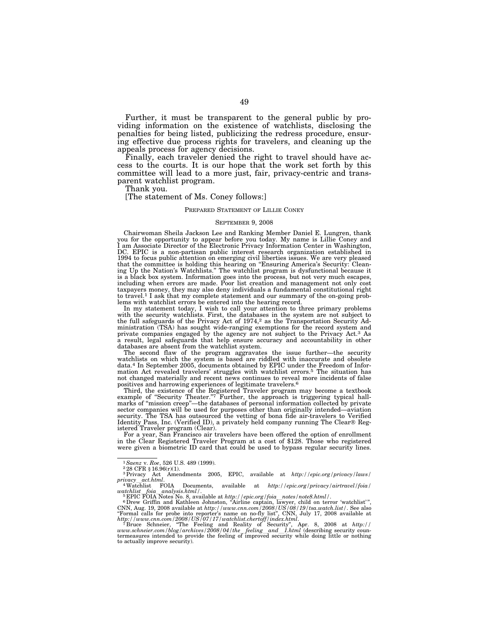Further, it must be transparent to the general public by providing information on the existence of watchlists, disclosing the penalties for being listed, publicizing the redress procedure, ensuring effective due process rights for travelers, and cleaning up the appeals process for agency decisions.

Finally, each traveler denied the right to travel should have access to the courts. It is our hope that the work set forth by this committee will lead to a more just, fair, privacy-centric and transparent watchlist program.

Thank you.

[The statement of Ms. Coney follows:]

#### PREPARED STATEMENT OF LILLIE CONEY

#### SEPTEMBER 9, 2008

Chairwoman Sheila Jackson Lee and Ranking Member Daniel E. Lungren, thank you for the opportunity to appear before you today. My name is Lillie Coney and I am Associate Director of the Electronic Privacy Information Center in Washington, DC. EPIC is a non-partisan public interest research organization established in 1994 to focus public attention on emerging civil liberties issues. We are very pleased that the committee is holding this hearing on "Ensuring America's Security: Clean-<br>ing Up the Nation's Watchlists." The watchlist program is dysfunctional because it is a black box system. Information goes into the process, but not very much escapes, including when errors are made. Poor list creation and management not only cost taxpayers money, they may also deny individuals a fundamental constitutional right to travel.1 I ask that my complete statement and our summary of the on-going problems with watchlist errors be entered into the hearing record.

In my statement today, I wish to call your attention to three primary problems with the security watchlists. First, the databases in the system are not subject to the full safeguards of the Privacy Act of  $1974$ ,<sup>2</sup> as the Transportation Security Administration (TSA) has sought wide-ranging exemptions for the record system and private companies engaged by the agency are not subject to the Privacy Act.3 As a result, legal safeguards that help ensure accuracy and accountability in other databases are absent from the watchlist system.

The second flaw of the program aggravates the issue further—the security watchlists on which the system is based are riddled with inaccurate and obsolete data.4 In September 2005, documents obtained by EPIC under the Freedom of Information Act revealed travelers' struggles with watchlist errors.5 The situation has not changed materially and recent news continues to reveal more incidents of false

positives and harrowing experiences of legitimate travelers.<sup>6</sup><br>Third, the existence of the Registered Traveler program may become a textbook<br>example of "Security Theater."<sup>7</sup> Further, the approach is triggering typical ha sector companies will be used for purposes other than originally intended—aviation security. The TSA has outsourced the vetting of bona fide air-travelers to Verified Identity Pass, Inc. (Verified ID), a privately held company running The Clear® Registered Traveler program (Clear).

For a year, San Francisco air travelers have been offered the option of enrollment in the Clear Registered Traveler Program at a cost of \$128. Those who registered were given a biometric ID card that could be used to bypass regular security lines.

<sup>&</sup>lt;sup>1</sup>Saenz v. *Roe*, 526 U.S. 489 (1999).<br><sup>2</sup> 28 CFR § 16.96(r)(1).<br><sup>3</sup> Privacy Act Amendments 2005, EPIC, available at *http://epic.org/privacy/laws/*<br>*privacy \_act.html*. *privacy*l*act.html*. 4Watchlist FOIA Documents, available at *http://epic.org/privacy/airtravel/foia/* 

watchlist foia analysis.html/.<br><sup>5</sup> EPIC FOIA Notes No. 8, available at *http://epic.org/foia\_notes/note8.html/.*<br><sup>6</sup> Drew Griffin and Kathleen Johnston, "Airline captain, lawyer, child on terror 'watchlist'",

CNN, Aug. 19, 2008 available at *http://www.cnn.com/2008/US/08/19/tsa.watch.list/*. See also ''Formal calls for probe into reporter's name on no-fly list'', CNN, July 17, 2008 available at *http://www.cnn.com/2008/US/07/17/watchlist.chertoff/index.html*. 7 Bruce Schneier, ''The Feeling and Reality of Security'', Apr. 8, 2008 at *http://* 

www.schneier.com/blog/archives/2008/04/the\_feeling\_and\_1.html (describing security coun-<br>termeasures intended to provide the feeling of improved security while doing little or nothing<br>to actually improve security).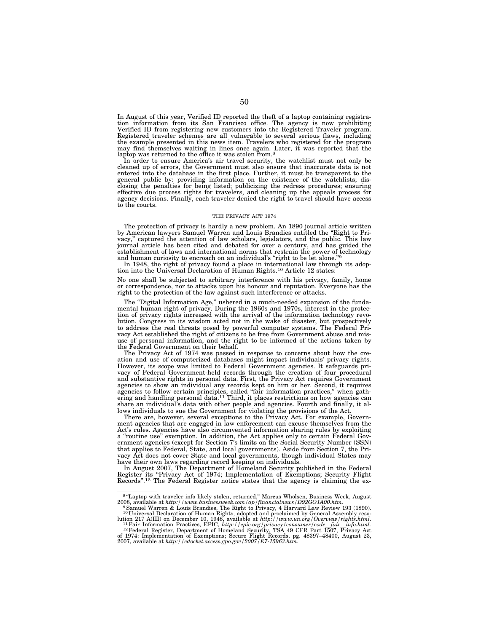In August of this year, Verified ID reported the theft of a laptop containing registration information from its San Francisco office. The agency is now prohibiting Verified ID from registering new customers into the Registered Traveler program. Registered traveler schemes are all vulnerable to several serious flaws, including the example presented in this news item. Travelers who registered for the program may find themselves waiting in lines once again. Later, it was reported that the laptop was returned to the office it was stolen from.<sup>8</sup>

In order to ensure America's air travel security, the watchlist must not only be cleaned up of errors, the Government must also ensure that inaccurate data is not entered into the database in the first place. Further, it must be transparent to the general public by: providing information on the existence of the watchlists; disclosing the penalties for being listed; publicizing the redress procedures; ensuring effective due process rights for travelers, and cleaning up the appeals process for agency decisions. Finally, each traveler denied the right to travel should have access to the courts.

#### THE PRIVACY ACT 1974

The protection of privacy is hardly a new problem. An 1890 journal article written by American lawyers Samuel Warren and Louis Brandies entitled the ''Right to Privacy,'' captured the attention of law scholars, legislators, and the public. This law journal article has been cited and debated for over a century, and has guided the establishment of laws and international norms that restrain the power of technology and human curiosity to encroach on an individual's "right to be let alone."

In 1948, the right of privacy found a place in international law through its adoption into the Universal Declaration of Human Rights.10 Article 12 states:

No one shall be subjected to arbitrary interference with his privacy, family, home or correspondence, nor to attacks upon his honour and reputation. Everyone has the right to the protection of the law against such interference or attacks.

The ''Digital Information Age,'' ushered in a much-needed expansion of the fundamental human right of privacy. During the 1960s and 1970s, interest in the protection of privacy rights increased with the arrival of the information technology revolution. Congress in its wisdom acted not in the wake of disaster, but prospectively to address the real threats posed by powerful computer systems. The Federal Privacy Act established the right of citizens to be free from Government abuse and misuse of personal information, and the right to be informed of the actions taken by the Federal Government on their behalf.

The Privacy Act of 1974 was passed in response to concerns about how the creation and use of computerized databases might impact individuals' privacy rights. However, its scope was limited to Federal Government agencies. It safeguards privacy of Federal Government-held records through the creation of four procedural and substantive rights in personal data. First, the Privacy Act requires Government agencies to show an individual any records kept on him or her. Second, it requires agencies to follow certain principles, called "fair information practices," when gath-<br>ering and handling personal data.<sup>11</sup> Third, it places restrictions on how agencies can share an individual's data with other people and agencies. Fourth and finally, it allows individuals to sue the Government for violating the provisions of the Act.

There are, however, several exceptions to the Privacy Act. For example, Government agencies that are engaged in law enforcement can excuse themselves from the Act's rules. Agencies have also circumvented information sharing rules by exploiting a ''routine use'' exemption. In addition, the Act applies only to certain Federal Government agencies (except for Section 7's limits on the Social Security Number (SSN) that applies to Federal, State, and local governments). Aside from Section 7, the Privacy Act does not cover State and local governments, though individual States may have their own laws regarding record keeping on individuals.

In August 2007, The Department of Homeland Security published in the Federal Register its ''Privacy Act of 1974; Implementation of Exemptions; Security Flight Records''.12 The Federal Register notice states that the agency is claiming the ex-

<sup>&</sup>lt;sup>8</sup>"Laptop with traveler info likely stolen, returned," Marcus Wholsen, Business Week, August 2008, available at *http://www.businessweek.com/ap/financialnews/D92GO1A00.htm*. 9Samuel Warren & Louis Brandies, The Right to Privacy, 4 Harvard Law Review 193 (1890).

<sup>10</sup> Universal Declaration of Human Rights, adopted and proclaimed by General Assembly reso-

lution 217 A(III) on December 10, 1948, available at  $http://www.un.org/Override/rights.html.$ <sup>11</sup>Fair Information Practices, EPIC,  $http://epic.org/private/cosumer/code\_fair-info.html.$ <sup>12</sup>Federal Register, Department of Homeland Security, TSA 49 CFR Part 1507, Privacy Act of 1974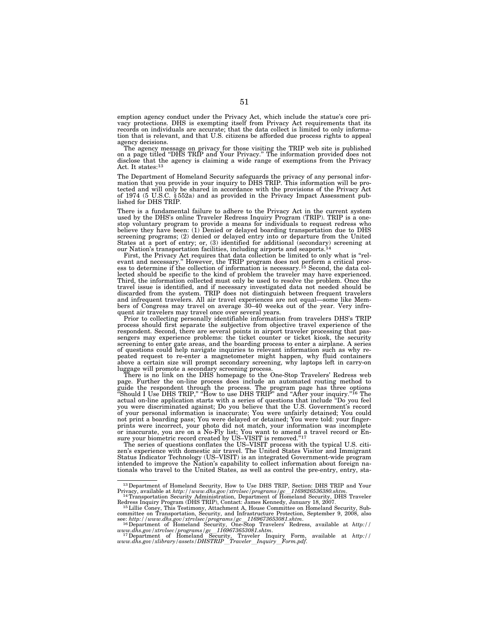emption agency conduct under the Privacy Act, which include the statue's core pri-vacy protections. DHS is exempting itself from Privacy Act requirements that its records on individuals are accurate; that the data collect is limited to only information that is relevant, and that U.S. citizens be afforded due process rights to appeal agency decisions.

The agency message on privacy for those visiting the TRIP web site is published on a page titled "DHS TRIP and Your Privacy." The information provided does not disclose that the agency is claiming a wide range of exemptions from the Privacy Act. It states:<sup>13</sup>

The Department of Homeland Security safeguards the privacy of any personal infor-mation that you provide in your inquiry to DHS TRIP. This information will be protected and will only be shared in accordance with the provisions of the Privacy Act of 1974 (5 U.S.C. § 552a) and as provided in the Privacy Impact Assessment published for DHS TRIP.

There is a fundamental failure to adhere to the Privacy Act in the current system used by the DHS's online Traveler Redress Inquiry Program (TRIP). TRIP is a onestop voluntary program to provide a means for individuals to request redress who believe they have been: (1) Denied or delayed boarding transportation due to DHS screening programs; (2) denied or delayed entry into or departure from the United States at a port of entry; or, (3) identified for additional (secondary) screening at our Nation's transportation facilities, including airports and seaports.<sup>1</sup>

First, the Privacy Act requires that data collection be limited to only what is "rel-<br>evant and necessary." However, the TRIP program does not perform a critical proc-<br>ess to determine if the collection of information is lected should be specific to the kind of problem the traveler may have experienced. Third, the information collected must only be used to resolve the problem. Once the travel issue is identified, and if necessary investigated data not needed should be discarded from the system. TRIP does not distinguish between frequent travelers and infrequent travelers. All air travel experiences are not equal—some like Members of Congress may travel on average 30–40 weeks out of the year. Very infrequent air travelers may travel once over several years.

Prior to collecting personally identifiable information from travelers DHS's TRIP process should first separate the subjective from objective travel experience of the respondent. Second, there are several points in airport traveler processing that passengers may experience problems: the ticket counter or ticket kiosk, the security screening to enter gate areas, and the boarding process to enter a airplane. A series of questions could help navigate inquiries to relevant information such as why re-peated request to re-enter a magnetometer might happen, why fluid containers above a certain size will prompt secondary screening, why laptops left in carry-on luggage will promote a secondary screening process.

There is no link on the DHS homepage to the One-Stop Travelers' Redress web page. Further the on-line process does include an automated routing method to guide the respondent through the process. The program page has three options "Should I Use DHS TRIP," "How to use DHS TRIP" and "After your inquiry."<sup>16</sup> The actual on-line application starts with a series of questions tha of your personal information is inaccurate; You were unfairly detained; You could not print a boarding pass; You were delayed or detained; You were told: your fingerprints were incorrect, your photo did not match, your information was incomplete<br>or inaccurate, you are on a No-Fly list; You want to amend a travel record or En-<br>sure your biometric record created by US–VISIT is removed."

The series of questions conflates the US–VISIT process with the typical U.S. citi-zen's experience with domestic air travel. The United States Visitor and Immigrant Status Indicator Technology (US–VISIT) is an integrated Government-wide program intended to improve the Nation's capability to collect information about foreign nationals who travel to the United States, as well as control the pre-entry, entry, sta-

 $^{13}$ Department of Homeland Security, How to Use DHS TRIP, Section: DHS TRIP and Your Privacy, available at  $http://www.dhs.gov/xtrulse/programs/gc\_1169826536380.shtm.$ <br> $^{14}$ Transportation Security Administration, Department of Homeland Security

Redress Inquiry Program (DHS TRIP), Contact: James Kennedy, January 18, 2007. 15Lillie Coney, This Testimony, Attachment A, House Committee on Homeland Security, Sub-

committee on Transportation, Security, and Infrastructure Protection, September 9, 2008, also see: *http://www.dhs.gov/xtrvlsec/programs/gc*l*1169673653081.shtm*. 16Department of Homeland Security, One-Stop Travelers' Redress, available at *http://* 

*www.dhs.gov/xtrvlsec/programs/gc*l*1169673653081.shtm*. 17Department of Homeland Security, Traveler Inquiry Form, available at *http://* 

*www.dhs.gov/xlibrary/assets/DHSTRIP*l*Traveler*l*Inquiry*l*Form.pdf*.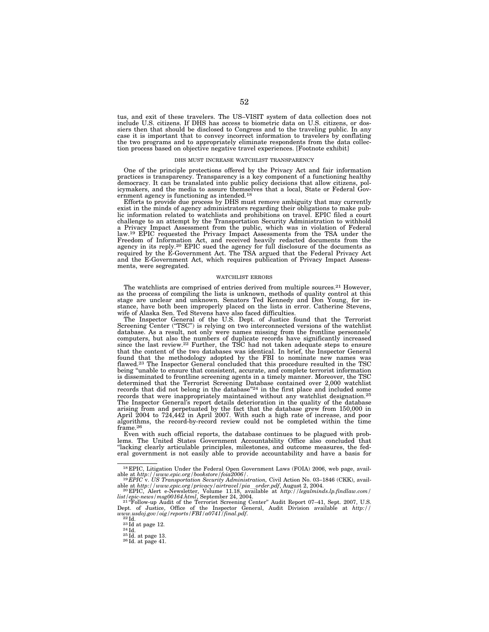tus, and exit of these travelers. The US–VISIT system of data collection does not include U.S. citizens. If DHS has access to biometric data on U.S. citizens, or dossiers then that should be disclosed to Congress and to the traveling public. In any case it is important that to convey incorrect information to travelers by conflating the two programs and to appropriately eliminate respondents from the data collection process based on objective negative travel experiences. [Footnote exhibit]

#### DHS MUST INCREASE WATCHLIST TRANSPARENCY

One of the principle protections offered by the Privacy Act and fair information practices is transparency. Transparency is a key component of a functioning healthy democracy. It can be translated into public policy decisions that allow citizens, policymakers, and the media to assure themselves that a local, State or Federal Government agency is functioning as intended.18

Efforts to provide due process by DHS must remove ambiguity that may currently exist in the minds of agency administrators regarding their obligations to make public information related to watchlists and prohibitions on travel. EPIC filed a court challenge to an attempt by the Transportation Security Administration to withhold a Privacy Impact Assessment from the public, which was in violation of Federal law.<sup>19</sup> EPIC requested the Privacy Impact Assessments from the TSA under the Freedom of Information Act, and received heavily redacted documents from the agency in its reply.<sup>20</sup> EPIC sued the agency for full disclosure of the documents as required by the E-Government Act. The TSA argued that the Federal Privacy Act and the E-Government Act, which requires publication of Privacy Impact Assessments, were segregated.

#### WATCHLIST ERRORS

The watchlists are comprised of entries derived from multiple sources.21 However, as the process of compiling the lists is unknown, methods of quality control at this stage are unclear and unknown. Senators Ted Kennedy and Don Young, for instance, have both been improperly placed on the lists in error. Catherine Stevens, wife of Alaska Sen. Ted Stevens have also faced difficulties.

The Inspector General of the U.S. Dept. of Justice found that the Terrorist Screening Center ("TSC") is relying on two interconnected versions of the watchlist database. As a result, not only were names missing from the frontline personnels' computers, but also the numbers of duplicate records have significantly increased since the last review.<sup>22</sup> Further, the TSC had not taken adequate steps to ensure that the content of the two databases was identical. In brief, the Inspector General found that the methodology adopted by the FBI to nominate new names was flawed.<sup>23</sup> The Inspector General concluded that this procedure resulted in the TSC being "unable to ensure that consistent, accurate, and complete terrorist information is disseminated to frontline screening agents in a timely manner. Moreover, the TSC determined that the Terrorist Screening Database contained over 2,000 watchlist records that did not belong in the database''24 in the first place and included some records that were inappropriately maintained without any watchlist designation.<sup>25</sup> The Inspector General's report details deterioration in the quality of the database arising from and perpetuated by the fact that the database grew from 150,000 in April 2004 to 724,442 in April 2007. With such a high rate of increase, and poor algorithms, the record-by-record review could not be completed within the time frame.26

Even with such official reports, the database continues to be plagued with problems. The United States Government Accountability Office also concluded that ''lacking clearly articulable principles, milestones, and outcome measures, the federal government is not easily able to provide accountability and have a basis for

<sup>&</sup>lt;sup>18</sup> EPIC, Litigation Under the Federal Open Government Laws (FOIA) 2006, web page, available at *http://www.epic.org/bookstore/foia2006/*.<br><sup>19</sup> EPIC v. US Transportation Security Administration, Civil Action No. 03–1846

able at *http://www.epic.org/privacy/airtravel/pia*l*order.pdf*, August 2, 2004. 20 EPIC, Alert e-Newsletter, Volume 11.18, available at *http://legalminds.lp.findlaw.com/* 

*list/epic-news/msg00164.html*, September 24, 2004.<br>
<sup>21</sup> Follow-up Audit of the Terrorist Screening Center" Audit Report 07–41, Sept. 2007, U.S.<br>
<sup>22</sup> Id.<br>
2<sup>2</sup> and *J* Justice, Office of the Inspector General, Audit Div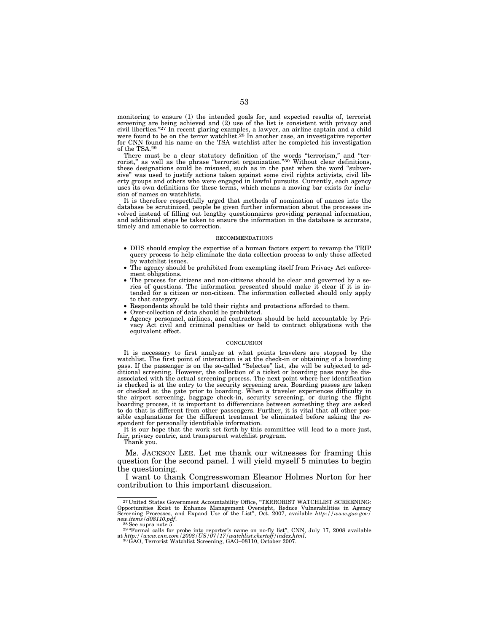monitoring to ensure (1) the intended goals for, and expected results of, terrorist screening are being achieved and (2) use of the list is consistent with privacy and civil liberties."<sup>27</sup> In recent glaring examples, a lawyer, an airline captain and a child were found to be on the terror watchlist.<sup>28</sup> In another case, an investigative reporter for CNN found his name on the TSA watchlist after he completed his investigation of the TSA.29

There must be a clear statutory definition of the words "terrorism," and "ter-<br>rorist," as well as the phrase "terrorist organization."<sup>30</sup> Without clear definitions, these designations could be misused, such as in the past when the word ''subversive'' was used to justify actions taken against some civil rights activists, civil liberty groups and others who were engaged in lawful pursuits. Currently, each agency uses its own definitions for these terms, which means a moving bar exists for inclusion of names on watchlists.

It is therefore respectfully urged that methods of nomination of names into the database be scrutinized, people be given further information about the processes involved instead of filling out lengthy questionnaires providing personal information, and additional steps be taken to ensure the information in the database is accurate, timely and amenable to correction.

#### RECOMMENDATIONS

- DHS should employ the expertise of a human factors expert to revamp the TRIP query process to help eliminate the data collection process to only those affected by watchlist issues.
- The agency should be prohibited from exempting itself from Privacy Act enforcement obligations.
- The process for citizens and non-citizens should be clear and governed by a series of questions. The information presented should make it clear if it is intended for a citizen or non-citizen. The information collected should only apply to that category.
- Respondents should be told their rights and protections afforded to them.
- Over-collection of data should be prohibited.
- Agency personnel, airlines, and contractors should be held accountable by Privacy Act civil and criminal penalties or held to contract obligations with the equivalent effect.

#### **CONCLUSION**

It is necessary to first analyze at what points travelers are stopped by the watchlist. The first point of interaction is at the check-in or obtaining of a boarding pass. If the passenger is on the so-called ''Selectee'' list, she will be subjected to additional screening. However, the collection of a ticket or boarding pass may be disassociated with the actual screening process. The next point where her identification is checked is at the entry to the security screening area. Boarding passes are taken or checked at the gate prior to boarding. When a traveler experiences difficulty in the airport screening, baggage check-in, security screening, or during the flight boarding process, it is important to differentiate between something they are asked to do that is different from other passengers. Further, it is vital that all other possible explanations for the different treatment be eliminated before asking the respondent for personally identifiable information.

It is our hope that the work set forth by this committee will lead to a more just, fair, privacy centric, and transparent watchlist program.

Thank you.

Ms. JACKSON LEE. Let me thank our witnesses for framing this question for the second panel. I will yield myself 5 minutes to begin the questioning.

I want to thank Congresswoman Eleanor Holmes Norton for her contribution to this important discussion.

<sup>&</sup>lt;sup>27</sup> United States Government Accountability Office, "TERRORIST WATCHLIST SCREENING:<br>Opportunities Exist to Enhance Management Oversight, Reduce Vulnerabilities in Agency<br>Screening Processes, and Expand Use of the List", *new.items/d08110.pdf.*<br><sup>28</sup>See supra note 5.<br><sup>29</sup> "Formal calls for probe into reporter's name on no-fly list", CNN, July 17, 2008 available

at *http://www.cnn.com/2008/US/07/17/watchlist.chertoff/index.html*. 30GAO, Terrorist Watchlist Screening, GAO–08110, October 2007.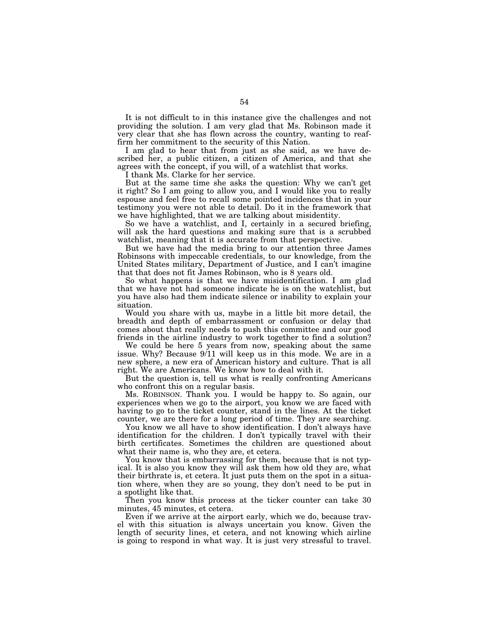It is not difficult to in this instance give the challenges and not providing the solution. I am very glad that Ms. Robinson made it very clear that she has flown across the country, wanting to reaffirm her commitment to the security of this Nation.

I am glad to hear that from just as she said, as we have described her, a public citizen, a citizen of America, and that she agrees with the concept, if you will, of a watchlist that works.

I thank Ms. Clarke for her service.

But at the same time she asks the question: Why we can't get it right? So I am going to allow you, and I would like you to really espouse and feel free to recall some pointed incidences that in your testimony you were not able to detail. Do it in the framework that we have highlighted, that we are talking about misidentity.

So we have a watchlist, and I, certainly in a secured briefing, will ask the hard questions and making sure that is a scrubbed watchlist, meaning that it is accurate from that perspective.

But we have had the media bring to our attention three James Robinsons with impeccable credentials, to our knowledge, from the United States military, Department of Justice, and I can't imagine that that does not fit James Robinson, who is 8 years old.

So what happens is that we have misidentification. I am glad that we have not had someone indicate he is on the watchlist, but you have also had them indicate silence or inability to explain your situation.

Would you share with us, maybe in a little bit more detail, the breadth and depth of embarrassment or confusion or delay that comes about that really needs to push this committee and our good friends in the airline industry to work together to find a solution?

We could be here 5 years from now, speaking about the same issue. Why? Because 9/11 will keep us in this mode. We are in a new sphere, a new era of American history and culture. That is all right. We are Americans. We know how to deal with it.

But the question is, tell us what is really confronting Americans who confront this on a regular basis.

Ms. ROBINSON. Thank you. I would be happy to. So again, our experiences when we go to the airport, you know we are faced with having to go to the ticket counter, stand in the lines. At the ticket counter, we are there for a long period of time. They are searching.

You know we all have to show identification. I don't always have identification for the children. I don't typically travel with their birth certificates. Sometimes the children are questioned about what their name is, who they are, et cetera.

You know that is embarrassing for them, because that is not typical. It is also you know they will ask them how old they are, what their birthrate is, et cetera. It just puts them on the spot in a situation where, when they are so young, they don't need to be put in a spotlight like that.

Then you know this process at the ticker counter can take 30 minutes, 45 minutes, et cetera.

Even if we arrive at the airport early, which we do, because travel with this situation is always uncertain you know. Given the length of security lines, et cetera, and not knowing which airline is going to respond in what way. It is just very stressful to travel.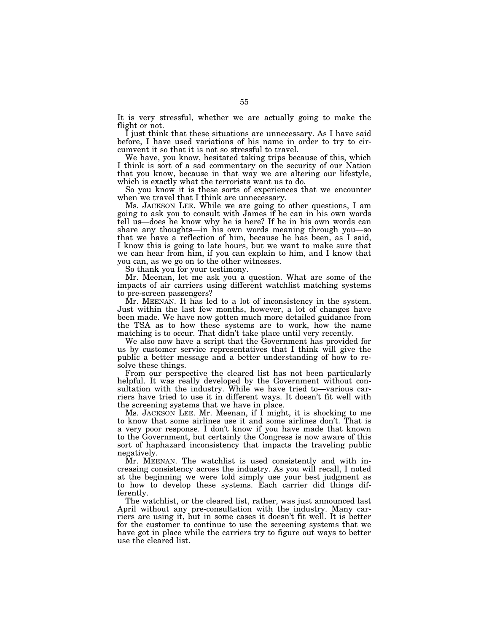It is very stressful, whether we are actually going to make the flight or not.

I just think that these situations are unnecessary. As I have said before, I have used variations of his name in order to try to circumvent it so that it is not so stressful to travel.

We have, you know, hesitated taking trips because of this, which I think is sort of a sad commentary on the security of our Nation that you know, because in that way we are altering our lifestyle, which is exactly what the terrorists want us to do.

So you know it is these sorts of experiences that we encounter when we travel that I think are unnecessary.

Ms. JACKSON LEE. While we are going to other questions, I am going to ask you to consult with James if he can in his own words tell us—does he know why he is here? If he in his own words can share any thoughts—in his own words meaning through you—so that we have a reflection of him, because he has been, as I said, I know this is going to late hours, but we want to make sure that we can hear from him, if you can explain to him, and I know that you can, as we go on to the other witnesses.

So thank you for your testimony.

Mr. Meenan, let me ask you a question. What are some of the impacts of air carriers using different watchlist matching systems to pre-screen passengers?

Mr. MEENAN. It has led to a lot of inconsistency in the system. Just within the last few months, however, a lot of changes have been made. We have now gotten much more detailed guidance from the TSA as to how these systems are to work, how the name matching is to occur. That didn't take place until very recently.

We also now have a script that the Government has provided for us by customer service representatives that I think will give the public a better message and a better understanding of how to resolve these things.

From our perspective the cleared list has not been particularly helpful. It was really developed by the Government without consultation with the industry. While we have tried to—various carriers have tried to use it in different ways. It doesn't fit well with the screening systems that we have in place.

Ms. JACKSON LEE. Mr. Meenan, if I might, it is shocking to me to know that some airlines use it and some airlines don't. That is a very poor response. I don't know if you have made that known to the Government, but certainly the Congress is now aware of this sort of haphazard inconsistency that impacts the traveling public negatively.

Mr. MEENAN. The watchlist is used consistently and with increasing consistency across the industry. As you will recall, I noted at the beginning we were told simply use your best judgment as to how to develop these systems. Each carrier did things differently.

The watchlist, or the cleared list, rather, was just announced last April without any pre-consultation with the industry. Many carriers are using it, but in some cases it doesn't fit well. It is better for the customer to continue to use the screening systems that we have got in place while the carriers try to figure out ways to better use the cleared list.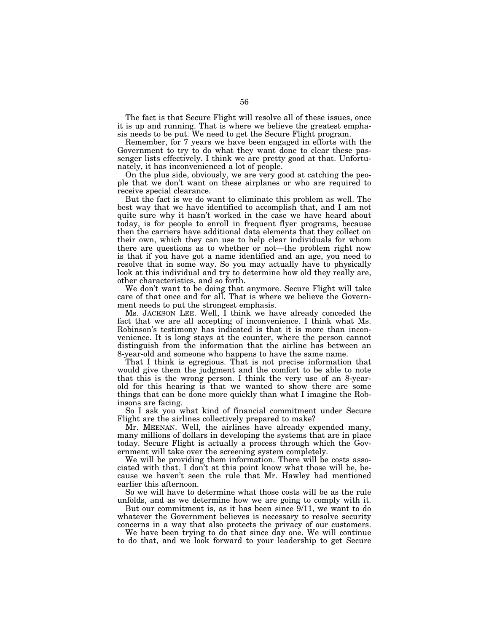The fact is that Secure Flight will resolve all of these issues, once it is up and running. That is where we believe the greatest emphasis needs to be put. We need to get the Secure Flight program.

Remember, for 7 years we have been engaged in efforts with the Government to try to do what they want done to clear these passenger lists effectively. I think we are pretty good at that. Unfortunately, it has inconvenienced a lot of people.

On the plus side, obviously, we are very good at catching the people that we don't want on these airplanes or who are required to receive special clearance.

But the fact is we do want to eliminate this problem as well. The best way that we have identified to accomplish that, and I am not quite sure why it hasn't worked in the case we have heard about today, is for people to enroll in frequent flyer programs, because then the carriers have additional data elements that they collect on their own, which they can use to help clear individuals for whom there are questions as to whether or not—the problem right now is that if you have got a name identified and an age, you need to resolve that in some way. So you may actually have to physically look at this individual and try to determine how old they really are, other characteristics, and so forth.

We don't want to be doing that anymore. Secure Flight will take care of that once and for all. That is where we believe the Government needs to put the strongest emphasis.

Ms. JACKSON LEE. Well, I think we have already conceded the fact that we are all accepting of inconvenience. I think what Ms. Robinson's testimony has indicated is that it is more than inconvenience. It is long stays at the counter, where the person cannot distinguish from the information that the airline has between an 8-year-old and someone who happens to have the same name.

That I think is egregious. That is not precise information that would give them the judgment and the comfort to be able to note that this is the wrong person. I think the very use of an 8-yearold for this hearing is that we wanted to show there are some things that can be done more quickly than what I imagine the Robinsons are facing.

So I ask you what kind of financial commitment under Secure Flight are the airlines collectively prepared to make?

Mr. MEENAN. Well, the airlines have already expended many, many millions of dollars in developing the systems that are in place today. Secure Flight is actually a process through which the Government will take over the screening system completely.

We will be providing them information. There will be costs associated with that. I don't at this point know what those will be, because we haven't seen the rule that Mr. Hawley had mentioned earlier this afternoon.

So we will have to determine what those costs will be as the rule unfolds, and as we determine how we are going to comply with it.

But our commitment is, as it has been since  $9/11$ , we want to do whatever the Government believes is necessary to resolve security concerns in a way that also protects the privacy of our customers.

We have been trying to do that since day one. We will continue to do that, and we look forward to your leadership to get Secure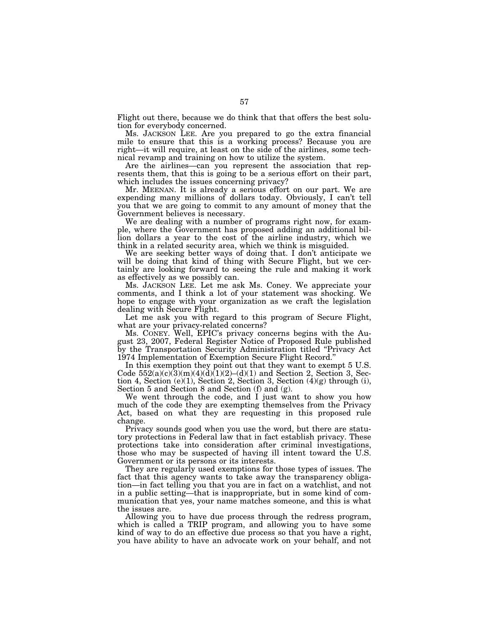Flight out there, because we do think that that offers the best solution for everybody concerned.

Ms. JACKSON LEE. Are you prepared to go the extra financial mile to ensure that this is a working process? Because you are right—it will require, at least on the side of the airlines, some technical revamp and training on how to utilize the system.

Are the airlines—can you represent the association that represents them, that this is going to be a serious effort on their part, which includes the issues concerning privacy?

Mr. MEENAN. It is already a serious effort on our part. We are expending many millions of dollars today. Obviously, I can't tell you that we are going to commit to any amount of money that the Government believes is necessary.

We are dealing with a number of programs right now, for example, where the Government has proposed adding an additional billion dollars a year to the cost of the airline industry, which we think in a related security area, which we think is misguided.

We are seeking better ways of doing that. I don't anticipate we will be doing that kind of thing with Secure Flight, but we certainly are looking forward to seeing the rule and making it work as effectively as we possibly can.

Ms. JACKSON LEE. Let me ask Ms. Coney. We appreciate your comments, and I think a lot of your statement was shocking. We hope to engage with your organization as we craft the legislation dealing with Secure Flight.

Let me ask you with regard to this program of Secure Flight, what are your privacy-related concerns?

Ms. CONEY. Well, EPIC's privacy concerns begins with the August 23, 2007, Federal Register Notice of Proposed Rule published by the Transportation Security Administration titled ''Privacy Act 1974 Implementation of Exemption Secure Flight Record.''

In this exemption they point out that they want to exempt 5 U.S. Code  $552(a)(c)(3)(m)(4)(d)(1)(2)-(d)(1)$  and Section 2, Section 3, Section 4, Section (e)(1), Section 2, Section 3, Section  $(4)(g)$  through (i), Section 5 and Section 8 and Section (f) and (g).

We went through the code, and I just want to show you how much of the code they are exempting themselves from the Privacy Act, based on what they are requesting in this proposed rule change.

Privacy sounds good when you use the word, but there are statutory protections in Federal law that in fact establish privacy. These protections take into consideration after criminal investigations, those who may be suspected of having ill intent toward the U.S. Government or its persons or its interests.

They are regularly used exemptions for those types of issues. The fact that this agency wants to take away the transparency obligation—in fact telling you that you are in fact on a watchlist, and not in a public setting—that is inappropriate, but in some kind of communication that yes, your name matches someone, and this is what the issues are.

Allowing you to have due process through the redress program, which is called a TRIP program, and allowing you to have some kind of way to do an effective due process so that you have a right, you have ability to have an advocate work on your behalf, and not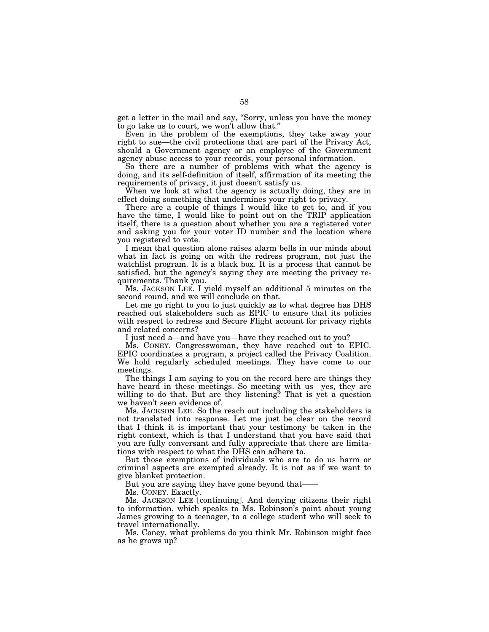get a letter in the mail and say, ''Sorry, unless you have the money to go take us to court, we won't allow that.''

Even in the problem of the exemptions, they take away your right to sue—the civil protections that are part of the Privacy Act, should a Government agency or an employee of the Government agency abuse access to your records, your personal information.

So there are a number of problems with what the agency is doing, and its self-definition of itself, affirmation of its meeting the requirements of privacy, it just doesn't satisfy us.

When we look at what the agency is actually doing, they are in effect doing something that undermines your right to privacy.

There are a couple of things I would like to get to, and if you have the time, I would like to point out on the TRIP application itself, there is a question about whether you are a registered voter and asking you for your voter ID number and the location where you registered to vote.

I mean that question alone raises alarm bells in our minds about what in fact is going on with the redress program, not just the watchlist program. It is a black box. It is a process that cannot be satisfied, but the agency's saying they are meeting the privacy requirements. Thank you.

Ms. JACKSON LEE. I yield myself an additional 5 minutes on the second round, and we will conclude on that.

Let me go right to you to just quickly as to what degree has DHS reached out stakeholders such as EPIC to ensure that its policies with respect to redress and Secure Flight account for privacy rights and related concerns?

I just need a—and have you—have they reached out to you?

Ms. CONEY. Congresswoman, they have reached out to EPIC. EPIC coordinates a program, a project called the Privacy Coalition. We hold regularly scheduled meetings. They have come to our meetings.

The things I am saying to you on the record here are things they have heard in these meetings. So meeting with us—yes, they are willing to do that. But are they listening? That is yet a question we haven't seen evidence of.

Ms. JACKSON LEE. So the reach out including the stakeholders is not translated into response. Let me just be clear on the record that I think it is important that your testimony be taken in the right context, which is that I understand that you have said that you are fully conversant and fully appreciate that there are limitations with respect to what the DHS can adhere to.

But those exemptions of individuals who are to do us harm or criminal aspects are exempted already. It is not as if we want to give blanket protection.

But you are saying they have gone beyond that——

Ms. CONEY. Exactly.

Ms. JACKSON LEE [continuing]. And denying citizens their right to information, which speaks to Ms. Robinson's point about young James growing to a teenager, to a college student who will seek to travel internationally.

Ms. Coney, what problems do you think Mr. Robinson might face as he grows up?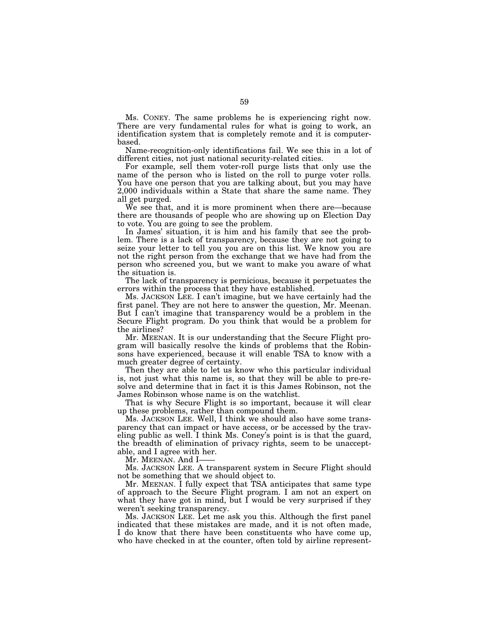Ms. CONEY. The same problems he is experiencing right now. There are very fundamental rules for what is going to work, an identification system that is completely remote and it is computerbased.

Name-recognition-only identifications fail. We see this in a lot of different cities, not just national security-related cities.

For example, sell them voter-roll purge lists that only use the name of the person who is listed on the roll to purge voter rolls. You have one person that you are talking about, but you may have 2,000 individuals within a State that share the same name. They all get purged.

We see that, and it is more prominent when there are—because there are thousands of people who are showing up on Election Day to vote. You are going to see the problem.

In James' situation, it is him and his family that see the problem. There is a lack of transparency, because they are not going to seize your letter to tell you you are on this list. We know you are not the right person from the exchange that we have had from the person who screened you, but we want to make you aware of what the situation is.

The lack of transparency is pernicious, because it perpetuates the errors within the process that they have established.

Ms. JACKSON LEE. I can't imagine, but we have certainly had the first panel. They are not here to answer the question, Mr. Meenan. But I can't imagine that transparency would be a problem in the Secure Flight program. Do you think that would be a problem for the airlines?

Mr. MEENAN. It is our understanding that the Secure Flight program will basically resolve the kinds of problems that the Robinsons have experienced, because it will enable TSA to know with a much greater degree of certainty.

Then they are able to let us know who this particular individual is, not just what this name is, so that they will be able to pre-resolve and determine that in fact it is this James Robinson, not the James Robinson whose name is on the watchlist.

That is why Secure Flight is so important, because it will clear up these problems, rather than compound them.

Ms. JACKSON LEE. Well, I think we should also have some transparency that can impact or have access, or be accessed by the traveling public as well. I think Ms. Coney's point is is that the guard, the breadth of elimination of privacy rights, seem to be unacceptable, and I agree with her.

Mr. MEENAN. And I-

Ms. JACKSON LEE. A transparent system in Secure Flight should not be something that we should object to.

Mr. MEENAN. I fully expect that TSA anticipates that same type of approach to the Secure Flight program. I am not an expert on what they have got in mind, but I would be very surprised if they weren't seeking transparency.

Ms. JACKSON LEE. Let me ask you this. Although the first panel indicated that these mistakes are made, and it is not often made, I do know that there have been constituents who have come up, who have checked in at the counter, often told by airline represent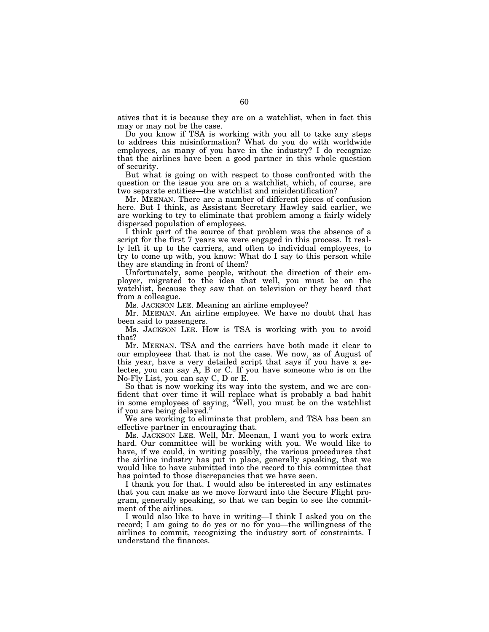atives that it is because they are on a watchlist, when in fact this may or may not be the case.

Do you know if TSA is working with you all to take any steps to address this misinformation? What do you do with worldwide employees, as many of you have in the industry? I do recognize that the airlines have been a good partner in this whole question of security.

But what is going on with respect to those confronted with the question or the issue you are on a watchlist, which, of course, are two separate entities—the watchlist and misidentification?

Mr. MEENAN. There are a number of different pieces of confusion here. But I think, as Assistant Secretary Hawley said earlier, we are working to try to eliminate that problem among a fairly widely dispersed population of employees.

I think part of the source of that problem was the absence of a script for the first 7 years we were engaged in this process. It really left it up to the carriers, and often to individual employees, to try to come up with, you know: What do I say to this person while they are standing in front of them?

Unfortunately, some people, without the direction of their employer, migrated to the idea that well, you must be on the watchlist, because they saw that on television or they heard that from a colleague.

Ms. JACKSON LEE. Meaning an airline employee?

Mr. MEENAN. An airline employee. We have no doubt that has been said to passengers.

Ms. JACKSON LEE. How is TSA is working with you to avoid that?

Mr. MEENAN. TSA and the carriers have both made it clear to our employees that that is not the case. We now, as of August of this year, have a very detailed script that says if you have a selectee, you can say A, B or C. If you have someone who is on the No-Fly List, you can say C, D or E.

So that is now working its way into the system, and we are confident that over time it will replace what is probably a bad habit in some employees of saying, ''Well, you must be on the watchlist if you are being delayed.''

We are working to eliminate that problem, and TSA has been an effective partner in encouraging that.

Ms. JACKSON LEE. Well, Mr. Meenan, I want you to work extra hard. Our committee will be working with you. We would like to have, if we could, in writing possibly, the various procedures that the airline industry has put in place, generally speaking, that we would like to have submitted into the record to this committee that has pointed to those discrepancies that we have seen.

I thank you for that. I would also be interested in any estimates that you can make as we move forward into the Secure Flight program, generally speaking, so that we can begin to see the commitment of the airlines.

I would also like to have in writing—I think I asked you on the record; I am going to do yes or no for you—the willingness of the airlines to commit, recognizing the industry sort of constraints. I understand the finances.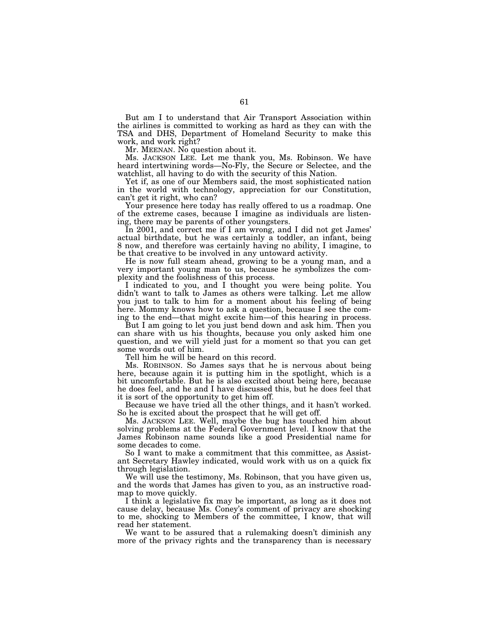But am I to understand that Air Transport Association within the airlines is committed to working as hard as they can with the TSA and DHS, Department of Homeland Security to make this work, and work right?

Mr. MEENAN. No question about it.

Ms. JACKSON LEE. Let me thank you, Ms. Robinson. We have heard intertwining words—No-Fly, the Secure or Selectee, and the watchlist, all having to do with the security of this Nation.

Yet if, as one of our Members said, the most sophisticated nation in the world with technology, appreciation for our Constitution, can't get it right, who can?

Your presence here today has really offered to us a roadmap. One of the extreme cases, because I imagine as individuals are listening, there may be parents of other youngsters.

In 2001, and correct me if I am wrong, and I did not get James' actual birthdate, but he was certainly a toddler, an infant, being 8 now, and therefore was certainly having no ability, I imagine, to be that creative to be involved in any untoward activity.

He is now full steam ahead, growing to be a young man, and a very important young man to us, because he symbolizes the complexity and the foolishness of this process.

I indicated to you, and I thought you were being polite. You didn't want to talk to James as others were talking. Let me allow you just to talk to him for a moment about his feeling of being here. Mommy knows how to ask a question, because I see the coming to the end—that might excite him—of this hearing in process.

But I am going to let you just bend down and ask him. Then you can share with us his thoughts, because you only asked him one question, and we will yield just for a moment so that you can get some words out of him.

Tell him he will be heard on this record.

Ms. ROBINSON. So James says that he is nervous about being here, because again it is putting him in the spotlight, which is a bit uncomfortable. But he is also excited about being here, because he does feel, and he and I have discussed this, but he does feel that it is sort of the opportunity to get him off.

Because we have tried all the other things, and it hasn't worked. So he is excited about the prospect that he will get off.

Ms. JACKSON LEE. Well, maybe the bug has touched him about solving problems at the Federal Government level. I know that the James Robinson name sounds like a good Presidential name for some decades to come.

So I want to make a commitment that this committee, as Assistant Secretary Hawley indicated, would work with us on a quick fix through legislation.

We will use the testimony, Ms. Robinson, that you have given us, and the words that James has given to you, as an instructive roadmap to move quickly.

I think a legislative fix may be important, as long as it does not cause delay, because Ms. Coney's comment of privacy are shocking to me, shocking to Members of the committee, I know, that will read her statement.

We want to be assured that a rulemaking doesn't diminish any more of the privacy rights and the transparency than is necessary